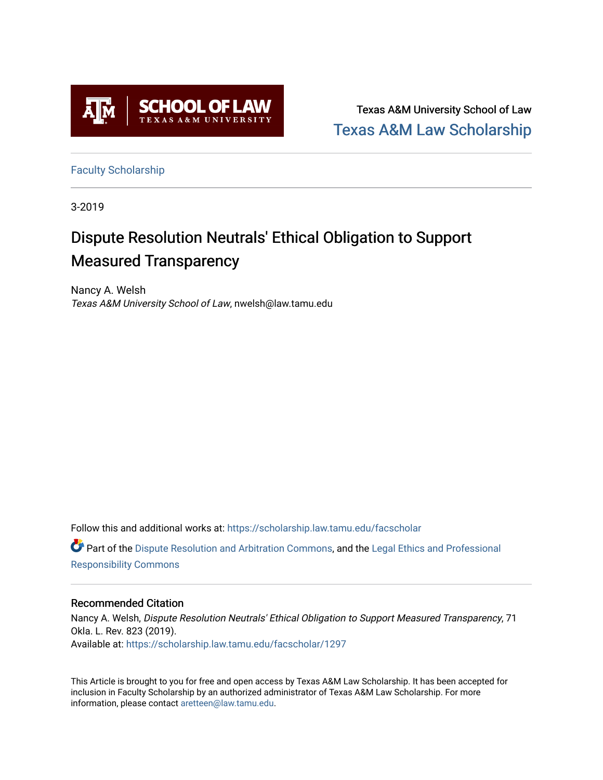

Texas A&M University School of Law [Texas A&M Law Scholarship](https://scholarship.law.tamu.edu/) 

[Faculty Scholarship](https://scholarship.law.tamu.edu/facscholar)

3-2019

# Dispute Resolution Neutrals' Ethical Obligation to Support Measured Transparency

Nancy A. Welsh Texas A&M University School of Law, nwelsh@law.tamu.edu

Follow this and additional works at: [https://scholarship.law.tamu.edu/facscholar](https://scholarship.law.tamu.edu/facscholar?utm_source=scholarship.law.tamu.edu%2Ffacscholar%2F1297&utm_medium=PDF&utm_campaign=PDFCoverPages)  Part of the [Dispute Resolution and Arbitration Commons,](http://network.bepress.com/hgg/discipline/890?utm_source=scholarship.law.tamu.edu%2Ffacscholar%2F1297&utm_medium=PDF&utm_campaign=PDFCoverPages) and the [Legal Ethics and Professional](http://network.bepress.com/hgg/discipline/895?utm_source=scholarship.law.tamu.edu%2Ffacscholar%2F1297&utm_medium=PDF&utm_campaign=PDFCoverPages)  [Responsibility Commons](http://network.bepress.com/hgg/discipline/895?utm_source=scholarship.law.tamu.edu%2Ffacscholar%2F1297&utm_medium=PDF&utm_campaign=PDFCoverPages) 

# Recommended Citation

Nancy A. Welsh, Dispute Resolution Neutrals' Ethical Obligation to Support Measured Transparency, 71 Okla. L. Rev. 823 (2019). Available at: [https://scholarship.law.tamu.edu/facscholar/1297](https://scholarship.law.tamu.edu/facscholar/1297?utm_source=scholarship.law.tamu.edu%2Ffacscholar%2F1297&utm_medium=PDF&utm_campaign=PDFCoverPages) 

This Article is brought to you for free and open access by Texas A&M Law Scholarship. It has been accepted for inclusion in Faculty Scholarship by an authorized administrator of Texas A&M Law Scholarship. For more information, please contact [aretteen@law.tamu.edu](mailto:aretteen@law.tamu.edu).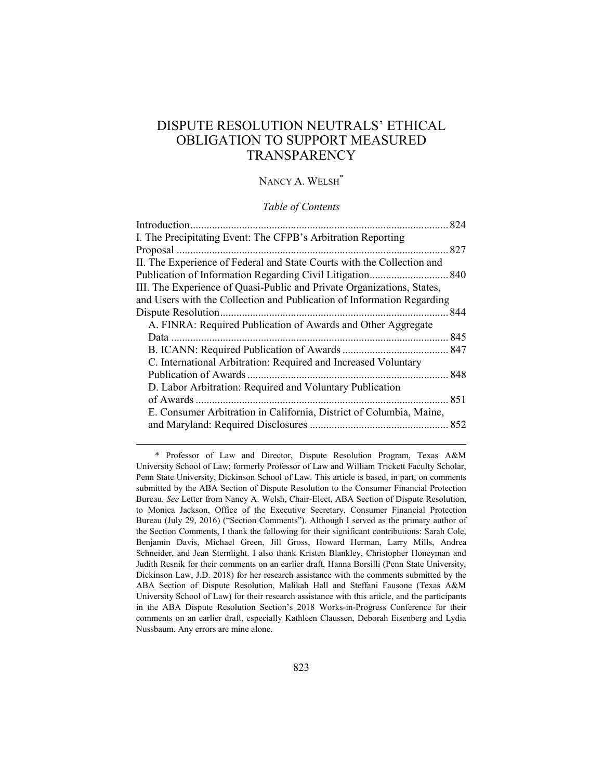# DISPUTE RESOLUTION NEUTRALS' ETHICAL OBLIGATION TO SUPPORT MEASURED **TRANSPARENCY**

# NANCY A. WELSH<sup>\*</sup>

## *Table of Contents*

|                                                                        | 824 |
|------------------------------------------------------------------------|-----|
| I. The Precipitating Event: The CFPB's Arbitration Reporting           |     |
|                                                                        | 827 |
| II. The Experience of Federal and State Courts with the Collection and |     |
|                                                                        |     |
| III. The Experience of Quasi-Public and Private Organizations, States, |     |
| and Users with the Collection and Publication of Information Regarding |     |
| Dispute Resolution                                                     | 844 |
| A. FINRA: Required Publication of Awards and Other Aggregate           |     |
| Data                                                                   | 845 |
|                                                                        |     |
| C. International Arbitration: Required and Increased Voluntary         |     |
| Publication of Awards.                                                 |     |
| D. Labor Arbitration: Required and Voluntary Publication               |     |
| of Awards                                                              | 851 |
| E. Consumer Arbitration in California, District of Columbia, Maine,    |     |
|                                                                        |     |
|                                                                        |     |

<sup>\*</sup> Professor of Law and Director, Dispute Resolution Program, Texas A&M University School of Law; formerly Professor of Law and William Trickett Faculty Scholar, Penn State University, Dickinson School of Law. This article is based, in part, on comments submitted by the ABA Section of Dispute Resolution to the Consumer Financial Protection Bureau. *See* Letter from Nancy A. Welsh, Chair-Elect, ABA Section of Dispute Resolution, to Monica Jackson, Office of the Executive Secretary, Consumer Financial Protection Bureau (July 29, 2016) ("Section Comments"). Although I served as the primary author of the Section Comments, I thank the following for their significant contributions: Sarah Cole, Benjamin Davis, Michael Green, Jill Gross, Howard Herman, Larry Mills, Andrea Schneider, and Jean Sternlight. I also thank Kristen Blankley, Christopher Honeyman and Judith Resnik for their comments on an earlier draft, Hanna Borsilli (Penn State University, Dickinson Law, J.D. 2018) for her research assistance with the comments submitted by the ABA Section of Dispute Resolution, Malikah Hall and Steffani Fausone (Texas A&M University School of Law) for their research assistance with this article, and the participants in the ABA Dispute Resolution Section's 2018 Works-in-Progress Conference for their comments on an earlier draft, especially Kathleen Claussen, Deborah Eisenberg and Lydia Nussbaum. Any errors are mine alone.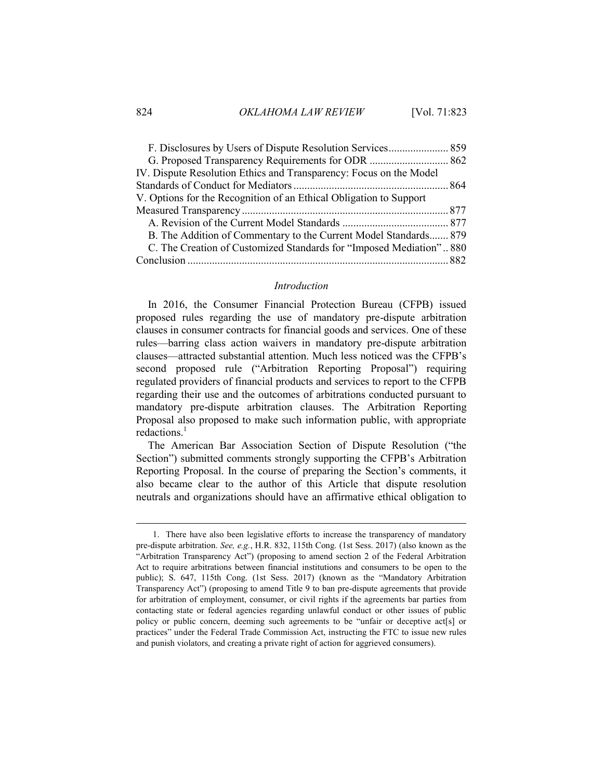| G. Proposed Transparency Requirements for ODR  862                  |  |
|---------------------------------------------------------------------|--|
| IV. Dispute Resolution Ethics and Transparency: Focus on the Model  |  |
|                                                                     |  |
| V. Options for the Recognition of an Ethical Obligation to Support  |  |
|                                                                     |  |
|                                                                     |  |
| B. The Addition of Commentary to the Current Model Standards 879    |  |
| C. The Creation of Customized Standards for "Imposed Mediation" 880 |  |
|                                                                     |  |
|                                                                     |  |

#### *Introduction*

<span id="page-2-0"></span>In 2016, the Consumer Financial Protection Bureau (CFPB) issued proposed rules regarding the use of mandatory pre-dispute arbitration clauses in consumer contracts for financial goods and services. One of these rules—barring class action waivers in mandatory pre-dispute arbitration clauses—attracted substantial attention. Much less noticed was the CFPB's second proposed rule ("Arbitration Reporting Proposal") requiring regulated providers of financial products and services to report to the CFPB regarding their use and the outcomes of arbitrations conducted pursuant to mandatory pre-dispute arbitration clauses. The Arbitration Reporting Proposal also proposed to make such information public, with appropriate redactions.<sup>1</sup>

The American Bar Association Section of Dispute Resolution ("the Section") submitted comments strongly supporting the CFPB's Arbitration Reporting Proposal. In the course of preparing the Section's comments, it also became clear to the author of this Article that dispute resolution neutrals and organizations should have an affirmative ethical obligation to

<sup>1.</sup> There have also been legislative efforts to increase the transparency of mandatory pre-dispute arbitration. *See, e.g.*, H.R. 832, 115th Cong. (1st Sess. 2017) (also known as the "Arbitration Transparency Act") (proposing to amend section 2 of the Federal Arbitration Act to require arbitrations between financial institutions and consumers to be open to the public); S. 647, 115th Cong. (1st Sess. 2017) (known as the "Mandatory Arbitration Transparency Act") (proposing to amend Title 9 to ban pre-dispute agreements that provide for arbitration of employment, consumer, or civil rights if the agreements bar parties from contacting state or federal agencies regarding unlawful conduct or other issues of public policy or public concern, deeming such agreements to be "unfair or deceptive act[s] or practices" under the Federal Trade Commission Act, instructing the FTC to issue new rules and punish violators, and creating a private right of action for aggrieved consumers).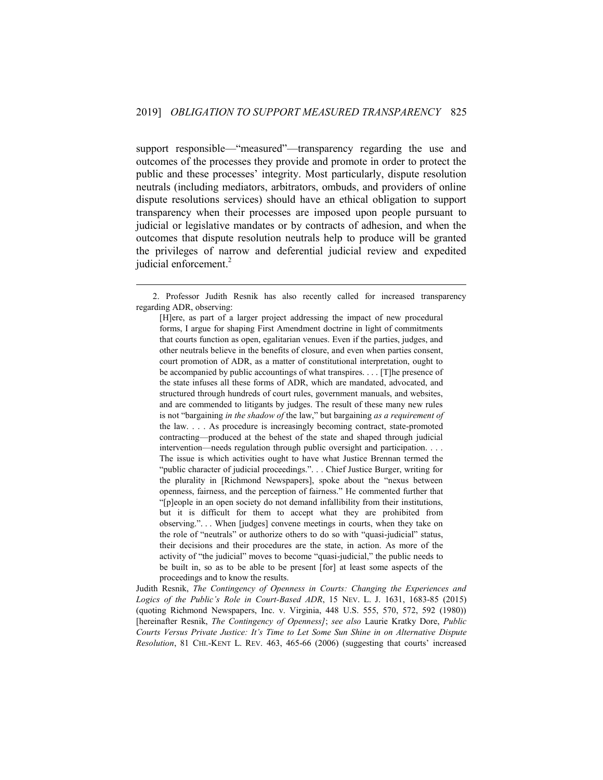support responsible—"measured"—transparency regarding the use and outcomes of the processes they provide and promote in order to protect the public and these processes' integrity. Most particularly, dispute resolution neutrals (including mediators, arbitrators, ombuds, and providers of online dispute resolutions services) should have an ethical obligation to support transparency when their processes are imposed upon people pursuant to judicial or legislative mandates or by contracts of adhesion, and when the outcomes that dispute resolution neutrals help to produce will be granted the privileges of narrow and deferential judicial review and expedited judicial enforcement.<sup>2</sup>

1

Judith Resnik, *The Contingency of Openness in Courts: Changing the Experiences and Logics of the Public's Role in Court-Based ADR*, 15 NEV. L. J. 1631, 1683-85 (2015) (quoting Richmond Newspapers, Inc. v. Virginia, 448 U.S. 555, 570, 572, 592 (1980)) [hereinafter Resnik, *The Contingency of Openness]*; *see also* Laurie Kratky Dore, *Public Courts Versus Private Justice: It's Time to Let Some Sun Shine in on Alternative Dispute Resolution*, 81 CHI.-KENT L. REV. 463, 465-66 (2006) (suggesting that courts' increased

<sup>2.</sup> Professor Judith Resnik has also recently called for increased transparency regarding ADR, observing:

<sup>[</sup>H]ere, as part of a larger project addressing the impact of new procedural forms, I argue for shaping First Amendment doctrine in light of commitments that courts function as open, egalitarian venues. Even if the parties, judges, and other neutrals believe in the benefits of closure, and even when parties consent, court promotion of ADR, as a matter of constitutional interpretation, ought to be accompanied by public accountings of what transpires. . . . [T]he presence of the state infuses all these forms of ADR, which are mandated, advocated, and structured through hundreds of court rules, government manuals, and websites, and are commended to litigants by judges. The result of these many new rules is not "bargaining *in the shadow of* the law," but bargaining *as a requirement of* the law. . . . As procedure is increasingly becoming contract, state-promoted contracting—produced at the behest of the state and shaped through judicial intervention—needs regulation through public oversight and participation. . . . The issue is which activities ought to have what Justice Brennan termed the "public character of judicial proceedings.". . . Chief Justice Burger, writing for the plurality in [Richmond Newspapers], spoke about the "nexus between openness, fairness, and the perception of fairness." He commented further that "[p]eople in an open society do not demand infallibility from their institutions, but it is difficult for them to accept what they are prohibited from observing.". . . When [judges] convene meetings in courts, when they take on the role of "neutrals" or authorize others to do so with "quasi-judicial" status, their decisions and their procedures are the state, in action. As more of the activity of "the judicial" moves to become "quasi-judicial," the public needs to be built in, so as to be able to be present [for] at least some aspects of the proceedings and to know the results.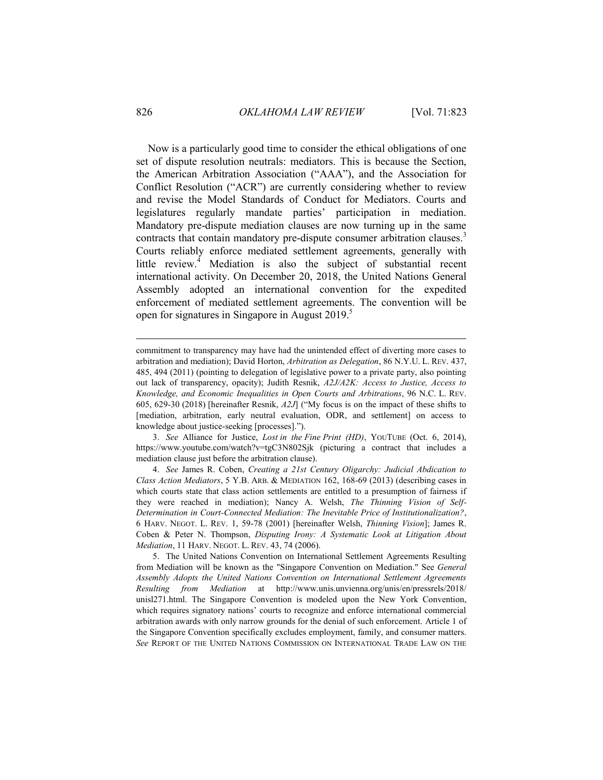Now is a particularly good time to consider the ethical obligations of one set of dispute resolution neutrals: mediators. This is because the Section, the American Arbitration Association ("AAA"), and the Association for Conflict Resolution ("ACR") are currently considering whether to review and revise the Model Standards of Conduct for Mediators. Courts and legislatures regularly mandate parties' participation in mediation. Mandatory pre-dispute mediation clauses are now turning up in the same contracts that contain mandatory pre-dispute consumer arbitration clauses.<sup>3</sup> Courts reliably enforce mediated settlement agreements, generally with little review.<sup>4</sup> Mediation is also the subject of substantial recent international activity. On December 20, 2018, the United Nations General Assembly adopted an international convention for the expedited enforcement of mediated settlement agreements. The convention will be open for signatures in Singapore in August 2019.<sup>5</sup>

3. *See* Alliance for Justice, *Lost in the Fine Print (HD)*, YOUTUBE (Oct. 6, 2014), https://www.youtube.com/watch?v=tgC3N802Sjk (picturing a contract that includes a mediation clause just before the arbitration clause).

4. *See* James R. Coben, *Creating a 21st Century Oligarchy: Judicial Abdication to Class Action Mediators*, 5 Y.B. ARB. & MEDIATION 162, 168-69 (2013) (describing cases in which courts state that class action settlements are entitled to a presumption of fairness if they were reached in mediation); Nancy A. Welsh, *The Thinning Vision of Self-Determination in Court-Connected Mediation: The Inevitable Price of Institutionalization?*, 6 HARV. NEGOT. L. REV. 1, 59-78 (2001) [hereinafter Welsh, *Thinning Vision*]; James R. Coben & Peter N. Thompson, *Disputing Irony: A Systematic Look at Litigation About Mediation*, 11 HARV. NEGOT. L. REV. 43, 74 (2006).

5. The United Nations Convention on International Settlement Agreements Resulting from Mediation will be known as the "Singapore Convention on Mediation." See *General Assembly Adopts the United Nations Convention on International Settlement Agreements Resulting from Mediation* at http://www.unis.unvienna.org/unis/en/pressrels/2018/ unisl271.html. The Singapore Convention is modeled upon the New York Convention, which requires signatory nations' courts to recognize and enforce international commercial arbitration awards with only narrow grounds for the denial of such enforcement. Article 1 of the Singapore Convention specifically excludes employment, family, and consumer matters. *See* REPORT OF THE UNITED NATIONS COMMISSION ON INTERNATIONAL TRADE LAW ON THE

commitment to transparency may have had the unintended effect of diverting more cases to arbitration and mediation); David Horton, *Arbitration as Delegation*, 86 N.Y.U. L. REV. 437, 485, 494 (2011) (pointing to delegation of legislative power to a private party, also pointing out lack of transparency, opacity); Judith Resnik, *A2J/A2K: Access to Justice, Access to Knowledge, and Economic Inequalities in Open Courts and Arbitrations*, 96 N.C. L. REV. 605, 629-30 (2018) [hereinafter Resnik, *A2J*] ("My focus is on the impact of these shifts to [mediation, arbitration, early neutral evaluation, ODR, and settlement] on access to knowledge about justice-seeking [processes].").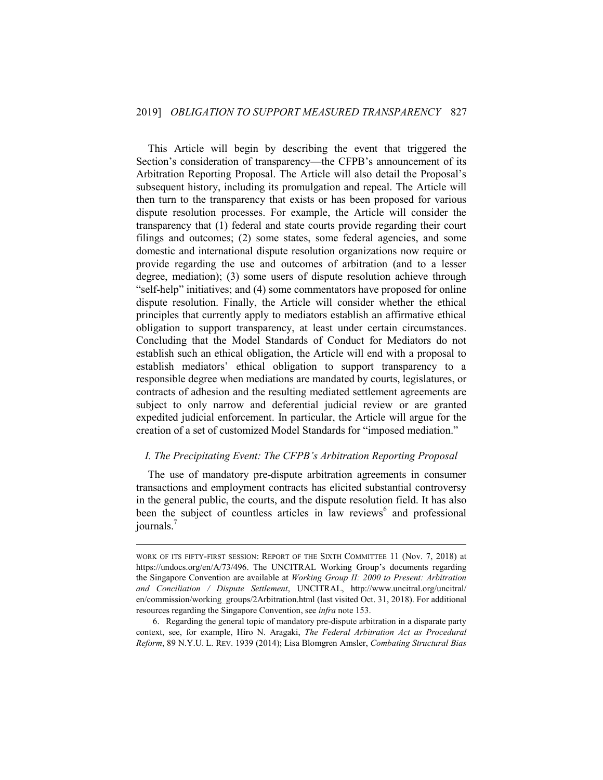This Article will begin by describing the event that triggered the Section's consideration of transparency—the CFPB's announcement of its Arbitration Reporting Proposal. The Article will also detail the Proposal's subsequent history, including its promulgation and repeal. The Article will then turn to the transparency that exists or has been proposed for various dispute resolution processes. For example, the Article will consider the transparency that (1) federal and state courts provide regarding their court filings and outcomes; (2) some states, some federal agencies, and some domestic and international dispute resolution organizations now require or provide regarding the use and outcomes of arbitration (and to a lesser degree, mediation); (3) some users of dispute resolution achieve through "self-help" initiatives; and (4) some commentators have proposed for online dispute resolution. Finally, the Article will consider whether the ethical principles that currently apply to mediators establish an affirmative ethical obligation to support transparency, at least under certain circumstances. Concluding that the Model Standards of Conduct for Mediators do not establish such an ethical obligation, the Article will end with a proposal to establish mediators' ethical obligation to support transparency to a responsible degree when mediations are mandated by courts, legislatures, or contracts of adhesion and the resulting mediated settlement agreements are subject to only narrow and deferential judicial review or are granted expedited judicial enforcement. In particular, the Article will argue for the creation of a set of customized Model Standards for "imposed mediation."

# <span id="page-5-0"></span>*I. The Precipitating Event: The CFPB's Arbitration Reporting Proposal*

The use of mandatory pre-dispute arbitration agreements in consumer transactions and employment contracts has elicited substantial controversy in the general public, the courts, and the dispute resolution field. It has also been the subject of countless articles in law reviews<sup>6</sup> and professional journals.<sup>7</sup>

WORK OF ITS FIFTY-FIRST SESSION: REPORT OF THE SIXTH COMMITTEE 11 (Nov. 7, 2018) at https://undocs.org/en/A/73/496. The UNCITRAL Working Group's documents regarding the Singapore Convention are available at *Working Group II: 2000 to Present: Arbitration and Conciliation / Dispute Settlement*, UNCITRAL, http://www.uncitral.org/uncitral/ en/commission/working\_groups/2Arbitration.html (last visited Oct. 31, 2018). For additional resources regarding the Singapore Convention, see *infra* note 153.

<sup>6.</sup> Regarding the general topic of mandatory pre-dispute arbitration in a disparate party context, see, for example, Hiro N. Aragaki, *The Federal Arbitration Act as Procedural Reform*, 89 N.Y.U. L. REV. 1939 (2014); Lisa Blomgren Amsler, *Combating Structural Bias*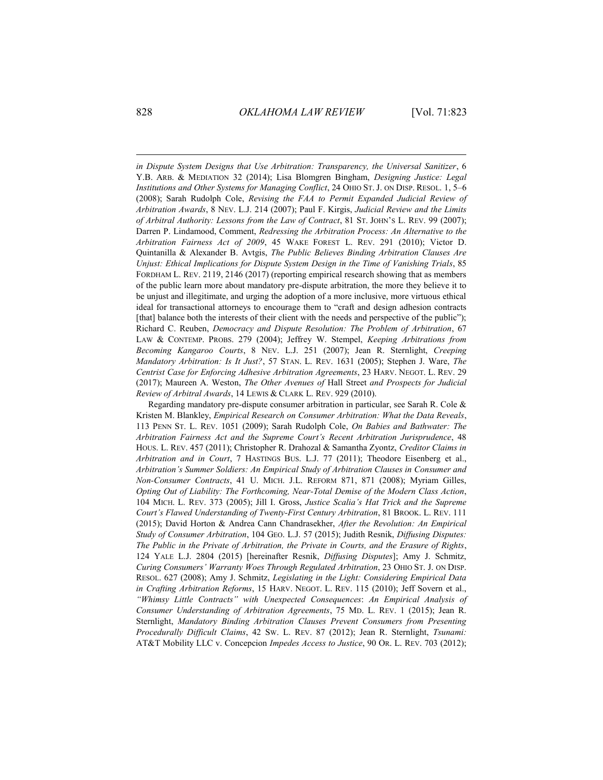*in Dispute System Designs that Use Arbitration: Transparency, the Universal Sanitizer*, 6 Y.B. ARB. & MEDIATION 32 (2014); Lisa Blomgren Bingham, *Designing Justice: Legal Institutions and Other Systems for Managing Conflict*, 24 OHIO ST. J. ON DISP. RESOL. 1, 5–6 (2008); Sarah Rudolph Cole, *Revising the FAA to Permit Expanded Judicial Review of Arbitration Awards*, 8 NEV. L.J. 214 (2007); Paul F. Kirgis, *Judicial Review and the Limits of Arbitral Authority: Lessons from the Law of Contract*, 81 ST. JOHN'S L. REV. 99 (2007); Darren P. Lindamood, Comment, *Redressing the Arbitration Process: An Alternative to the Arbitration Fairness Act of 2009*, 45 WAKE FOREST L. REV. 291 (2010); Victor D. Quintanilla & Alexander B. Avtgis, *The Public Believes Binding Arbitration Clauses Are Unjust: Ethical Implications for Dispute System Design in the Time of Vanishing Trials*, 85 FORDHAM L. REV. 2119, 2146 (2017) (reporting empirical research showing that as members of the public learn more about mandatory pre-dispute arbitration, the more they believe it to be unjust and illegitimate, and urging the adoption of a more inclusive, more virtuous ethical ideal for transactional attorneys to encourage them to "craft and design adhesion contracts [that] balance both the interests of their client with the needs and perspective of the public"); Richard C. Reuben, *Democracy and Dispute Resolution: The Problem of Arbitration*, 67 LAW & CONTEMP. PROBS. 279 (2004); Jeffrey W. Stempel, *Keeping Arbitrations from Becoming Kangaroo Courts*, 8 NEV. L.J. 251 (2007); Jean R. Sternlight, *Creeping Mandatory Arbitration: Is It Just?*, 57 STAN. L. REV. 1631 (2005); Stephen J. Ware, *The Centrist Case for Enforcing Adhesive Arbitration Agreements*, 23 HARV. NEGOT. L. REV. 29 (2017); Maureen A. Weston, *The Other Avenues of* Hall Street *and Prospects for Judicial Review of Arbitral Awards*, 14 LEWIS & CLARK L. REV. 929 (2010).

Regarding mandatory pre-dispute consumer arbitration in particular, see Sarah R. Cole & Kristen M. Blankley, *Empirical Research on Consumer Arbitration: What the Data Reveals*, 113 PENN ST. L. REV. 1051 (2009); Sarah Rudolph Cole, *On Babies and Bathwater: The Arbitration Fairness Act and the Supreme Court's Recent Arbitration Jurisprudence*, 48 HOUS. L. REV. 457 (2011); Christopher R. Drahozal & Samantha Zyontz, *Creditor Claims in Arbitration and in Court*, 7 HASTINGS BUS. L.J. 77 (2011); Theodore Eisenberg et al., *Arbitration's Summer Soldiers: An Empirical Study of Arbitration Clauses in Consumer and Non-Consumer Contracts*, 41 U. MICH. J.L. REFORM 871, 871 (2008); Myriam Gilles, *Opting Out of Liability: The Forthcoming, Near-Total Demise of the Modern Class Action*, 104 MICH. L. REV. 373 (2005); Jill I. Gross, *Justice Scalia's Hat Trick and the Supreme Court's Flawed Understanding of Twenty-First Century Arbitration*, 81 BROOK. L. REV. 111 (2015); David Horton & Andrea Cann Chandrasekher, *After the Revolution: An Empirical Study of Consumer Arbitration*, 104 GEO. L.J. 57 (2015); Judith Resnik, *Diffusing Disputes: The Public in the Private of Arbitration, the Private in Courts, and the Erasure of Rights*, 124 YALE L.J. 2804 (2015) [hereinafter Resnik, *Diffusing Disputes*]; Amy J. Schmitz, *Curing Consumers' Warranty Woes Through Regulated Arbitration*, 23 OHIO ST. J. ON DISP. RESOL. 627 (2008); Amy J. Schmitz, *Legislating in the Light: Considering Empirical Data in Crafting Arbitration Reforms*, 15 HARV. NEGOT. L. REV. 115 (2010); Jeff Sovern et al., *"Whimsy Little Contracts" with Unexpected Consequences*: *An Empirical Analysis of Consumer Understanding of Arbitration Agreements*, 75 MD. L. REV. 1 (2015); Jean R. Sternlight, *Mandatory Binding Arbitration Clauses Prevent Consumers from Presenting Procedurally Difficult Claims*, 42 SW. L. REV. 87 (2012); Jean R. Sternlight, *Tsunami:* AT&T Mobility LLC v. Concepcion *Impedes Access to Justice*, 90 OR. L. REV. 703 (2012);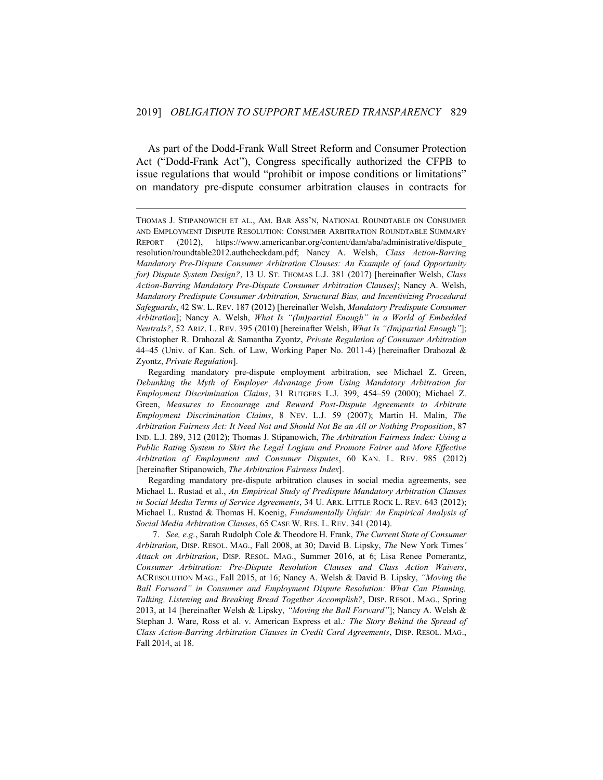As part of the Dodd-Frank Wall Street Reform and Consumer Protection Act ("Dodd-Frank Act"), Congress specifically authorized the CFPB to issue regulations that would "prohibit or impose conditions or limitations" on mandatory pre-dispute consumer arbitration clauses in contracts for

1

Regarding mandatory pre-dispute arbitration clauses in social media agreements, see Michael L. Rustad et al., *An Empirical Study of Predispute Mandatory Arbitration Clauses in Social Media Terms of Service Agreements*, 34 U. ARK. LITTLE ROCK L. REV. 643 (2012); Michael L. Rustad & Thomas H. Koenig, *Fundamentally Unfair: An Empirical Analysis of Social Media Arbitration Clauses*, 65 CASE W. RES. L. REV. 341 (2014).

7. *See, e.g.*, Sarah Rudolph Cole & Theodore H. Frank, *The Current State of Consumer Arbitration*, DISP. RESOL. MAG., Fall 2008, at 30; David B. Lipsky, *The* New York Times*' Attack on Arbitration*, DISP. RESOL. MAG., Summer 2016, at 6; Lisa Renee Pomerantz, *Consumer Arbitration: Pre-Dispute Resolution Clauses and Class Action Waivers*, ACRESOLUTION MAG., Fall 2015, at 16; Nancy A. Welsh & David B. Lipsky, *"Moving the Ball Forward" in Consumer and Employment Dispute Resolution: What Can Planning, Talking, Listening and Breaking Bread Together Accomplish?*, DISP. RESOL. MAG., Spring 2013, at 14 [hereinafter Welsh & Lipsky, *"Moving the Ball Forward"*]; Nancy A. Welsh & Stephan J. Ware, Ross et al. v. American Express et al.*: The Story Behind the Spread of Class Action-Barring Arbitration Clauses in Credit Card Agreements*, DISP. RESOL. MAG., Fall 2014, at 18.

THOMAS J. STIPANOWICH ET AL., AM. BAR ASS'N, NATIONAL ROUNDTABLE ON CONSUMER AND EMPLOYMENT DISPUTE RESOLUTION: CONSUMER ARBITRATION ROUNDTABLE SUMMARY REPORT (2012), https://www.americanbar.org/content/dam/aba/administrative/dispute\_ resolution/roundtable2012.authcheckdam.pdf; Nancy A. Welsh, *Class Action-Barring Mandatory Pre-Dispute Consumer Arbitration Clauses: An Example of (and Opportunity for) Dispute System Design?*, 13 U. ST. THOMAS L.J. 381 (2017) [hereinafter Welsh, *Class Action-Barring Mandatory Pre-Dispute Consumer Arbitration Clauses]*; Nancy A. Welsh, *Mandatory Predispute Consumer Arbitration, Structural Bias, and Incentivizing Procedural Safeguards*, 42 SW. L. REV. 187 (2012) [hereinafter Welsh, *Mandatory Predispute Consumer Arbitration*]; Nancy A. Welsh, *What Is "(Im)partial Enough" in a World of Embedded Neutrals?*, 52 ARIZ. L. REV. 395 (2010) [hereinafter Welsh, *What Is "(Im)partial Enough"*]; Christopher R. Drahozal & Samantha Zyontz, *Private Regulation of Consumer Arbitration* 44–45 (Univ. of Kan. Sch. of Law, Working Paper No. 2011-4) [hereinafter Drahozal & Zyontz, *Private Regulation*].

Regarding mandatory pre-dispute employment arbitration, see Michael Z. Green, *Debunking the Myth of Employer Advantage from Using Mandatory Arbitration for Employment Discrimination Claims*, 31 RUTGERS L.J. 399, 454–59 (2000); Michael Z. Green, *Measures to Encourage and Reward Post-Dispute Agreements to Arbitrate Employment Discrimination Claims*, 8 NEV. L.J. 59 (2007); Martin H. Malin, *The Arbitration Fairness Act: It Need Not and Should Not Be an All or Nothing Proposition*, 87 IND. L.J. 289, 312 (2012); Thomas J. Stipanowich, *The Arbitration Fairness Index: Using a Public Rating System to Skirt the Legal Logjam and Promote Fairer and More Effective Arbitration of Employment and Consumer Disputes*, 60 KAN. L. REV. 985 (2012) [hereinafter Stipanowich, *The Arbitration Fairness Index*].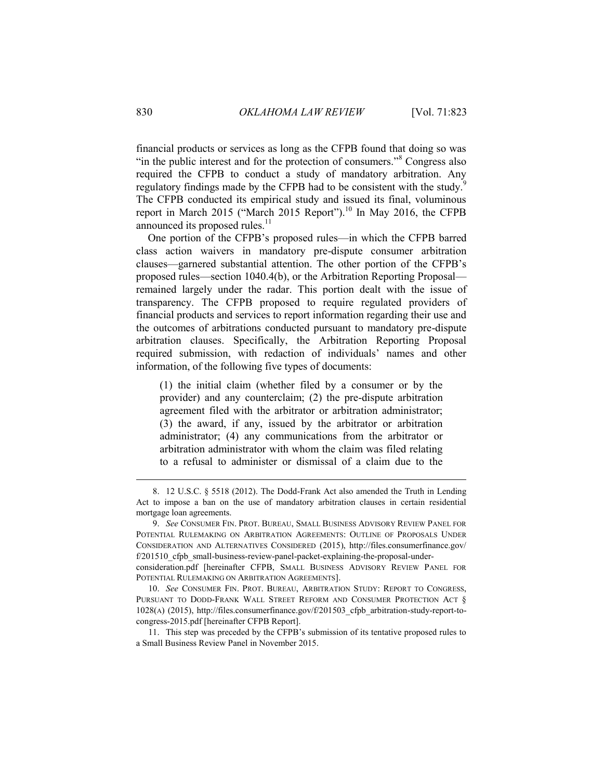financial products or services as long as the CFPB found that doing so was "in the public interest and for the protection of consumers."<sup>8</sup> Congress also required the CFPB to conduct a study of mandatory arbitration. Any regulatory findings made by the CFPB had to be consistent with the study.<sup>9</sup> The CFPB conducted its empirical study and issued its final, voluminous report in March 2015 ("March 2015 Report").<sup>10</sup> In May 2016, the CFPB announced its proposed rules.<sup>11</sup>

One portion of the CFPB's proposed rules—in which the CFPB barred class action waivers in mandatory pre-dispute consumer arbitration clauses—garnered substantial attention. The other portion of the CFPB's proposed rules—section 1040.4(b), or the Arbitration Reporting Proposal remained largely under the radar. This portion dealt with the issue of transparency. The CFPB proposed to require regulated providers of financial products and services to report information regarding their use and the outcomes of arbitrations conducted pursuant to mandatory pre-dispute arbitration clauses. Specifically, the Arbitration Reporting Proposal required submission, with redaction of individuals' names and other information, of the following five types of documents:

(1) the initial claim (whether filed by a consumer or by the provider) and any counterclaim; (2) the pre-dispute arbitration agreement filed with the arbitrator or arbitration administrator; (3) the award, if any, issued by the arbitrator or arbitration administrator; (4) any communications from the arbitrator or arbitration administrator with whom the claim was filed relating to a refusal to administer or dismissal of a claim due to the

11. This step was preceded by the CFPB's submission of its tentative proposed rules to a Small Business Review Panel in November 2015.

<sup>8.</sup> 12 U.S.C. § 5518 (2012). The Dodd-Frank Act also amended the Truth in Lending Act to impose a ban on the use of mandatory arbitration clauses in certain residential mortgage loan agreements.

<sup>9.</sup> *See* CONSUMER FIN. PROT. BUREAU, SMALL BUSINESS ADVISORY REVIEW PANEL FOR POTENTIAL RULEMAKING ON ARBITRATION AGREEMENTS: OUTLINE OF PROPOSALS UNDER CONSIDERATION AND ALTERNATIVES CONSIDERED (2015), http://files.consumerfinance.gov/ f/201510 cfpb small-business-review-panel-packet-explaining-the-proposal-under-

consideration.pdf [hereinafter CFPB, SMALL BUSINESS ADVISORY REVIEW PANEL FOR POTENTIAL RULEMAKING ON ARBITRATION AGREEMENTS].

<sup>10.</sup> *See* CONSUMER FIN. PROT. BUREAU, ARBITRATION STUDY: REPORT TO CONGRESS, PURSUANT TO DODD-FRANK WALL STREET REFORM AND CONSUMER PROTECTION ACT § 1028(A) (2015), http://files.consumerfinance.gov/f/201503\_cfpb\_arbitration-study-report-tocongress-2015.pdf [hereinafter CFPB Report].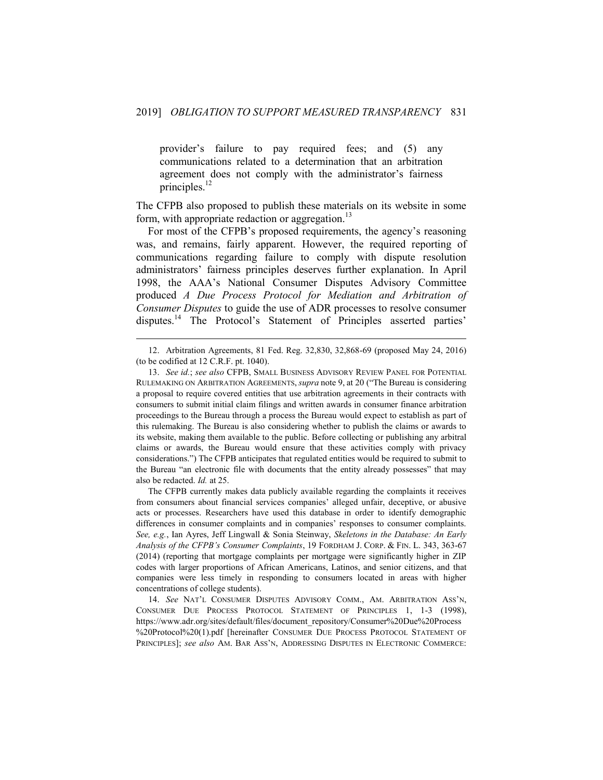provider's failure to pay required fees; and (5) any communications related to a determination that an arbitration agreement does not comply with the administrator's fairness principles.<sup>12</sup>

The CFPB also proposed to publish these materials on its website in some form, with appropriate redaction or aggregation.<sup>13</sup>

For most of the CFPB's proposed requirements, the agency's reasoning was, and remains, fairly apparent. However, the required reporting of communications regarding failure to comply with dispute resolution administrators' fairness principles deserves further explanation. In April 1998, the AAA's National Consumer Disputes Advisory Committee produced *A Due Process Protocol for Mediation and Arbitration of Consumer Disputes* to guide the use of ADR processes to resolve consumer disputes.<sup>14</sup> The Protocol's Statement of Principles asserted parties'

1

The CFPB currently makes data publicly available regarding the complaints it receives from consumers about financial services companies' alleged unfair, deceptive, or abusive acts or processes. Researchers have used this database in order to identify demographic differences in consumer complaints and in companies' responses to consumer complaints. *See, e.g.*, Ian Ayres, Jeff Lingwall & Sonia Steinway, *Skeletons in the Database: An Early Analysis of the CFPB's Consumer Complaints*, 19 FORDHAM J. CORP. & FIN. L. 343, 363-67 (2014) (reporting that mortgage complaints per mortgage were significantly higher in ZIP codes with larger proportions of African Americans, Latinos, and senior citizens, and that companies were less timely in responding to consumers located in areas with higher concentrations of college students).

14. *See* NAT'L CONSUMER DISPUTES ADVISORY COMM., AM. ARBITRATION ASS'N, CONSUMER DUE PROCESS PROTOCOL STATEMENT OF PRINCIPLES 1, 1-3 (1998), https://www.adr.org/sites/default/files/document\_repository/Consumer%20Due%20Process %20Protocol%20(1).pdf [hereinafter CONSUMER DUE PROCESS PROTOCOL STATEMENT OF PRINCIPLES]; *see also* AM. BAR ASS'N, ADDRESSING DISPUTES IN ELECTRONIC COMMERCE:

<sup>12.</sup> Arbitration Agreements, 81 Fed. Reg. 32,830, 32,868-69 (proposed May 24, 2016) (to be codified at 12 C.R.F. pt. 1040).

<sup>13.</sup> *See id.*; *see also* CFPB, SMALL BUSINESS ADVISORY REVIEW PANEL FOR POTENTIAL RULEMAKING ON ARBITRATION AGREEMENTS, *supra* note 9, at 20 ("The Bureau is considering a proposal to require covered entities that use arbitration agreements in their contracts with consumers to submit initial claim filings and written awards in consumer finance arbitration proceedings to the Bureau through a process the Bureau would expect to establish as part of this rulemaking. The Bureau is also considering whether to publish the claims or awards to its website, making them available to the public. Before collecting or publishing any arbitral claims or awards, the Bureau would ensure that these activities comply with privacy considerations.") The CFPB anticipates that regulated entities would be required to submit to the Bureau "an electronic file with documents that the entity already possesses" that may also be redacted. *Id.* at 25.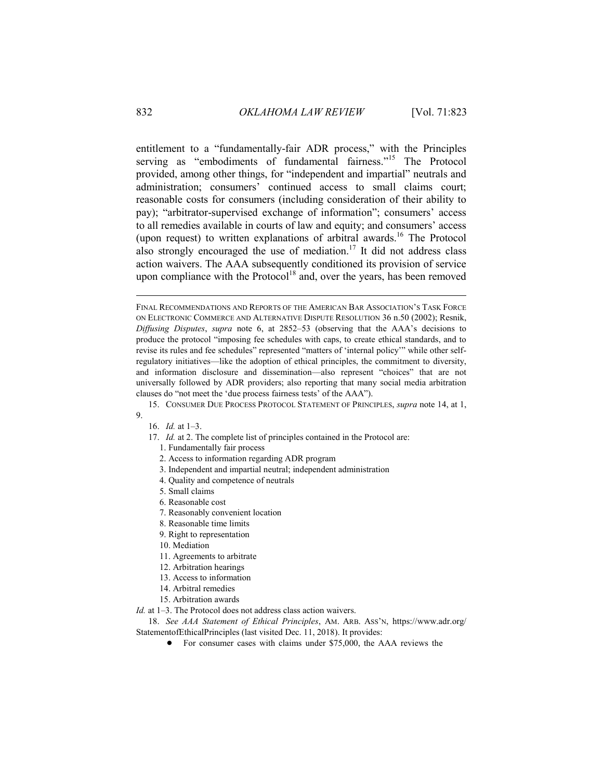entitlement to a "fundamentally-fair ADR process," with the Principles serving as "embodiments of fundamental fairness."<sup>15</sup> The Protocol provided, among other things, for "independent and impartial" neutrals and administration; consumers' continued access to small claims court; reasonable costs for consumers (including consideration of their ability to pay); "arbitrator-supervised exchange of information"; consumers' access to all remedies available in courts of law and equity; and consumers' access (upon request) to written explanations of arbitral awards.<sup>16</sup> The Protocol also strongly encouraged the use of mediation.<sup>17</sup> It did not address class action waivers. The AAA subsequently conditioned its provision of service upon compliance with the Protocol<sup>18</sup> and, over the years, has been removed

15. CONSUMER DUE PROCESS PROTOCOL STATEMENT OF PRINCIPLES, *supra* note 14, at 1, 9.

- 16. *Id.* at 1–3.
- 17. *Id.* at 2. The complete list of principles contained in the Protocol are:
	- 1. Fundamentally fair process
	- 2. Access to information regarding ADR program
	- 3. Independent and impartial neutral; independent administration
	- 4. Quality and competence of neutrals
	- 5. Small claims
	- 6. Reasonable cost
	- 7. Reasonably convenient location
	- 8. Reasonable time limits
	- 9. Right to representation
	- 10. Mediation
	- 11. Agreements to arbitrate
	- 12. Arbitration hearings
	- 13. Access to information
	- 14. Arbitral remedies
	- 15. Arbitration awards

*Id.* at 1–3. The Protocol does not address class action waivers.

18. *See AAA Statement of Ethical Principles*, AM. ARB. ASS'N, https://www.adr.org/ StatementofEthicalPrinciples (last visited Dec. 11, 2018). It provides:

! For consumer cases with claims under \$75,000, the AAA reviews the

FINAL RECOMMENDATIONS AND REPORTS OF THE AMERICAN BAR ASSOCIATION'S TASK FORCE ON ELECTRONIC COMMERCE AND ALTERNATIVE DISPUTE RESOLUTION 36 n.50 (2002); Resnik, *Diffusing Disputes*, *supra* note 6, at 2852–53 (observing that the AAA's decisions to produce the protocol "imposing fee schedules with caps, to create ethical standards, and to revise its rules and fee schedules" represented "matters of 'internal policy'" while other selfregulatory initiatives—like the adoption of ethical principles, the commitment to diversity, and information disclosure and dissemination—also represent "choices" that are not universally followed by ADR providers; also reporting that many social media arbitration clauses do "not meet the 'due process fairness tests' of the AAA").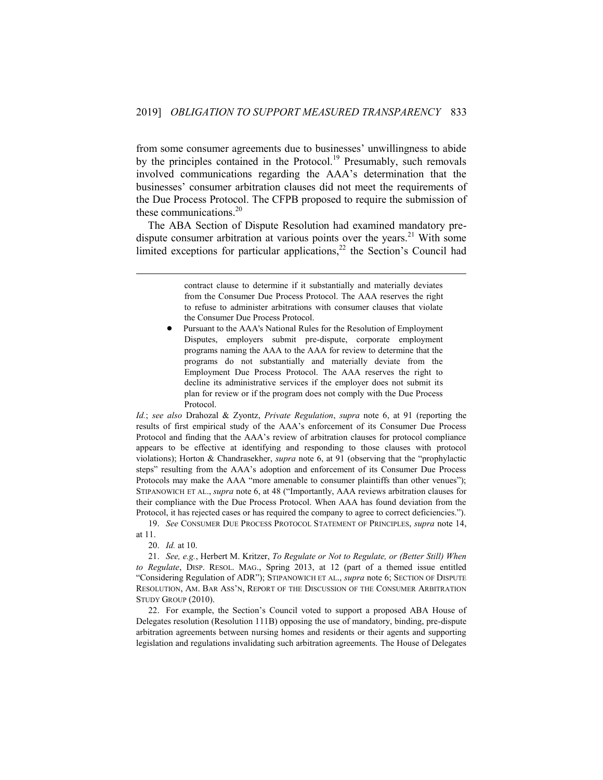from some consumer agreements due to businesses' unwillingness to abide by the principles contained in the Protocol.<sup>19</sup> Presumably, such removals involved communications regarding the AAA's determination that the businesses' consumer arbitration clauses did not meet the requirements of the Due Process Protocol. The CFPB proposed to require the submission of these communications.<sup>20</sup>

The ABA Section of Dispute Resolution had examined mandatory predispute consumer arbitration at various points over the years.<sup>21</sup> With some limited exceptions for particular applications,<sup>22</sup> the Section's Council had

> contract clause to determine if it substantially and materially deviates from the Consumer Due Process Protocol. The AAA reserves the right to refuse to administer arbitrations with consumer clauses that violate the Consumer Due Process Protocol.

! Pursuant to the AAA's National Rules for the Resolution of Employment Disputes, employers submit pre-dispute, corporate employment programs naming the AAA to the AAA for review to determine that the programs do not substantially and materially deviate from the Employment Due Process Protocol. The AAA reserves the right to decline its administrative services if the employer does not submit its plan for review or if the program does not comply with the Due Process Protocol.

*Id.*; *see also* Drahozal & Zyontz, *Private Regulation*, *supra* note 6, at 91 (reporting the results of first empirical study of the AAA's enforcement of its Consumer Due Process Protocol and finding that the AAA's review of arbitration clauses for protocol compliance appears to be effective at identifying and responding to those clauses with protocol violations); Horton & Chandrasekher, *supra* note 6, at 91 (observing that the "prophylactic steps" resulting from the AAA's adoption and enforcement of its Consumer Due Process Protocols may make the AAA "more amenable to consumer plaintiffs than other venues"); STIPANOWICH ET AL., *supra* note 6, at 48 ("Importantly, AAA reviews arbitration clauses for their compliance with the Due Process Protocol. When AAA has found deviation from the Protocol, it has rejected cases or has required the company to agree to correct deficiencies.").

19. *See* CONSUMER DUE PROCESS PROTOCOL STATEMENT OF PRINCIPLES, *supra* note 14, at 11.

20. *Id.* at 10.

1

21. *See, e.g.*, Herbert M. Kritzer, *To Regulate or Not to Regulate, or (Better Still) When to Regulate*, DISP. RESOL. MAG., Spring 2013, at 12 (part of a themed issue entitled "Considering Regulation of ADR"); STIPANOWICH ET AL., *supra* note 6; SECTION OF DISPUTE RESOLUTION, AM. BAR ASS'N, REPORT OF THE DISCUSSION OF THE CONSUMER ARBITRATION STUDY GROUP (2010).

22. For example, the Section's Council voted to support a proposed ABA House of Delegates resolution (Resolution 111B) opposing the use of mandatory, binding, pre-dispute arbitration agreements between nursing homes and residents or their agents and supporting legislation and regulations invalidating such arbitration agreements. The House of Delegates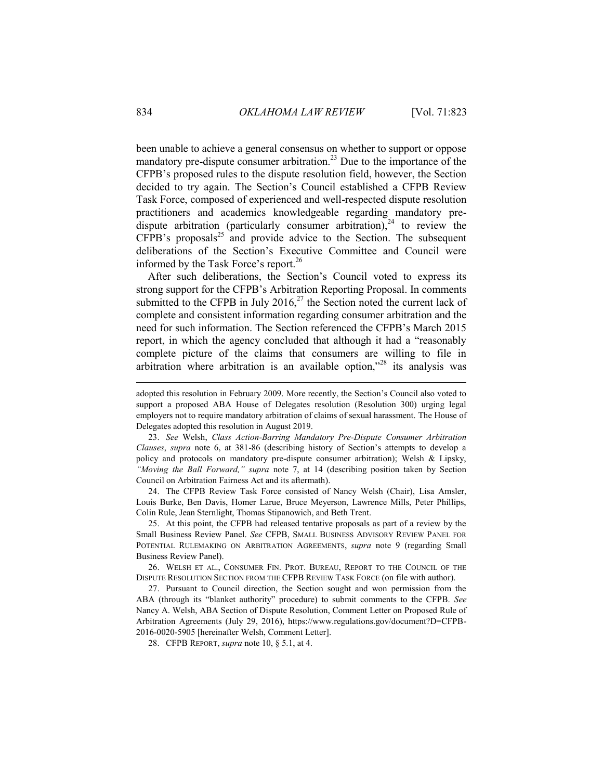been unable to achieve a general consensus on whether to support or oppose mandatory pre-dispute consumer arbitration.<sup>23</sup> Due to the importance of the CFPB's proposed rules to the dispute resolution field, however, the Section decided to try again. The Section's Council established a CFPB Review Task Force, composed of experienced and well-respected dispute resolution practitioners and academics knowledgeable regarding mandatory predispute arbitration (particularly consumer arbitration),  $24$  to review the  $CFPB's proposals<sup>25</sup>$  and provide advice to the Section. The subsequent deliberations of the Section's Executive Committee and Council were informed by the Task Force's report.<sup>26</sup>

After such deliberations, the Section's Council voted to express its strong support for the CFPB's Arbitration Reporting Proposal. In comments submitted to the CFPB in July 2016, $^{27}$  the Section noted the current lack of complete and consistent information regarding consumer arbitration and the need for such information. The Section referenced the CFPB's March 2015 report, in which the agency concluded that although it had a "reasonably complete picture of the claims that consumers are willing to file in arbitration where arbitration is an available option,"<sup>28</sup> its analysis was

24. The CFPB Review Task Force consisted of Nancy Welsh (Chair), Lisa Amsler, Louis Burke, Ben Davis, Homer Larue, Bruce Meyerson, Lawrence Mills, Peter Phillips, Colin Rule, Jean Sternlight, Thomas Stipanowich, and Beth Trent.

25. At this point, the CFPB had released tentative proposals as part of a review by the Small Business Review Panel. *See* CFPB, SMALL BUSINESS ADVISORY REVIEW PANEL FOR POTENTIAL RULEMAKING ON ARBITRATION AGREEMENTS, *supra* note 9 (regarding Small Business Review Panel).

26. WELSH ET AL., CONSUMER FIN. PROT. BUREAU, REPORT TO THE COUNCIL OF THE DISPUTE RESOLUTION SECTION FROM THE CFPB REVIEW TASK FORCE (on file with author).

27. Pursuant to Council direction, the Section sought and won permission from the ABA (through its "blanket authority" procedure) to submit comments to the CFPB. *See* Nancy A. Welsh, ABA Section of Dispute Resolution, Comment Letter on Proposed Rule of Arbitration Agreements (July 29, 2016), https://www.regulations.gov/document?D=CFPB-2016-0020-5905 [hereinafter Welsh, Comment Letter].

28. CFPB REPORT, *supra* note 10, § 5.1, at 4.

adopted this resolution in February 2009. More recently, the Section's Council also voted to support a proposed ABA House of Delegates resolution (Resolution 300) urging legal employers not to require mandatory arbitration of claims of sexual harassment. The House of Delegates adopted this resolution in August 2019.

<sup>23.</sup> *See* Welsh, *Class Action-Barring Mandatory Pre-Dispute Consumer Arbitration Clauses*, *supra* note 6, at 381-86 (describing history of Section's attempts to develop a policy and protocols on mandatory pre-dispute consumer arbitration); Welsh & Lipsky, *"Moving the Ball Forward," supra* note 7, at 14 (describing position taken by Section Council on Arbitration Fairness Act and its aftermath).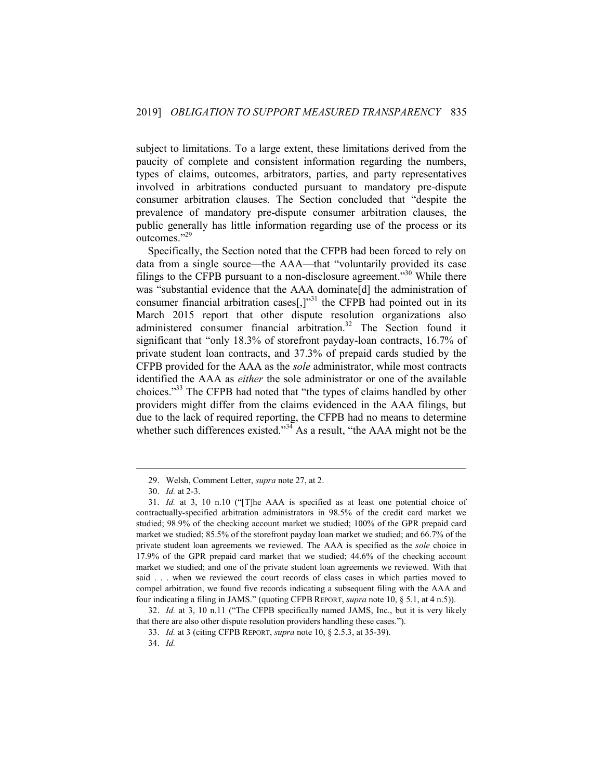subject to limitations. To a large extent, these limitations derived from the paucity of complete and consistent information regarding the numbers, types of claims, outcomes, arbitrators, parties, and party representatives involved in arbitrations conducted pursuant to mandatory pre-dispute consumer arbitration clauses. The Section concluded that "despite the prevalence of mandatory pre-dispute consumer arbitration clauses, the public generally has little information regarding use of the process or its outcomes."<sup>29</sup>

Specifically, the Section noted that the CFPB had been forced to rely on data from a single source—the AAA—that "voluntarily provided its case filings to the CFPB pursuant to a non-disclosure agreement.<sup>330</sup> While there was "substantial evidence that the AAA dominate[d] the administration of consumer financial arbitration cases $\left[,\right]^{3}$  the CFPB had pointed out in its March 2015 report that other dispute resolution organizations also administered consumer financial arbitration.<sup>32</sup> The Section found it significant that "only 18.3% of storefront payday-loan contracts, 16.7% of private student loan contracts, and 37.3% of prepaid cards studied by the CFPB provided for the AAA as the *sole* administrator, while most contracts identified the AAA as *either* the sole administrator or one of the available choices."<sup>33</sup> The CFPB had noted that "the types of claims handled by other providers might differ from the claims evidenced in the AAA filings, but due to the lack of required reporting, the CFPB had no means to determine whether such differences existed."<sup>34</sup> As a result, "the AAA might not be the

<sup>29.</sup> Welsh, Comment Letter, *supra* note 27, at 2.

<sup>30.</sup> *Id.* at 2-3.

<sup>31.</sup> *Id.* at 3, 10 n.10 ("[T]he AAA is specified as at least one potential choice of contractually-specified arbitration administrators in 98.5% of the credit card market we studied; 98.9% of the checking account market we studied; 100% of the GPR prepaid card market we studied; 85.5% of the storefront payday loan market we studied; and 66.7% of the private student loan agreements we reviewed. The AAA is specified as the *sole* choice in 17.9% of the GPR prepaid card market that we studied; 44.6% of the checking account market we studied; and one of the private student loan agreements we reviewed. With that said . . . when we reviewed the court records of class cases in which parties moved to compel arbitration, we found five records indicating a subsequent filing with the AAA and four indicating a filing in JAMS." (quoting CFPB REPORT, *supra* note 10, § 5.1, at 4 n.5)).

<sup>32.</sup> *Id.* at 3, 10 n.11 ("The CFPB specifically named JAMS, Inc., but it is very likely that there are also other dispute resolution providers handling these cases.").

<sup>33.</sup> *Id.* at 3 (citing CFPB REPORT, *supra* note 10, § 2.5.3, at 35-39).

<sup>34.</sup> *Id.*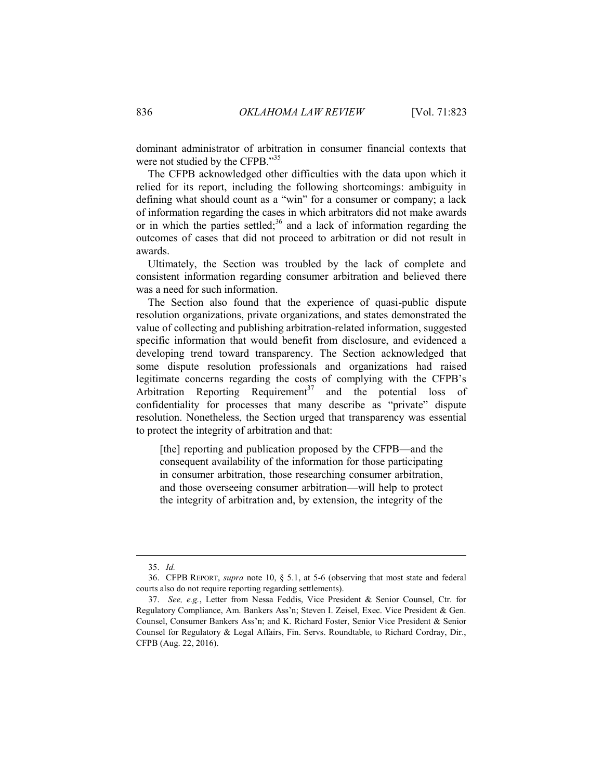dominant administrator of arbitration in consumer financial contexts that were not studied by the CFPB."<sup>35</sup>

The CFPB acknowledged other difficulties with the data upon which it relied for its report, including the following shortcomings: ambiguity in defining what should count as a "win" for a consumer or company; a lack of information regarding the cases in which arbitrators did not make awards or in which the parties settled;<sup>36</sup> and a lack of information regarding the outcomes of cases that did not proceed to arbitration or did not result in awards.

Ultimately, the Section was troubled by the lack of complete and consistent information regarding consumer arbitration and believed there was a need for such information.

The Section also found that the experience of quasi-public dispute resolution organizations, private organizations, and states demonstrated the value of collecting and publishing arbitration-related information, suggested specific information that would benefit from disclosure, and evidenced a developing trend toward transparency. The Section acknowledged that some dispute resolution professionals and organizations had raised legitimate concerns regarding the costs of complying with the CFPB's Arbitration Reporting Requirement<sup>37</sup> and the potential loss of confidentiality for processes that many describe as "private" dispute resolution. Nonetheless, the Section urged that transparency was essential to protect the integrity of arbitration and that:

[the] reporting and publication proposed by the CFPB—and the consequent availability of the information for those participating in consumer arbitration, those researching consumer arbitration, and those overseeing consumer arbitration—will help to protect the integrity of arbitration and, by extension, the integrity of the

<sup>35.</sup> *Id.*

<sup>36.</sup> CFPB REPORT, *supra* note 10, § 5.1, at 5-6 (observing that most state and federal courts also do not require reporting regarding settlements).

<sup>37.</sup> *See, e.g.*, Letter from Nessa Feddis, Vice President & Senior Counsel, Ctr. for Regulatory Compliance, Am. Bankers Ass'n; Steven I. Zeisel, Exec. Vice President & Gen. Counsel, Consumer Bankers Ass'n; and K. Richard Foster, Senior Vice President & Senior Counsel for Regulatory & Legal Affairs, Fin. Servs. Roundtable, to Richard Cordray, Dir., CFPB (Aug. 22, 2016).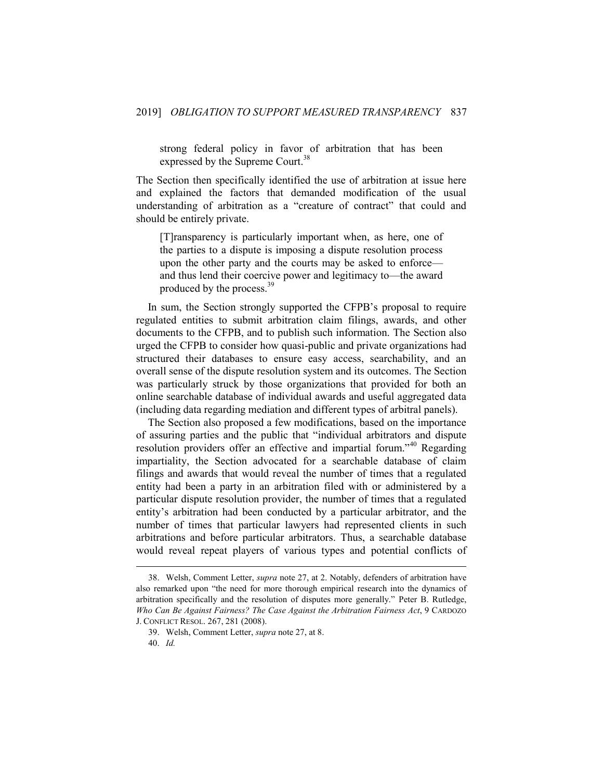strong federal policy in favor of arbitration that has been expressed by the Supreme Court.<sup>38</sup>

The Section then specifically identified the use of arbitration at issue here and explained the factors that demanded modification of the usual understanding of arbitration as a "creature of contract" that could and should be entirely private.

[T]ransparency is particularly important when, as here, one of the parties to a dispute is imposing a dispute resolution process upon the other party and the courts may be asked to enforce and thus lend their coercive power and legitimacy to—the award produced by the process.<sup>39</sup>

In sum, the Section strongly supported the CFPB's proposal to require regulated entities to submit arbitration claim filings, awards, and other documents to the CFPB, and to publish such information. The Section also urged the CFPB to consider how quasi-public and private organizations had structured their databases to ensure easy access, searchability, and an overall sense of the dispute resolution system and its outcomes. The Section was particularly struck by those organizations that provided for both an online searchable database of individual awards and useful aggregated data (including data regarding mediation and different types of arbitral panels).

The Section also proposed a few modifications, based on the importance of assuring parties and the public that "individual arbitrators and dispute resolution providers offer an effective and impartial forum."<sup>40</sup> Regarding impartiality, the Section advocated for a searchable database of claim filings and awards that would reveal the number of times that a regulated entity had been a party in an arbitration filed with or administered by a particular dispute resolution provider, the number of times that a regulated entity's arbitration had been conducted by a particular arbitrator, and the number of times that particular lawyers had represented clients in such arbitrations and before particular arbitrators. Thus, a searchable database would reveal repeat players of various types and potential conflicts of

<sup>38.</sup> Welsh, Comment Letter, *supra* note 27, at 2. Notably, defenders of arbitration have also remarked upon "the need for more thorough empirical research into the dynamics of arbitration specifically and the resolution of disputes more generally." Peter B. Rutledge, *Who Can Be Against Fairness? The Case Against the Arbitration Fairness Act*, 9 CARDOZO J. CONFLICT RESOL. 267, 281 (2008).

<sup>39.</sup> Welsh, Comment Letter, *supra* note 27, at 8.

<sup>40.</sup> *Id.*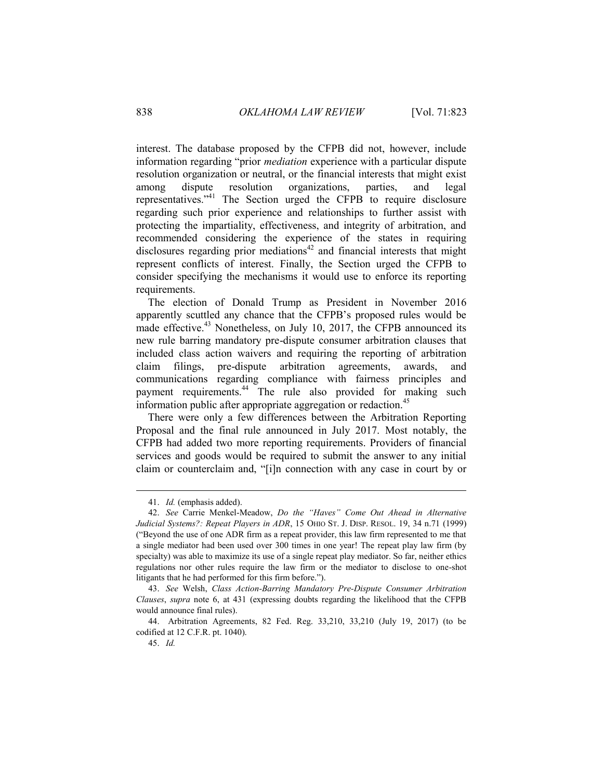interest. The database proposed by the CFPB did not, however, include information regarding "prior *mediation* experience with a particular dispute resolution organization or neutral, or the financial interests that might exist among dispute resolution organizations, parties, and legal representatives."<sup>41</sup> The Section urged the CFPB to require disclosure regarding such prior experience and relationships to further assist with protecting the impartiality, effectiveness, and integrity of arbitration, and recommended considering the experience of the states in requiring disclosures regarding prior mediations<sup>42</sup> and financial interests that might represent conflicts of interest. Finally, the Section urged the CFPB to consider specifying the mechanisms it would use to enforce its reporting requirements.

The election of Donald Trump as President in November 2016 apparently scuttled any chance that the CFPB's proposed rules would be made effective.<sup>43</sup> Nonetheless, on July 10, 2017, the CFPB announced its new rule barring mandatory pre-dispute consumer arbitration clauses that included class action waivers and requiring the reporting of arbitration claim filings, pre-dispute arbitration agreements, awards, and communications regarding compliance with fairness principles and payment requirements.<sup>44</sup> The rule also provided for making such information public after appropriate aggregation or redaction.<sup>45</sup>

There were only a few differences between the Arbitration Reporting Proposal and the final rule announced in July 2017. Most notably, the CFPB had added two more reporting requirements. Providers of financial services and goods would be required to submit the answer to any initial claim or counterclaim and, "[i]n connection with any case in court by or

<sup>41.</sup> *Id.* (emphasis added).

<sup>42.</sup> *See* Carrie Menkel-Meadow, *Do the "Haves" Come Out Ahead in Alternative Judicial Systems?: Repeat Players in ADR*, 15 OHIO ST. J. DISP. RESOL. 19, 34 n.71 (1999) ("Beyond the use of one ADR firm as a repeat provider, this law firm represented to me that a single mediator had been used over 300 times in one year! The repeat play law firm (by specialty) was able to maximize its use of a single repeat play mediator. So far, neither ethics regulations nor other rules require the law firm or the mediator to disclose to one-shot litigants that he had performed for this firm before.").

<sup>43.</sup> *See* Welsh, *Class Action-Barring Mandatory Pre-Dispute Consumer Arbitration Clauses*, *supra* note 6, at 431 (expressing doubts regarding the likelihood that the CFPB would announce final rules).

<sup>44.</sup> Arbitration Agreements, 82 Fed. Reg. 33,210, 33,210 (July 19, 2017) (to be codified at 12 C.F.R. pt. 1040).

<sup>45.</sup> *Id.*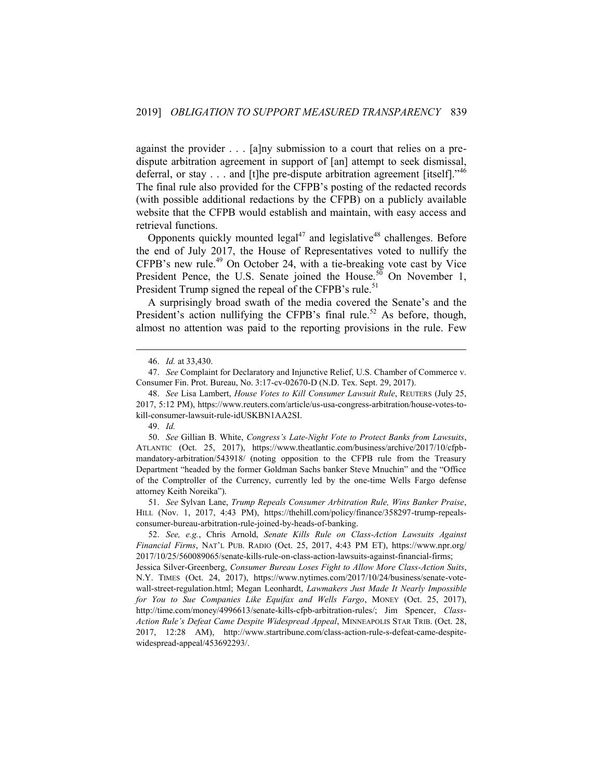against the provider . . . [a]ny submission to a court that relies on a predispute arbitration agreement in support of [an] attempt to seek dismissal, deferral, or stay  $\dots$  and [t]he pre-dispute arbitration agreement [itself].<sup>746</sup> The final rule also provided for the CFPB's posting of the redacted records (with possible additional redactions by the CFPB) on a publicly available website that the CFPB would establish and maintain, with easy access and retrieval functions.

Opponents quickly mounted  $\text{legal}^{47}$  and legislative<sup>48</sup> challenges. Before the end of July 2017, the House of Representatives voted to nullify the CFPB's new rule.<sup>49</sup> On October 24, with a tie-breaking vote cast by Vice President Pence, the U.S. Senate joined the House.<sup>50</sup> On November 1, President Trump signed the repeal of the CFPB's rule.<sup>51</sup>

A surprisingly broad swath of the media covered the Senate's and the President's action nullifying the CFPB's final rule.<sup>52</sup> As before, though, almost no attention was paid to the reporting provisions in the rule. Few

1

51. *See* Sylvan Lane, *Trump Repeals Consumer Arbitration Rule, Wins Banker Praise*, HILL (Nov. 1, 2017, 4:43 PM), https://thehill.com/policy/finance/358297-trump-repealsconsumer-bureau-arbitration-rule-joined-by-heads-of-banking.

<sup>46.</sup> *Id.* at 33,430.

<sup>47.</sup> *See* Complaint for Declaratory and Injunctive Relief, U.S. Chamber of Commerce v. Consumer Fin. Prot. Bureau, No. 3:17-cv-02670-D (N.D. Tex. Sept. 29, 2017).

<sup>48.</sup> *See* Lisa Lambert, *House Votes to Kill Consumer Lawsuit Rule*, REUTERS (July 25, 2017, 5:12 PM), https://www.reuters.com/article/us-usa-congress-arbitration/house-votes-tokill-consumer-lawsuit-rule-idUSKBN1AA2SI.

<sup>49.</sup> *Id.*

<sup>50.</sup> *See* Gillian B. White, *Congress's Late-Night Vote to Protect Banks from Lawsuits*, ATLANTIC (Oct. 25, 2017), https://www.theatlantic.com/business/archive/2017/10/cfpbmandatory-arbitration/543918/ (noting opposition to the CFPB rule from the Treasury Department "headed by the former Goldman Sachs banker Steve Mnuchin" and the "Office of the Comptroller of the Currency, currently led by the one-time Wells Fargo defense attorney Keith Noreika").

<sup>52.</sup> *See, e.g.*, Chris Arnold, *Senate Kills Rule on Class-Action Lawsuits Against Financial Firms*, NAT'L PUB. RADIO (Oct. 25, 2017, 4:43 PM ET), https://www.npr.org/ 2017/10/25/560089065/senate-kills-rule-on-class-action-lawsuits-against-financial-firms;

Jessica Silver-Greenberg, *Consumer Bureau Loses Fight to Allow More Class-Action Suits*, N.Y. TIMES (Oct. 24, 2017), https://www.nytimes.com/2017/10/24/business/senate-votewall-street-regulation.html; Megan Leonhardt, *Lawmakers Just Made It Nearly Impossible for You to Sue Companies Like Equifax and Wells Fargo*, MONEY (Oct. 25, 2017), http://time.com/money/4996613/senate-kills-cfpb-arbitration-rules/; Jim Spencer, *Class-Action Rule's Defeat Came Despite Widespread Appeal*, MINNEAPOLIS STAR TRIB. (Oct. 28, 2017, 12:28 AM), http://www.startribune.com/class-action-rule-s-defeat-came-despitewidespread-appeal/453692293/.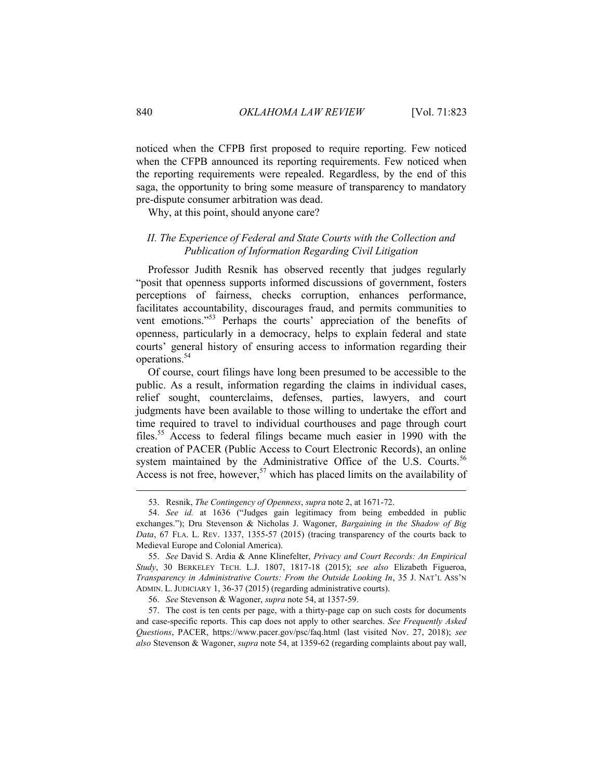noticed when the CFPB first proposed to require reporting. Few noticed when the CFPB announced its reporting requirements. Few noticed when the reporting requirements were repealed. Regardless, by the end of this saga, the opportunity to bring some measure of transparency to mandatory pre-dispute consumer arbitration was dead.

<span id="page-18-0"></span>Why, at this point, should anyone care?

# *II. The Experience of Federal and State Courts with the Collection and Publication of Information Regarding Civil Litigation*

Professor Judith Resnik has observed recently that judges regularly "posit that openness supports informed discussions of government, fosters perceptions of fairness, checks corruption, enhances performance, facilitates accountability, discourages fraud, and permits communities to vent emotions."<sup>53</sup> Perhaps the courts' appreciation of the benefits of openness, particularly in a democracy, helps to explain federal and state courts' general history of ensuring access to information regarding their operations.<sup>54</sup>

Of course, court filings have long been presumed to be accessible to the public. As a result, information regarding the claims in individual cases, relief sought, counterclaims, defenses, parties, lawyers, and court judgments have been available to those willing to undertake the effort and time required to travel to individual courthouses and page through court files.<sup>55</sup> Access to federal filings became much easier in 1990 with the creation of PACER (Public Access to Court Electronic Records), an online system maintained by the Administrative Office of the U.S. Courts.<sup>56</sup> Access is not free, however,<sup>57</sup> which has placed limits on the availability of

<sup>53.</sup> Resnik, *The Contingency of Openness*, *supra* note 2, at 1671-72.

<sup>54.</sup> *See id.* at 1636 ("Judges gain legitimacy from being embedded in public exchanges."); Dru Stevenson & Nicholas J. Wagoner, *Bargaining in the Shadow of Big Data*, 67 FLA. L. REV. 1337, 1355-57 (2015) (tracing transparency of the courts back to Medieval Europe and Colonial America).

<sup>55.</sup> *See* David S. Ardia & Anne Klinefelter, *Privacy and Court Records: An Empirical Study*, 30 BERKELEY TECH. L.J. 1807, 1817-18 (2015); *see also* Elizabeth Figueroa, *Transparency in Administrative Courts: From the Outside Looking In*, 35 J. NAT'L ASS'N ADMIN. L. JUDICIARY 1, 36-37 (2015) (regarding administrative courts).

<sup>56.</sup> *See* Stevenson & Wagoner, *supra* note 54, at 1357-59.

<sup>57.</sup> The cost is ten cents per page, with a thirty-page cap on such costs for documents and case-specific reports. This cap does not apply to other searches. *See Frequently Asked Questions*, PACER, https://www.pacer.gov/psc/faq.html (last visited Nov. 27, 2018); *see also* Stevenson & Wagoner, *supra* note 54, at 1359-62 (regarding complaints about pay wall,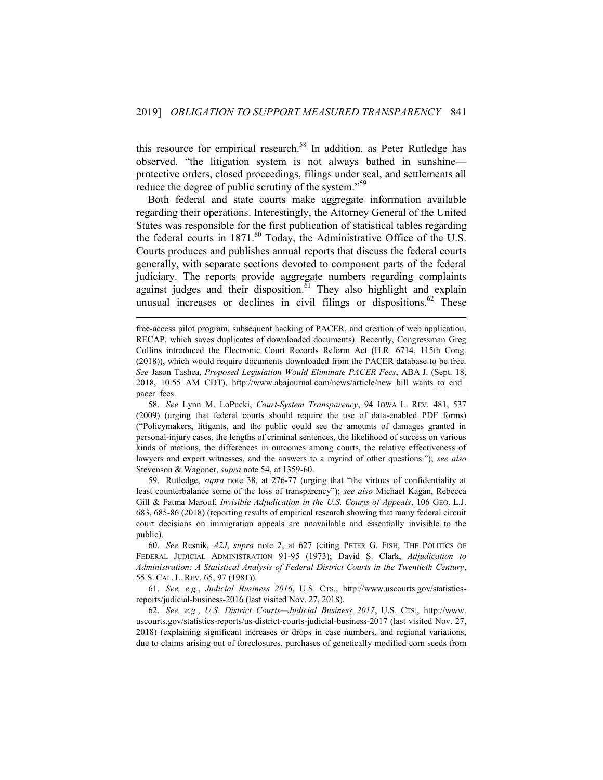this resource for empirical research.<sup>58</sup> In addition, as Peter Rutledge has observed, "the litigation system is not always bathed in sunshine protective orders, closed proceedings, filings under seal, and settlements all reduce the degree of public scrutiny of the system."<sup>59</sup>

Both federal and state courts make aggregate information available regarding their operations. Interestingly, the Attorney General of the United States was responsible for the first publication of statistical tables regarding the federal courts in  $1871.^{60}$  Today, the Administrative Office of the U.S. Courts produces and publishes annual reports that discuss the federal courts generally, with separate sections devoted to component parts of the federal judiciary. The reports provide aggregate numbers regarding complaints against judges and their disposition.<sup>61</sup> They also highlight and explain unusual increases or declines in civil filings or dispositions. $62$  These

1

59. Rutledge, *supra* note 38, at 276-77 (urging that "the virtues of confidentiality at least counterbalance some of the loss of transparency"); *see also* Michael Kagan, Rebecca Gill & Fatma Marouf, *Invisible Adjudication in the U.S. Courts of Appeals*, 106 GEO. L.J. 683, 685-86 (2018) (reporting results of empirical research showing that many federal circuit court decisions on immigration appeals are unavailable and essentially invisible to the public).

61. *See, e.g.*, *Judicial Business 2016*, U.S. CTS., http://www.uscourts.gov/statisticsreports/judicial-business-2016 (last visited Nov. 27, 2018).

62. *See, e.g.*, *U.S. District Courts—Judicial Business 2017*, U.S. CTS., http://www. uscourts.gov/statistics-reports/us-district-courts-judicial-business-2017 (last visited Nov. 27, 2018) (explaining significant increases or drops in case numbers, and regional variations, due to claims arising out of foreclosures, purchases of genetically modified corn seeds from

free-access pilot program, subsequent hacking of PACER, and creation of web application, RECAP, which saves duplicates of downloaded documents). Recently, Congressman Greg Collins introduced the Electronic Court Records Reform Act (H.R. 6714, 115th Cong. (2018)), which would require documents downloaded from the PACER database to be free. *See* Jason Tashea, *Proposed Legislation Would Eliminate PACER Fees*, ABA J. (Sept. 18, 2018, 10:55 AM CDT), http://www.abajournal.com/news/article/new\_bill\_wants\_to\_end\_ pacer fees.

<sup>58.</sup> *See* Lynn M. LoPucki, *Court-System Transparency*, 94 IOWA L. REV. 481, 537 (2009) (urging that federal courts should require the use of data-enabled PDF forms) ("Policymakers, litigants, and the public could see the amounts of damages granted in personal-injury cases, the lengths of criminal sentences, the likelihood of success on various kinds of motions, the differences in outcomes among courts, the relative effectiveness of lawyers and expert witnesses, and the answers to a myriad of other questions."); *see also* Stevenson & Wagoner, *supra* note 54, at 1359-60.

<sup>60.</sup> *See* Resnik, *A2J*, *supra* note 2, at 627 (citing PETER G. FISH, THE POLITICS OF FEDERAL JUDICIAL ADMINISTRATION 91-95 (1973); David S. Clark, *Adjudication to Administration: A Statistical Analysis of Federal District Courts in the Twentieth Century*, 55 S. CAL. L. REV. 65, 97 (1981)).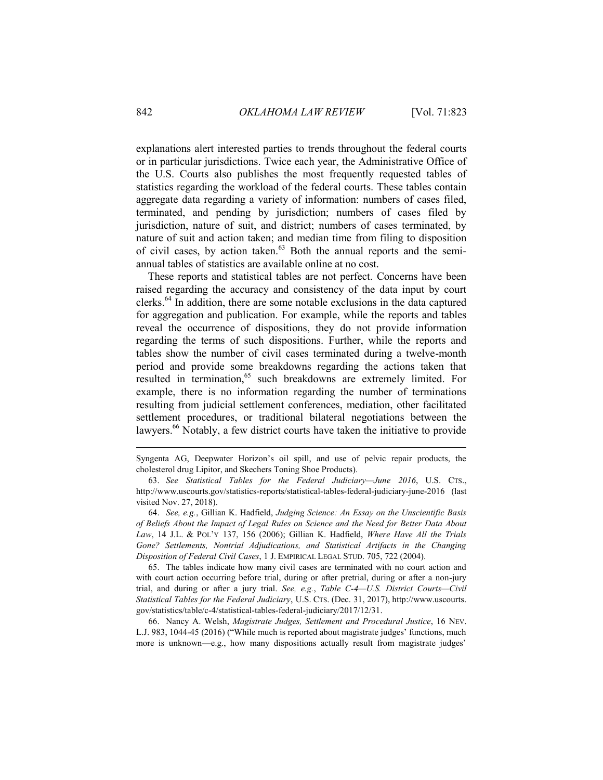explanations alert interested parties to trends throughout the federal courts or in particular jurisdictions. Twice each year, the Administrative Office of the U.S. Courts also publishes the most frequently requested tables of statistics regarding the workload of the federal courts. These tables contain aggregate data regarding a variety of information: numbers of cases filed, terminated, and pending by jurisdiction; numbers of cases filed by jurisdiction, nature of suit, and district; numbers of cases terminated, by nature of suit and action taken; and median time from filing to disposition of civil cases, by action taken. $63$  Both the annual reports and the semiannual tables of statistics are available online at no cost.

These reports and statistical tables are not perfect. Concerns have been raised regarding the accuracy and consistency of the data input by court clerks.<sup>64</sup> In addition, there are some notable exclusions in the data captured for aggregation and publication. For example, while the reports and tables reveal the occurrence of dispositions, they do not provide information regarding the terms of such dispositions. Further, while the reports and tables show the number of civil cases terminated during a twelve-month period and provide some breakdowns regarding the actions taken that resulted in termination,<sup>65</sup> such breakdowns are extremely limited. For example, there is no information regarding the number of terminations resulting from judicial settlement conferences, mediation, other facilitated settlement procedures, or traditional bilateral negotiations between the lawyers.<sup>66</sup> Notably, a few district courts have taken the initiative to provide

64. *See, e.g.*, Gillian K. Hadfield, *Judging Science: An Essay on the Unscientific Basis of Beliefs About the Impact of Legal Rules on Science and the Need for Better Data About Law*, 14 J.L. & POL'Y 137, 156 (2006); Gillian K. Hadfield, *Where Have All the Trials Gone? Settlements, Nontrial Adjudications, and Statistical Artifacts in the Changing Disposition of Federal Civil Cases*, 1 J. EMPIRICAL LEGAL STUD. 705, 722 (2004).

65. The tables indicate how many civil cases are terminated with no court action and with court action occurring before trial, during or after pretrial, during or after a non-jury trial, and during or after a jury trial. *See, e.g.*, *Table C-4—U.S. District Courts—Civil Statistical Tables for the Federal Judiciary*, U.S. CTS. (Dec. 31, 2017), http://www.uscourts. gov/statistics/table/c-4/statistical-tables-federal-judiciary/2017/12/31.

66. Nancy A. Welsh, *Magistrate Judges, Settlement and Procedural Justice*, 16 NEV. L.J. 983, 1044-45 (2016) ("While much is reported about magistrate judges' functions, much more is unknown—e.g., how many dispositions actually result from magistrate judges'

Syngenta AG, Deepwater Horizon's oil spill, and use of pelvic repair products, the cholesterol drug Lipitor, and Skechers Toning Shoe Products).

<sup>63.</sup> *See Statistical Tables for the Federal Judiciary—June 2016*, U.S. CTS., http://www.uscourts.gov/statistics-reports/statistical-tables-federal-judiciary-june-2016 (last visited Nov. 27, 2018).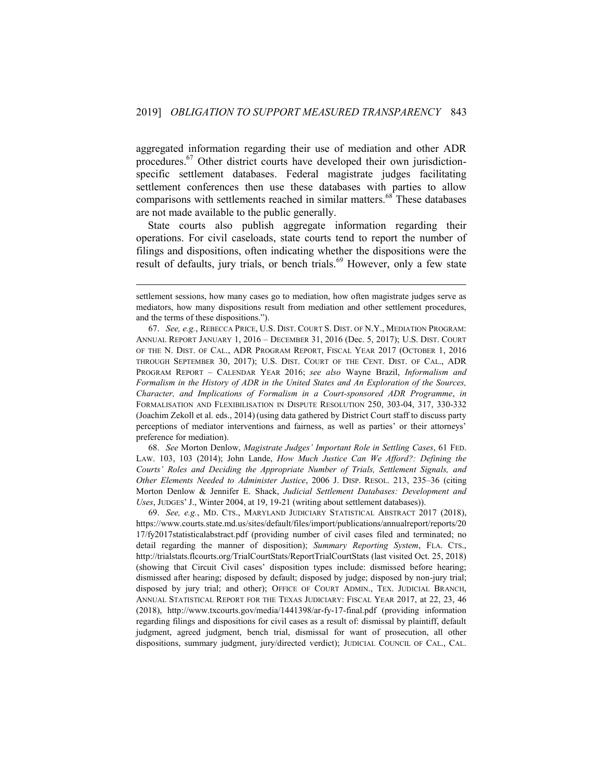aggregated information regarding their use of mediation and other ADR procedures.<sup>67</sup> Other district courts have developed their own jurisdictionspecific settlement databases. Federal magistrate judges facilitating settlement conferences then use these databases with parties to allow comparisons with settlements reached in similar matters.<sup>68</sup> These databases are not made available to the public generally.

State courts also publish aggregate information regarding their operations. For civil caseloads, state courts tend to report the number of filings and dispositions, often indicating whether the dispositions were the result of defaults, jury trials, or bench trials.<sup>69</sup> However, only a few state

1

68. *See* Morton Denlow, *Magistrate Judges' Important Role in Settling Cases*, 61 FED. LAW. 103, 103 (2014); John Lande, *How Much Justice Can We Afford?: Defining the Courts' Roles and Deciding the Appropriate Number of Trials, Settlement Signals, and Other Elements Needed to Administer Justice*, 2006 J. DISP. RESOL. 213, 235–36 (citing Morton Denlow & Jennifer E. Shack, *Judicial Settlement Databases: Development and Uses*, JUDGES' J., Winter 2004, at 19, 19-21 (writing about settlement databases)).

69. *See, e.g.*, MD. CTS., MARYLAND JUDICIARY STATISTICAL ABSTRACT 2017 (2018), https://www.courts.state.md.us/sites/default/files/import/publications/annualreport/reports/20 17/fy2017statisticalabstract.pdf (providing number of civil cases filed and terminated; no detail regarding the manner of disposition); *Summary Reporting System*, FLA. CTS., http://trialstats.flcourts.org/TrialCourtStats/ReportTrialCourtStats (last visited Oct. 25, 2018) (showing that Circuit Civil cases' disposition types include: dismissed before hearing; dismissed after hearing; disposed by default; disposed by judge; disposed by non-jury trial; disposed by jury trial; and other); OFFICE OF COURT ADMIN., TEX. JUDICIAL BRANCH, ANNUAL STATISTICAL REPORT FOR THE TEXAS JUDICIARY: FISCAL YEAR 2017, at 22, 23, 46 (2018), http://www.txcourts.gov/media/1441398/ar-fy-17-final.pdf (providing information regarding filings and dispositions for civil cases as a result of: dismissal by plaintiff, default judgment, agreed judgment, bench trial, dismissal for want of prosecution, all other dispositions, summary judgment, jury/directed verdict); JUDICIAL COUNCIL OF CAL., CAL.

settlement sessions, how many cases go to mediation, how often magistrate judges serve as mediators, how many dispositions result from mediation and other settlement procedures, and the terms of these dispositions.").

<sup>67.</sup> *See, e.g.*, REBECCA PRICE, U.S. DIST. COURT S. DIST. OF N.Y., MEDIATION PROGRAM: ANNUAL REPORT JANUARY 1, 2016 – DECEMBER 31, 2016 (Dec. 5, 2017); U.S. DIST. COURT OF THE N. DIST. OF CAL., ADR PROGRAM REPORT, FISCAL YEAR 2017 (OCTOBER 1, 2016 THROUGH SEPTEMBER 30, 2017); U.S. DIST. COURT OF THE CENT. DIST. OF CAL., ADR PROGRAM REPORT – CALENDAR YEAR 2016; *see also* Wayne Brazil, *Informalism and Formalism in the History of ADR in the United States and An Exploration of the Sources, Character, and Implications of Formalism in a Court-sponsored ADR Programme*, *in* FORMALISATION AND FLEXIBILISATION IN DISPUTE RESOLUTION 250, 303-04, 317, 330-332 (Joachim Zekoll et al. eds., 2014) (using data gathered by District Court staff to discuss party perceptions of mediator interventions and fairness, as well as parties' or their attorneys' preference for mediation).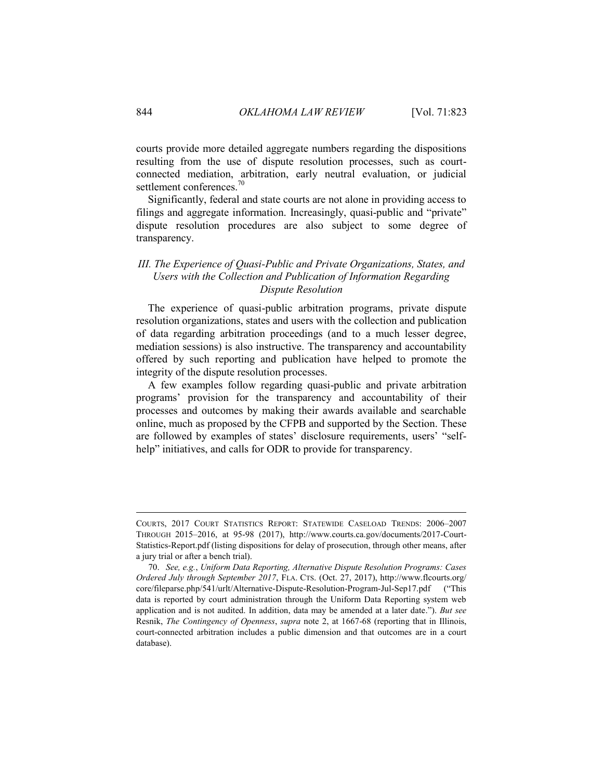courts provide more detailed aggregate numbers regarding the dispositions resulting from the use of dispute resolution processes, such as courtconnected mediation, arbitration, early neutral evaluation, or judicial settlement conferences.<sup>70</sup>

Significantly, federal and state courts are not alone in providing access to filings and aggregate information. Increasingly, quasi-public and "private" dispute resolution procedures are also subject to some degree of transparency.

# <span id="page-22-0"></span>*III. The Experience of Quasi-Public and Private Organizations, States, and Users with the Collection and Publication of Information Regarding Dispute Resolution*

The experience of quasi-public arbitration programs, private dispute resolution organizations, states and users with the collection and publication of data regarding arbitration proceedings (and to a much lesser degree, mediation sessions) is also instructive. The transparency and accountability offered by such reporting and publication have helped to promote the integrity of the dispute resolution processes.

A few examples follow regarding quasi-public and private arbitration programs' provision for the transparency and accountability of their processes and outcomes by making their awards available and searchable online, much as proposed by the CFPB and supported by the Section. These are followed by examples of states' disclosure requirements, users' "selfhelp" initiatives, and calls for ODR to provide for transparency.

COURTS, 2017 COURT STATISTICS REPORT: STATEWIDE CASELOAD TRENDS: 2006–2007 THROUGH 2015–2016, at 95-98 (2017), http://www.courts.ca.gov/documents/2017-Court-Statistics-Report.pdf (listing dispositions for delay of prosecution, through other means, after a jury trial or after a bench trial).

<sup>70.</sup> *See, e.g.*, *Uniform Data Reporting, Alternative Dispute Resolution Programs: Cases Ordered July through September 2017*, FLA. CTS. (Oct. 27, 2017), http://www.flcourts.org/ core/fileparse.php/541/urlt/Alternative-Dispute-Resolution-Program-Jul-Sep17.pdf ("This data is reported by court administration through the Uniform Data Reporting system web application and is not audited. In addition, data may be amended at a later date."). *But see* Resnik, *The Contingency of Openness*, *supra* note 2, at 1667-68 (reporting that in Illinois, court-connected arbitration includes a public dimension and that outcomes are in a court database).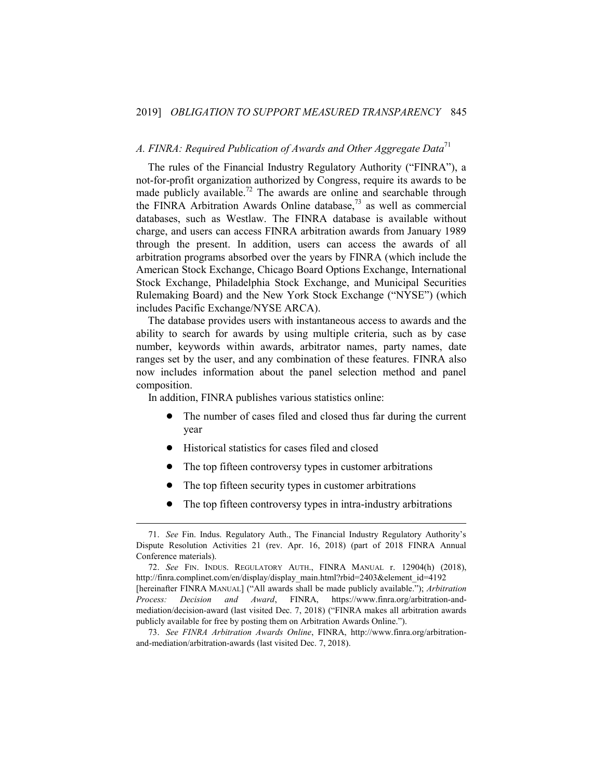# <span id="page-23-0"></span>*A. FINRA: Required Publication of Awards and Other Aggregate Data*<sup>71</sup>

The rules of the Financial Industry Regulatory Authority ("FINRA"), a not-for-profit organization authorized by Congress, require its awards to be made publicly available.<sup>72</sup> The awards are online and searchable through the FINRA Arbitration Awards Online database, $^{73}$  as well as commercial databases, such as Westlaw. The FINRA database is available without charge, and users can access FINRA arbitration awards from January 1989 through the present. In addition, users can access the awards of all arbitration programs absorbed over the years by FINRA (which include the American Stock Exchange, Chicago Board Options Exchange, International Stock Exchange, Philadelphia Stock Exchange, and Municipal Securities Rulemaking Board) and the New York Stock Exchange ("NYSE") (which includes Pacific Exchange/NYSE ARCA).

The database provides users with instantaneous access to awards and the ability to search for awards by using multiple criteria, such as by case number, keywords within awards, arbitrator names, party names, date ranges set by the user, and any combination of these features. FINRA also now includes information about the panel selection method and panel composition.

In addition, FINRA publishes various statistics online:

- The number of cases filed and closed thus far during the current year
- ! Historical statistics for cases filed and closed

- ! The top fifteen controversy types in customer arbitrations
- ! The top fifteen security types in customer arbitrations
- ! The top fifteen controversy types in intra-industry arbitrations

<sup>71.</sup> *See* Fin. Indus. Regulatory Auth., The Financial Industry Regulatory Authority's Dispute Resolution Activities 21 (rev. Apr. 16, 2018) (part of 2018 FINRA Annual Conference materials).

<sup>72.</sup> *See* FIN. INDUS. REGULATORY AUTH., FINRA MANUAL r. 12904(h) (2018), http://finra.complinet.com/en/display/display\_main.html?rbid=2403&element\_id=4192 [hereinafter FINRA MANUAL] ("All awards shall be made publicly available."); *Arbitration Process: Decision and Award*, FINRA, https://www.finra.org/arbitration-andmediation/decision-award (last visited Dec. 7, 2018) ("FINRA makes all arbitration awards publicly available for free by posting them on Arbitration Awards Online.").

<sup>73.</sup> *See FINRA Arbitration Awards Online*, FINRA, http://www.finra.org/arbitrationand-mediation/arbitration-awards (last visited Dec. 7, 2018).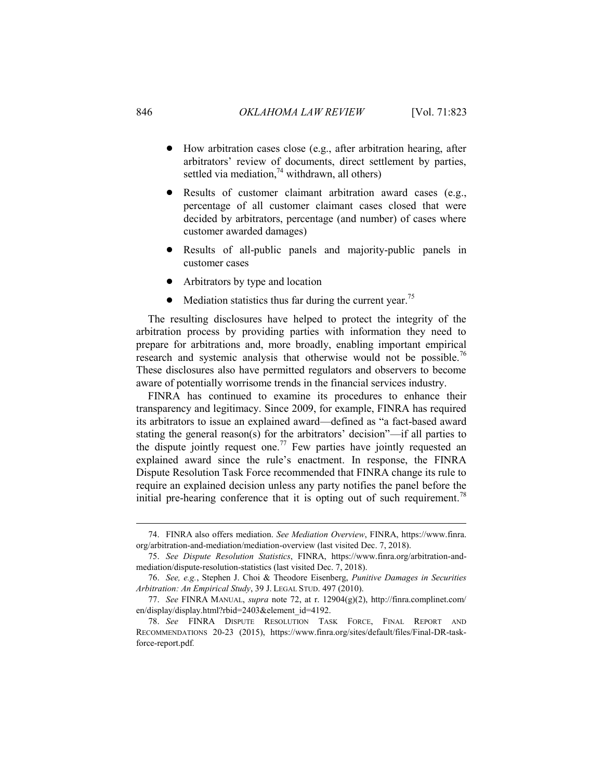- ! How arbitration cases close (e.g., after arbitration hearing, after arbitrators' review of documents, direct settlement by parties, settled via mediation,<sup>74</sup> withdrawn, all others)
- Results of customer claimant arbitration award cases (e.g., percentage of all customer claimant cases closed that were decided by arbitrators, percentage (and number) of cases where customer awarded damages)
- Results of all-public panels and majority-public panels in customer cases
- ! Arbitrators by type and location
- Mediation statistics thus far during the current year.<sup>75</sup>

The resulting disclosures have helped to protect the integrity of the arbitration process by providing parties with information they need to prepare for arbitrations and, more broadly, enabling important empirical research and systemic analysis that otherwise would not be possible.<sup>76</sup> These disclosures also have permitted regulators and observers to become aware of potentially worrisome trends in the financial services industry.

FINRA has continued to examine its procedures to enhance their transparency and legitimacy. Since 2009, for example, FINRA has required its arbitrators to issue an explained award—defined as "a fact-based award stating the general reason(s) for the arbitrators' decision"—if all parties to the dispute jointly request one.<sup>77</sup> Few parties have jointly requested an explained award since the rule's enactment. In response, the FINRA Dispute Resolution Task Force recommended that FINRA change its rule to require an explained decision unless any party notifies the panel before the initial pre-hearing conference that it is opting out of such requirement.<sup>78</sup>

<sup>74.</sup> FINRA also offers mediation. *See Mediation Overview*, FINRA, https://www.finra. org/arbitration-and-mediation/mediation-overview (last visited Dec. 7, 2018).

<sup>75.</sup> *See Dispute Resolution Statistics*, FINRA, https://www.finra.org/arbitration-andmediation/dispute-resolution-statistics (last visited Dec. 7, 2018).

<sup>76.</sup> *See, e.g.*, Stephen J. Choi & Theodore Eisenberg, *Punitive Damages in Securities Arbitration: An Empirical Study*, 39 J. LEGAL STUD. 497 (2010).

<sup>77.</sup> *See* FINRA MANUAL, *supra* note 72, at r. 12904(g)(2), http://finra.complinet.com/ en/display/display.html?rbid=2403&element\_id=4192.

<sup>78.</sup> *See* FINRA DISPUTE RESOLUTION TASK FORCE, FINAL REPORT AND RECOMMENDATIONS 20-23 (2015), https://www.finra.org/sites/default/files/Final-DR-taskforce-report.pdf*.*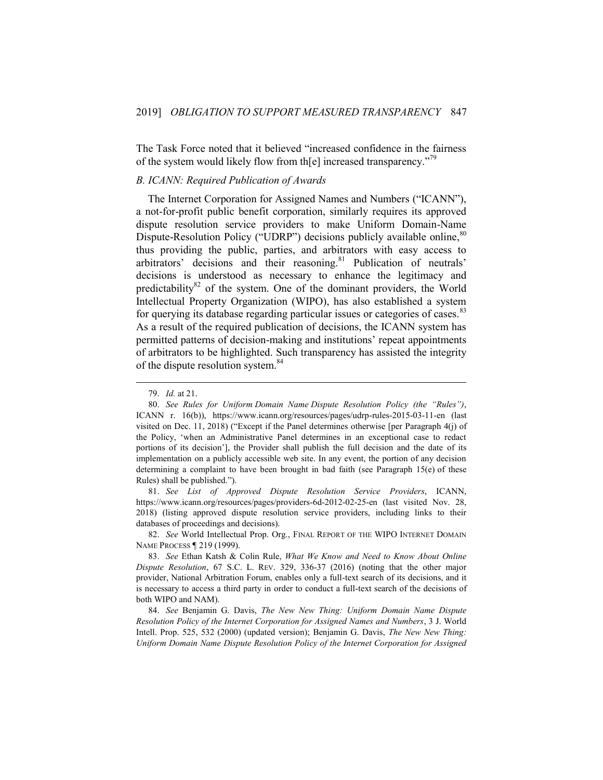The Task Force noted that it believed "increased confidence in the fairness of the system would likely flow from the l increased transparency.<sup>"79</sup>

### <span id="page-25-0"></span>*B. ICANN: Required Publication of Awards*

The Internet Corporation for Assigned Names and Numbers ("ICANN"), a not-for-profit public benefit corporation, similarly requires its approved dispute resolution service providers to make Uniform Domain-Name Dispute-Resolution Policy ("UDRP") decisions publicly available online,<sup>80</sup> thus providing the public, parties, and arbitrators with easy access to arbitrators' decisions and their reasoning.<sup>81</sup> Publication of neutrals' decisions is understood as necessary to enhance the legitimacy and predictability $82$  of the system. One of the dominant providers, the World Intellectual Property Organization (WIPO), has also established a system for querying its database regarding particular issues or categories of cases.<sup>83</sup> As a result of the required publication of decisions, the ICANN system has permitted patterns of decision-making and institutions' repeat appointments of arbitrators to be highlighted. Such transparency has assisted the integrity of the dispute resolution system.<sup>84</sup>

1

81. *See List of Approved Dispute Resolution Service Providers*, ICANN, https://www.icann.org/resources/pages/providers-6d-2012-02-25-en (last visited Nov. 28, 2018) (listing approved dispute resolution service providers, including links to their databases of proceedings and decisions).

82. *See* World Intellectual Prop. Org., FINAL REPORT OF THE WIPO INTERNET DOMAIN NAME PROCESS ¶ 219 (1999).

<sup>79.</sup> *Id.* at 21.

<sup>80.</sup> *See Rules for Uniform Domain Name Dispute Resolution Policy (the "Rules")*, ICANN r. 16(b)), https://www.icann.org/resources/pages/udrp-rules-2015-03-11-en (last visited on Dec. 11, 2018) ("Except if the Panel determines otherwise [per Paragraph 4(j) of the Policy, 'when an Administrative Panel determines in an exceptional case to redact portions of its decision'], the Provider shall publish the full decision and the date of its implementation on a publicly accessible web site. In any event, the portion of any decision determining a complaint to have been brought in bad faith (see Paragraph 15(e) of these Rules) shall be published.").

<sup>83.</sup> *See* Ethan Katsh & Colin Rule, *What We Know and Need to Know About Online Dispute Resolution*, 67 S.C. L. REV. 329, 336-37 (2016) (noting that the other major provider, National Arbitration Forum, enables only a full-text search of its decisions, and it is necessary to access a third party in order to conduct a full-text search of the decisions of both WIPO and NAM).

<sup>84.</sup> *See* Benjamin G. Davis, *The New New Thing: Uniform Domain Name Dispute Resolution Policy of the Internet Corporation for Assigned Names and Numbers*, 3 J. World Intell. Prop. 525, 532 (2000) (updated version); Benjamin G. Davis, *The New New Thing: Uniform Domain Name Dispute Resolution Policy of the Internet Corporation for Assigned*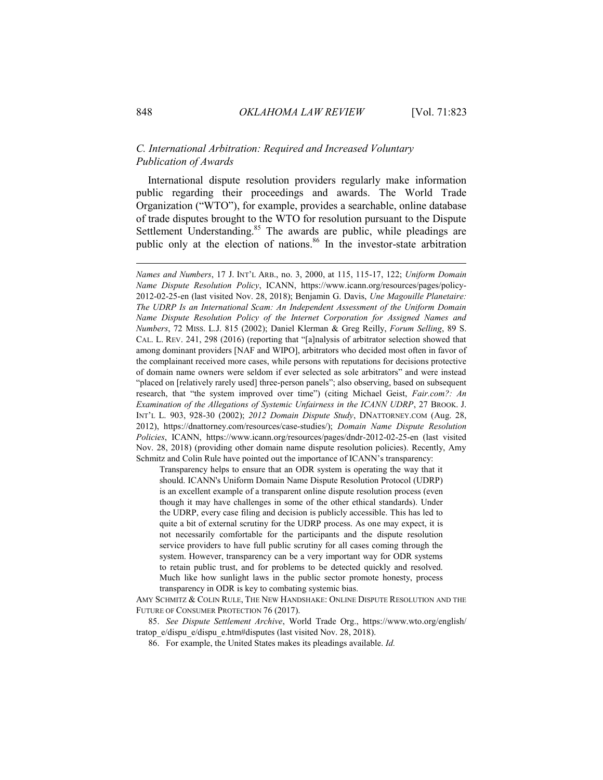# <span id="page-26-0"></span>*C. International Arbitration: Required and Increased Voluntary Publication of Awards*

International dispute resolution providers regularly make information public regarding their proceedings and awards. The World Trade Organization ("WTO"), for example, provides a searchable, online database of trade disputes brought to the WTO for resolution pursuant to the Dispute Settlement Understanding.<sup>85</sup> The awards are public, while pleadings are public only at the election of nations.<sup>86</sup> In the investor-state arbitration

Transparency helps to ensure that an ODR system is operating the way that it should. ICANN's Uniform Domain Name Dispute Resolution Protocol (UDRP) is an excellent example of a transparent online dispute resolution process (even though it may have challenges in some of the other ethical standards). Under the UDRP, every case filing and decision is publicly accessible. This has led to quite a bit of external scrutiny for the UDRP process. As one may expect, it is not necessarily comfortable for the participants and the dispute resolution service providers to have full public scrutiny for all cases coming through the system. However, transparency can be a very important way for ODR systems to retain public trust, and for problems to be detected quickly and resolved. Much like how sunlight laws in the public sector promote honesty, process transparency in ODR is key to combating systemic bias.

AMY SCHMITZ & COLIN RULE, THE NEW HANDSHAKE: ONLINE DISPUTE RESOLUTION AND THE FUTURE OF CONSUMER PROTECTION 76 (2017).

85. *See Dispute Settlement Archive*, World Trade Org., https://www.wto.org/english/ tratop\_e/dispu\_e/dispu\_e.htm#disputes (last visited Nov. 28, 2018).

86. For example, the United States makes its pleadings available. *Id.*

*Names and Numbers*, 17 J. INT'L ARB., no. 3, 2000, at 115, 115-17, 122; *Uniform Domain Name Dispute Resolution Policy*, ICANN, https://www.icann.org/resources/pages/policy-2012-02-25-en (last visited Nov. 28, 2018); Benjamin G. Davis, *Une Magouille Planetaire: The UDRP Is an International Scam: An Independent Assessment of the Uniform Domain Name Dispute Resolution Policy of the Internet Corporation for Assigned Names and Numbers*, 72 MISS. L.J. 815 (2002); Daniel Klerman & Greg Reilly, *Forum Selling*, 89 S. CAL. L. REV. 241, 298 (2016) (reporting that "[a]nalysis of arbitrator selection showed that among dominant providers [NAF and WIPO], arbitrators who decided most often in favor of the complainant received more cases, while persons with reputations for decisions protective of domain name owners were seldom if ever selected as sole arbitrators" and were instead "placed on [relatively rarely used] three-person panels"; also observing, based on subsequent research, that "the system improved over time") (citing Michael Geist, *Fair.com?: An Examination of the Allegations of Systemic Unfairness in the ICANN UDRP*, 27 BROOK. J. INT'L L. 903, 928-30 (2002); *2012 Domain Dispute Study*, DNATTORNEY.COM (Aug. 28, 2012), https://dnattorney.com/resources/case-studies/); *Domain Name Dispute Resolution Policies*, ICANN, https://www.icann.org/resources/pages/dndr-2012-02-25-en (last visited Nov. 28, 2018) (providing other domain name dispute resolution policies). Recently, Amy Schmitz and Colin Rule have pointed out the importance of ICANN's transparency: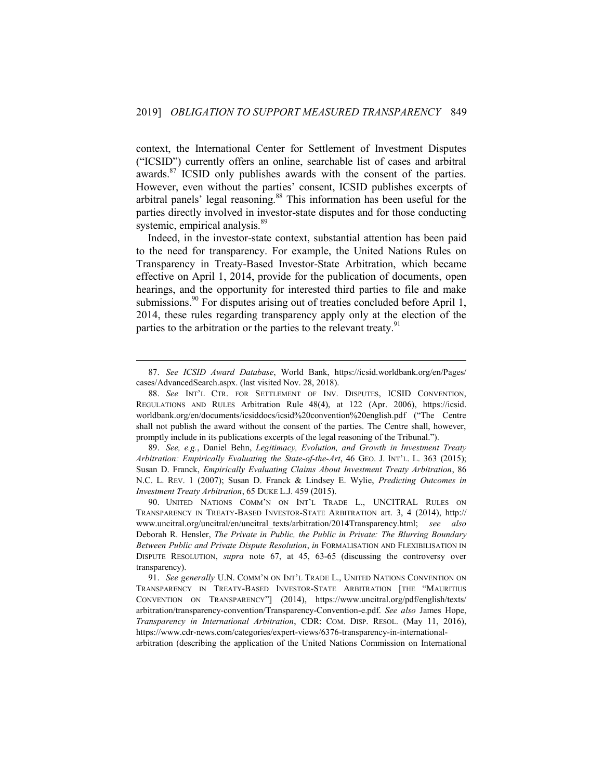context, the International Center for Settlement of Investment Disputes ("ICSID") currently offers an online, searchable list of cases and arbitral awards. $87$  ICSID only publishes awards with the consent of the parties. However, even without the parties' consent, ICSID publishes excerpts of arbitral panels' legal reasoning.<sup>88</sup> This information has been useful for the parties directly involved in investor-state disputes and for those conducting systemic, empirical analysis.<sup>89</sup>

Indeed, in the investor-state context, substantial attention has been paid to the need for transparency. For example, the United Nations Rules on Transparency in Treaty-Based Investor-State Arbitration, which became effective on April 1, 2014, provide for the publication of documents, open hearings, and the opportunity for interested third parties to file and make submissions.<sup>90</sup> For disputes arising out of treaties concluded before April 1, 2014, these rules regarding transparency apply only at the election of the parties to the arbitration or the parties to the relevant treaty.<sup>91</sup>

1

89. *See, e.g.*, Daniel Behn, *Legitimacy, Evolution, and Growth in Investment Treaty Arbitration: Empirically Evaluating the State-of-the-Art*, 46 GEO. J. INT'L. L. 363 (2015); Susan D. Franck, *Empirically Evaluating Claims About Investment Treaty Arbitration*, 86 N.C. L. REV. 1 (2007); Susan D. Franck & Lindsey E. Wylie, *Predicting Outcomes in Investment Treaty Arbitration*, 65 DUKE L.J. 459 (2015).

90. UNITED NATIONS COMM'N ON INT'L TRADE L., UNCITRAL RULES ON TRANSPARENCY IN TREATY-BASED INVESTOR-STATE ARBITRATION art. 3, 4 (2014), http:// www.uncitral.org/uncitral/en/uncitral\_texts/arbitration/2014Transparency.html; *see also* Deborah R. Hensler, *The Private in Public, the Public in Private: The Blurring Boundary Between Public and Private Dispute Resolution*, *in* FORMALISATION AND FLEXIBILISATION IN DISPUTE RESOLUTION, *supra* note 67, at 45, 63-65 (discussing the controversy over transparency).

<sup>87.</sup> *See ICSID Award Database*, World Bank, https://icsid.worldbank.org/en/Pages/ cases/AdvancedSearch.aspx. (last visited Nov. 28, 2018).

<sup>88.</sup> *See* INT'L CTR. FOR SETTLEMENT OF INV. DISPUTES, ICSID CONVENTION, REGULATIONS AND RULES Arbitration Rule 48(4), at 122 (Apr. 2006), https://icsid. worldbank.org/en/documents/icsiddocs/icsid%20convention%20english.pdf ("The Centre shall not publish the award without the consent of the parties. The Centre shall, however, promptly include in its publications excerpts of the legal reasoning of the Tribunal.").

<sup>91.</sup> *See generally* U.N. COMM'N ON INT'L TRADE L., UNITED NATIONS CONVENTION ON TRANSPARENCY IN TREATY-BASED INVESTOR-STATE ARBITRATION [THE "MAURITIUS CONVENTION ON TRANSPARENCY"] (2014), https://www.uncitral.org/pdf/english/texts/ arbitration/transparency-convention/Transparency-Convention-e.pdf. *See also* James Hope, *Transparency in International Arbitration*, CDR: COM. DISP. RESOL. (May 11, 2016), https://www.cdr-news.com/categories/expert-views/6376-transparency-in-internationalarbitration (describing the application of the United Nations Commission on International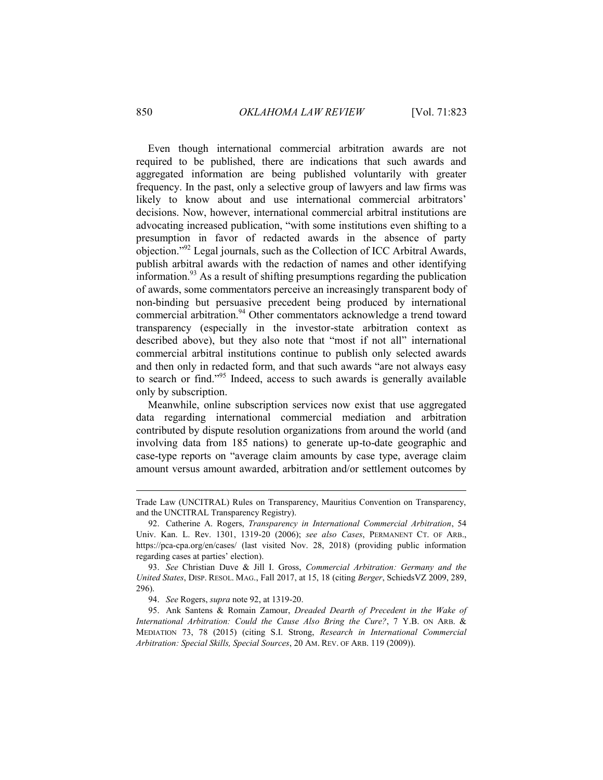Even though international commercial arbitration awards are not required to be published, there are indications that such awards and aggregated information are being published voluntarily with greater frequency. In the past, only a selective group of lawyers and law firms was likely to know about and use international commercial arbitrators' decisions. Now, however, international commercial arbitral institutions are advocating increased publication, "with some institutions even shifting to a presumption in favor of redacted awards in the absence of party objection."<sup>92</sup> Legal journals, such as the Collection of ICC Arbitral Awards, publish arbitral awards with the redaction of names and other identifying information.<sup>93</sup> As a result of shifting presumptions regarding the publication of awards, some commentators perceive an increasingly transparent body of non-binding but persuasive precedent being produced by international commercial arbitration.<sup>94</sup> Other commentators acknowledge a trend toward transparency (especially in the investor-state arbitration context as described above), but they also note that "most if not all" international commercial arbitral institutions continue to publish only selected awards and then only in redacted form, and that such awards "are not always easy to search or find."<sup>95</sup> Indeed, access to such awards is generally available only by subscription.

Meanwhile, online subscription services now exist that use aggregated data regarding international commercial mediation and arbitration contributed by dispute resolution organizations from around the world (and involving data from 185 nations) to generate up-to-date geographic and case-type reports on "average claim amounts by case type, average claim amount versus amount awarded, arbitration and/or settlement outcomes by

Trade Law (UNCITRAL) Rules on Transparency, Mauritius Convention on Transparency, and the UNCITRAL Transparency Registry).

<sup>92.</sup> Catherine A. Rogers, *Transparency in International Commercial Arbitration*, 54 Univ. Kan. L. Rev. 1301, 1319-20 (2006); *see also Cases*, PERMANENT CT. OF ARB., https://pca-cpa.org/en/cases/ (last visited Nov. 28, 2018) (providing public information regarding cases at parties' election).

<sup>93.</sup> *See* Christian Duve & Jill I. Gross, *Commercial Arbitration: Germany and the United States*, DISP. RESOL. MAG., Fall 2017, at 15, 18 (citing *Berger*, SchiedsVZ 2009, 289, 296).

<sup>94.</sup> *See* Rogers, *supra* note 92, at 1319-20.

<sup>95.</sup> Ank Santens & Romain Zamour, *Dreaded Dearth of Precedent in the Wake of International Arbitration: Could the Cause Also Bring the Cure?*, 7 Y.B. ON ARB. & MEDIATION 73, 78 (2015) (citing S.I. Strong, *Research in International Commercial Arbitration: Special Skills, Special Sources*, 20 AM. REV. OF ARB. 119 (2009)).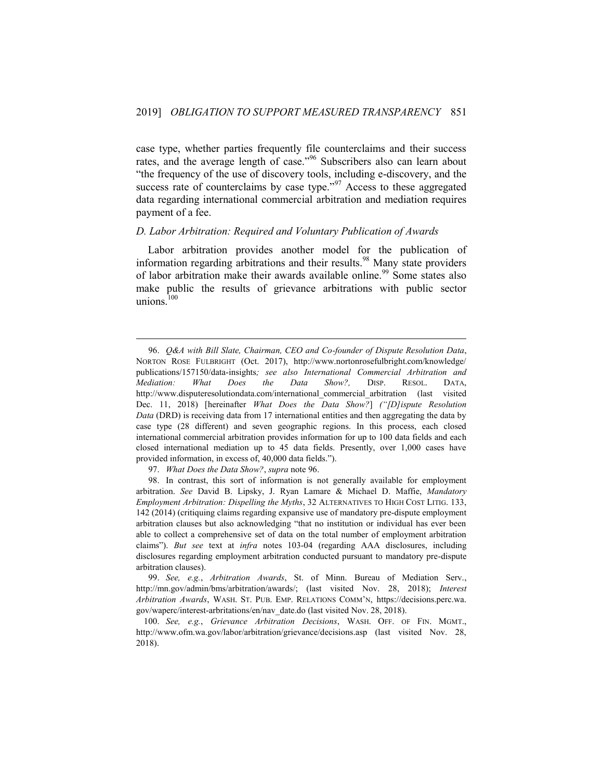case type, whether parties frequently file counterclaims and their success rates, and the average length of case."<sup>96</sup> Subscribers also can learn about "the frequency of the use of discovery tools, including e-discovery, and the success rate of counterclaims by case type."<sup>97</sup> Access to these aggregated data regarding international commercial arbitration and mediation requires payment of a fee.

#### <span id="page-29-0"></span>*D. Labor Arbitration: Required and Voluntary Publication of Awards*

Labor arbitration provides another model for the publication of information regarding arbitrations and their results.<sup>98</sup> Many state providers of labor arbitration make their awards available online.<sup>99</sup> Some states also make public the results of grievance arbitrations with public sector unions. $100$ 

97. *What Does the Data Show?*, *supra* note 96.

1

99. *See, e.g.*, *Arbitration Awards*, St. of Minn. Bureau of Mediation Serv., http://mn.gov/admin/bms/arbitration/awards/; (last visited Nov. 28, 2018); *Interest Arbitration Awards*, WASH. ST. PUB. EMP. RELATIONS COMM'N, https://decisions.perc.wa. gov/waperc/interest-arbritations/en/nav\_date.do (last visited Nov. 28, 2018).

100. *See, e.g.*, *Grievance Arbitration Decisions*, WASH. OFF. OF FIN. MGMT., http://www.ofm.wa.gov/labor/arbitration/grievance/decisions.asp (last visited Nov. 28, 2018).

<sup>96.</sup> *Q&A with Bill Slate, Chairman, CEO and Co-founder of Dispute Resolution Data*, NORTON ROSE FULBRIGHT (Oct. 2017), http://www.nortonrosefulbright.com/knowledge/ publications/157150/data-insights*; see also International Commercial Arbitration and Mediation: What Does the Data Show?,* DISP. RESOL. DATA, [http://www.disputeresolutiondata.com/international\\_commercial\\_arbitration](http://www.disputeresolutiondata.com/international_commercial_arbitration) (last visited Dec. 11, 2018) [hereinafter *What Does the Data Show?*] *("[D]ispute Resolution Data* (DRD) is receiving data from 17 international entities and then aggregating the data by case type (28 different) and seven geographic regions. In this process, each closed international commercial arbitration provides information for up to 100 data fields and each closed international mediation up to 45 data fields. Presently, over 1,000 cases have provided information, in excess of, 40,000 data fields.").

<sup>98.</sup> In contrast, this sort of information is not generally available for employment arbitration. *See* David B. Lipsky, J. Ryan Lamare & Michael D. Maffie, *Mandatory Employment Arbitration: Dispelling the Myths*, 32 ALTERNATIVES TO HIGH COST LITIG. 133, 142 (2014) (critiquing claims regarding expansive use of mandatory pre-dispute employment arbitration clauses but also acknowledging "that no institution or individual has ever been able to collect a comprehensive set of data on the total number of employment arbitration claims"). *But see* text at *infra* notes 103-04 (regarding AAA disclosures, including disclosures regarding employment arbitration conducted pursuant to mandatory pre-dispute arbitration clauses).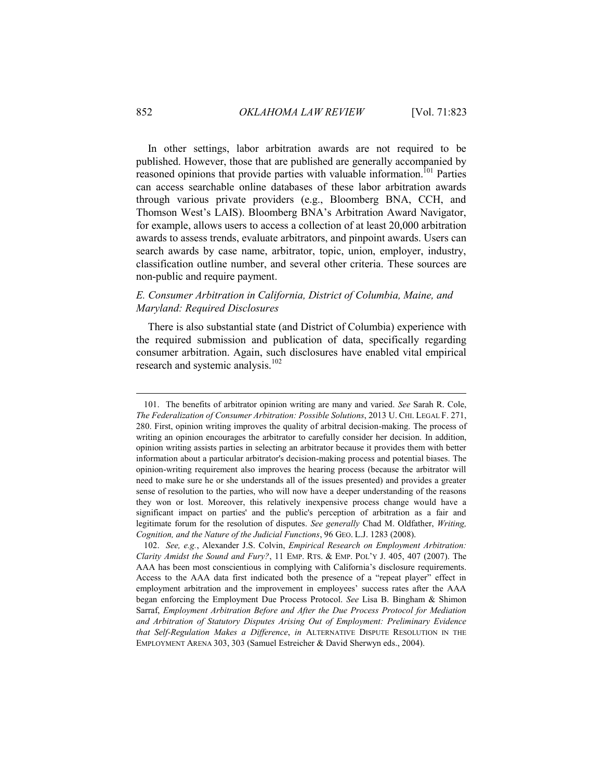In other settings, labor arbitration awards are not required to be published. However, those that are published are generally accompanied by reasoned opinions that provide parties with valuable information.<sup>101</sup> Parties can access searchable online databases of these labor arbitration awards through various private providers (e.g., Bloomberg BNA, CCH, and Thomson West's LAIS). Bloomberg BNA's Arbitration Award Navigator, for example, allows users to access a collection of at least 20,000 arbitration awards to assess trends, evaluate arbitrators, and pinpoint awards. Users can search awards by case name, arbitrator, topic, union, employer, industry, classification outline number, and several other criteria. These sources are non-public and require payment.

## <span id="page-30-0"></span>*E. Consumer Arbitration in California, District of Columbia, Maine, and Maryland: Required Disclosures*

There is also substantial state (and District of Columbia) experience with the required submission and publication of data, specifically regarding consumer arbitration. Again, such disclosures have enabled vital empirical research and systemic analysis. $102$ 

<sup>101.</sup> The benefits of arbitrator opinion writing are many and varied. *See* Sarah R. Cole, *The Federalization of Consumer Arbitration: Possible Solutions*, 2013 U. CHI. LEGAL F. 271, 280. First, opinion writing improves the quality of arbitral decision-making. The process of writing an opinion encourages the arbitrator to carefully consider her decision. In addition, opinion writing assists parties in selecting an arbitrator because it provides them with better information about a particular arbitrator's decision-making process and potential biases. The opinion-writing requirement also improves the hearing process (because the arbitrator will need to make sure he or she understands all of the issues presented) and provides a greater sense of resolution to the parties, who will now have a deeper understanding of the reasons they won or lost. Moreover, this relatively inexpensive process change would have a significant impact on parties' and the public's perception of arbitration as a fair and legitimate forum for the resolution of disputes. *See generally* Chad M. Oldfather, *Writing, Cognition, and the Nature of the Judicial Functions*, 96 GEO. L.J. 1283 (2008).

<sup>102.</sup> *See, e.g.*, Alexander J.S. Colvin, *Empirical Research on Employment Arbitration: Clarity Amidst the Sound and Fury?*, 11 EMP. RTS. & EMP. POL'Y J. 405, 407 (2007). The AAA has been most conscientious in complying with California's disclosure requirements. Access to the AAA data first indicated both the presence of a "repeat player" effect in employment arbitration and the improvement in employees' success rates after the AAA began enforcing the Employment Due Process Protocol. *See* Lisa B. Bingham & Shimon Sarraf, *Employment Arbitration Before and After the Due Process Protocol for Mediation and Arbitration of Statutory Disputes Arising Out of Employment: Preliminary Evidence that Self-Regulation Makes a Difference*, *in* ALTERNATIVE DISPUTE RESOLUTION IN THE EMPLOYMENT ARENA 303, 303 (Samuel Estreicher & David Sherwyn eds., 2004).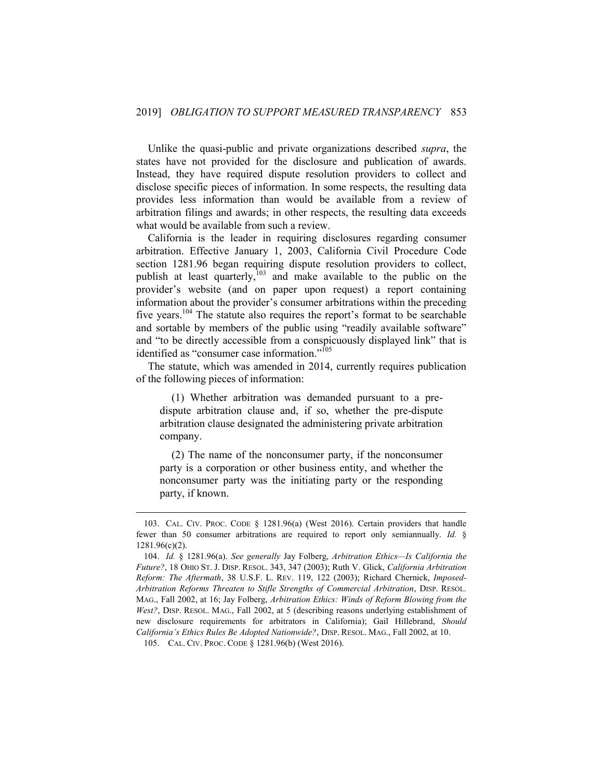Unlike the quasi-public and private organizations described *supra*, the states have not provided for the disclosure and publication of awards. Instead, they have required dispute resolution providers to collect and disclose specific pieces of information. In some respects, the resulting data provides less information than would be available from a review of arbitration filings and awards; in other respects, the resulting data exceeds what would be available from such a review.

California is the leader in requiring disclosures regarding consumer arbitration. Effective January 1, 2003, California Civil Procedure Code section 1281.96 began requiring dispute resolution providers to collect, publish at least quarterly,  $103$  and make available to the public on the provider's website (and on paper upon request) a report containing information about the provider's consumer arbitrations within the preceding five years.<sup>104</sup> The statute also requires the report's format to be searchable and sortable by members of the public using "readily available software" and "to be directly accessible from a conspicuously displayed link" that is identified as "consumer case information."<sup>105</sup>

The statute, which was amended in 2014, currently requires publication of the following pieces of information:

(1) Whether arbitration was demanded pursuant to a predispute arbitration clause and, if so, whether the pre-dispute arbitration clause designated the administering private arbitration company.

(2) The name of the nonconsumer party, if the nonconsumer party is a corporation or other business entity, and whether the nonconsumer party was the initiating party or the responding party, if known.

<sup>103.</sup> CAL. CIV. PROC. CODE § 1281.96(a) (West 2016). Certain providers that handle fewer than 50 consumer arbitrations are required to report only semiannually. *Id.* § 1281.96(c)(2).

<sup>104.</sup> *Id.* § 1281.96(a). *See generally* Jay Folberg, *Arbitration Ethics—Is California the Future?*, 18 OHIO ST. J. DISP. RESOL. 343, 347 (2003); Ruth V. Glick, *California Arbitration Reform: The Aftermath*, 38 U.S.F. L. REV. 119, 122 (2003); Richard Chernick, *Imposed-Arbitration Reforms Threaten to Stifle Strengths of Commercial Arbitration*, DISP. RESOL. MAG., Fall 2002, at 16; Jay Folberg, *Arbitration Ethics: Winds of Reform Blowing from the West?*, DISP. RESOL. MAG., Fall 2002, at 5 (describing reasons underlying establishment of new disclosure requirements for arbitrators in California); Gail Hillebrand, *Should California's Ethics Rules Be Adopted Nationwide?*, DISP. RESOL. MAG., Fall 2002, at 10.

<sup>105.</sup> CAL. CIV. PROC. CODE § 1281.96(b) (West 2016).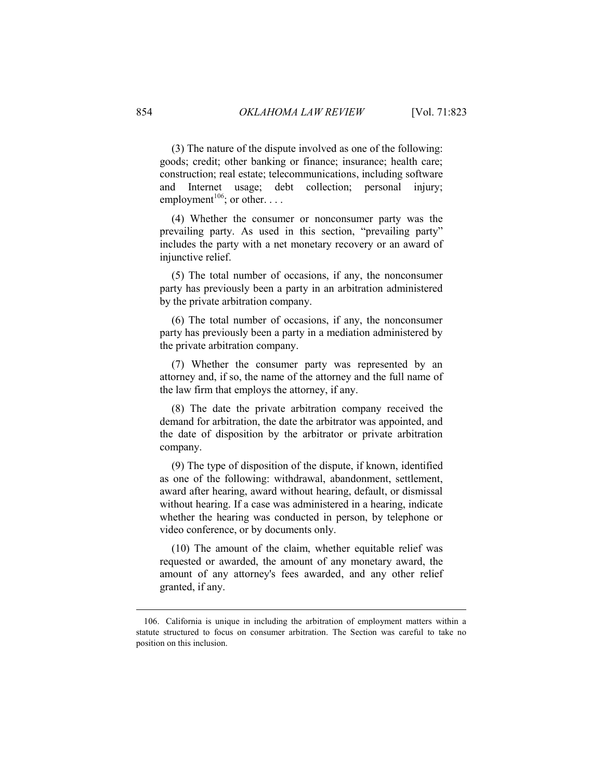(3) The nature of the dispute involved as one of the following: goods; credit; other banking or finance; insurance; health care; construction; real estate; telecommunications, including software and Internet usage; debt collection; personal injury; employment<sup>106</sup>; or other. . . .

(4) Whether the consumer or nonconsumer party was the prevailing party. As used in this section, "prevailing party" includes the party with a net monetary recovery or an award of injunctive relief.

(5) The total number of occasions, if any, the nonconsumer party has previously been a party in an arbitration administered by the private arbitration company.

(6) The total number of occasions, if any, the nonconsumer party has previously been a party in a mediation administered by the private arbitration company.

(7) Whether the consumer party was represented by an attorney and, if so, the name of the attorney and the full name of the law firm that employs the attorney, if any.

(8) The date the private arbitration company received the demand for arbitration, the date the arbitrator was appointed, and the date of disposition by the arbitrator or private arbitration company.

(9) The type of disposition of the dispute, if known, identified as one of the following: withdrawal, abandonment, settlement, award after hearing, award without hearing, default, or dismissal without hearing. If a case was administered in a hearing, indicate whether the hearing was conducted in person, by telephone or video conference, or by documents only.

(10) The amount of the claim, whether equitable relief was requested or awarded, the amount of any monetary award, the amount of any attorney's fees awarded, and any other relief granted, if any.

<u>.</u>

<sup>106.</sup> California is unique in including the arbitration of employment matters within a statute structured to focus on consumer arbitration. The Section was careful to take no position on this inclusion.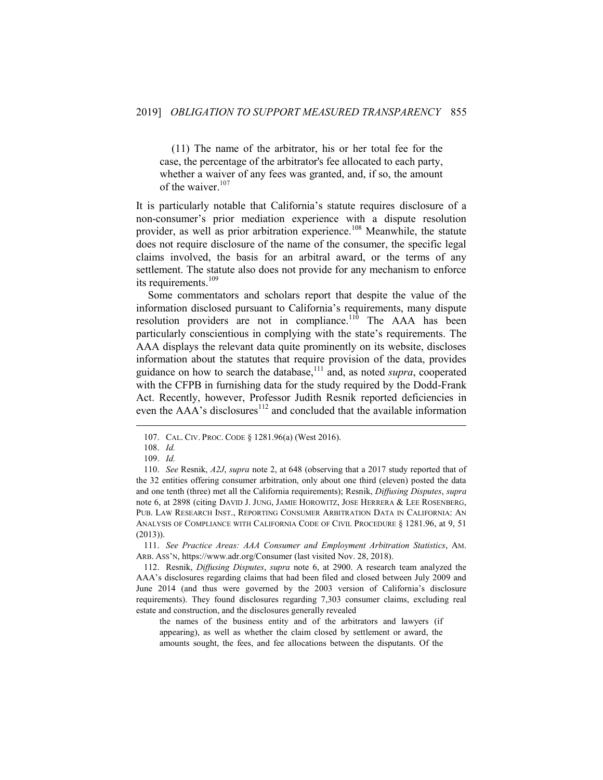(11) The name of the arbitrator, his or her total fee for the case, the percentage of the arbitrator's fee allocated to each party, whether a waiver of any fees was granted, and, if so, the amount of the waiver. 107

It is particularly notable that California's statute requires disclosure of a non-consumer's prior mediation experience with a dispute resolution provider, as well as prior arbitration experience.<sup>108</sup> Meanwhile, the statute does not require disclosure of the name of the consumer, the specific legal claims involved, the basis for an arbitral award, or the terms of any settlement. The statute also does not provide for any mechanism to enforce its requirements.<sup>109</sup>

Some commentators and scholars report that despite the value of the information disclosed pursuant to California's requirements, many dispute resolution providers are not in compliance.<sup>110</sup> The AAA has been particularly conscientious in complying with the state's requirements. The AAA displays the relevant data quite prominently on its website, discloses information about the statutes that require provision of the data, provides guidance on how to search the database,<sup>111</sup> and, as noted *supra*, cooperated with the CFPB in furnishing data for the study required by the Dodd-Frank Act. Recently, however, Professor Judith Resnik reported deficiencies in even the  $AAA$ 's disclosures<sup>112</sup> and concluded that the available information

1

111. *See Practice Areas: AAA Consumer and Employment Arbitration Statistics*, AM. ARB. ASS'N, https://www.adr.org/Consumer (last visited Nov. 28, 2018).

the names of the business entity and of the arbitrators and lawyers (if appearing), as well as whether the claim closed by settlement or award, the amounts sought, the fees, and fee allocations between the disputants. Of the

<sup>107.</sup> CAL. CIV. PROC. CODE § 1281.96(a) (West 2016).

<sup>108.</sup> *Id.*

<sup>109.</sup> *Id.*

<sup>110.</sup> *See* Resnik, *A2J*, *supra* note 2, at 648 (observing that a 2017 study reported that of the 32 entities offering consumer arbitration, only about one third (eleven) posted the data and one tenth (three) met all the California requirements); Resnik, *Diffusing Disputes*, *supra* note 6, at 2898 (citing DAVID J. JUNG, JAMIE HOROWITZ, JOSE HERRERA & LEE ROSENBERG, PUB. LAW RESEARCH INST., REPORTING CONSUMER ARBITRATION DATA IN CALIFORNIA: AN ANALYSIS OF COMPLIANCE WITH CALIFORNIA CODE OF CIVIL PROCEDURE § 1281.96, at 9, 51 (2013)).

<sup>112.</sup> Resnik, *Diffusing Disputes*, *supra* note 6, at 2900. A research team analyzed the AAA's disclosures regarding claims that had been filed and closed between July 2009 and June 2014 (and thus were governed by the 2003 version of California's disclosure requirements). They found disclosures regarding 7,303 consumer claims, excluding real estate and construction, and the disclosures generally revealed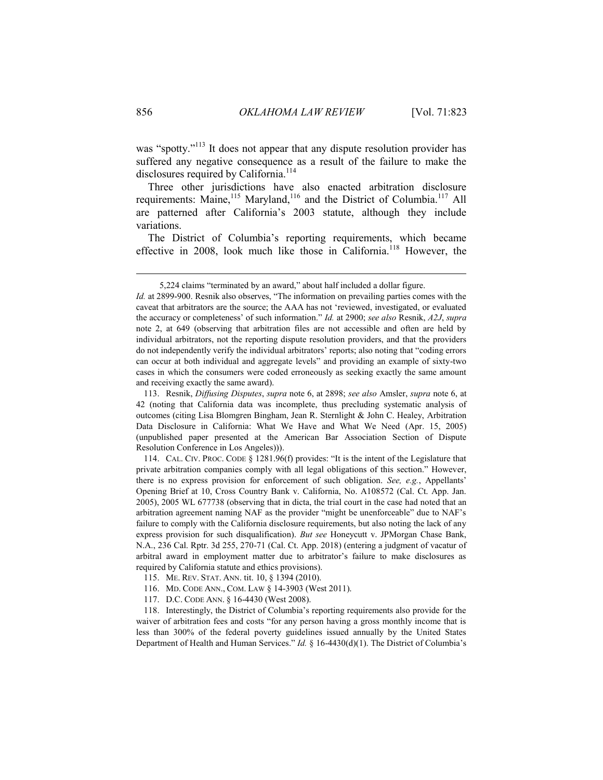was "spotty."<sup>113</sup> It does not appear that any dispute resolution provider has suffered any negative consequence as a result of the failure to make the disclosures required by California.<sup>114</sup>

Three other jurisdictions have also enacted arbitration disclosure requirements: Maine,<sup>115</sup> Maryland,<sup>116</sup> and the District of Columbia.<sup>117</sup> All are patterned after California's 2003 statute, although they include variations.

The District of Columbia's reporting requirements, which became effective in 2008, look much like those in California.<sup>118</sup> However, the

114. CAL. CIV. PROC. CODE § 1281.96(f) provides: "It is the intent of the Legislature that private arbitration companies comply with all legal obligations of this section." However, there is no express provision for enforcement of such obligation. *See, e.g.*, Appellants' Opening Brief at 10, Cross Country Bank v. California, No. A108572 (Cal. Ct. App. Jan. 2005), 2005 WL 677738 (observing that in dicta, the trial court in the case had noted that an arbitration agreement naming NAF as the provider "might be unenforceable" due to NAF's failure to comply with the California disclosure requirements, but also noting the lack of any express provision for such disqualification). *But see* Honeycutt v. JPMorgan Chase Bank, N.A., 236 Cal. Rptr. 3d 255, 270-71 (Cal. Ct. App. 2018) (entering a judgment of vacatur of arbitral award in employment matter due to arbitrator's failure to make disclosures as required by California statute and ethics provisions).

- 116. MD. CODE ANN., COM. LAW § 14-3903 (West 2011).
- 117. D.C. CODE ANN. § 16-4430 (West 2008).

118. Interestingly, the District of Columbia's reporting requirements also provide for the waiver of arbitration fees and costs "for any person having a gross monthly income that is less than 300% of the federal poverty guidelines issued annually by the United States Department of Health and Human Services." *Id.* § 16-4430(d)(1). The District of Columbia's

<sup>5,224</sup> claims "terminated by an award," about half included a dollar figure.

*Id.* at 2899-900. Resnik also observes, "The information on prevailing parties comes with the caveat that arbitrators are the source; the AAA has not 'reviewed, investigated, or evaluated the accuracy or completeness' of such information." *Id.* at 2900; *see also* Resnik, *A2J*, *supra* note 2, at 649 (observing that arbitration files are not accessible and often are held by individual arbitrators, not the reporting dispute resolution providers, and that the providers do not independently verify the individual arbitrators' reports; also noting that "coding errors can occur at both individual and aggregate levels" and providing an example of sixty-two cases in which the consumers were coded erroneously as seeking exactly the same amount and receiving exactly the same award).

<sup>113.</sup> Resnik, *Diffusing Disputes*, *supra* note 6, at 2898; *see also* Amsler, *supra* note 6, at 42 (noting that California data was incomplete, thus precluding systematic analysis of outcomes (citing Lisa Blomgren Bingham, Jean R. Sternlight & John C. Healey, Arbitration Data Disclosure in California: What We Have and What We Need (Apr. 15, 2005) (unpublished paper presented at the American Bar Association Section of Dispute Resolution Conference in Los Angeles))).

<sup>115.</sup> ME. REV. STAT. ANN. tit. 10, § 1394 (2010).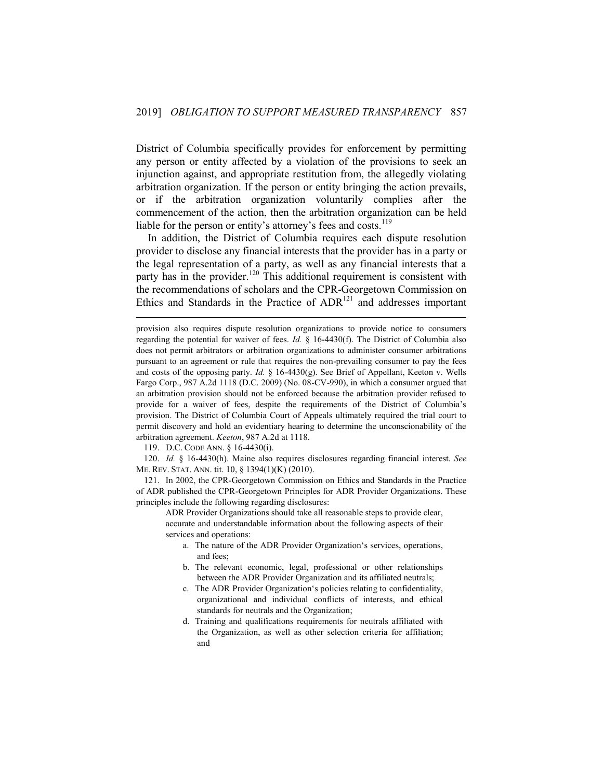District of Columbia specifically provides for enforcement by permitting any person or entity affected by a violation of the provisions to seek an injunction against, and appropriate restitution from, the allegedly violating arbitration organization. If the person or entity bringing the action prevails, or if the arbitration organization voluntarily complies after the commencement of the action, then the arbitration organization can be held liable for the person or entity's attorney's fees and costs.<sup>119</sup>

In addition, the District of Columbia requires each dispute resolution provider to disclose any financial interests that the provider has in a party or the legal representation of a party, as well as any financial interests that a party has in the provider.<sup>120</sup> This additional requirement is consistent with the recommendations of scholars and the CPR-Georgetown Commission on Ethics and Standards in the Practice of  $ADR<sup>121</sup>$  and addresses important

119. D.C. CODE ANN. § 16-4430(i).

1

120. *Id.* § 16-4430(h). Maine also requires disclosures regarding financial interest. *See* ME. REV. STAT. ANN. tit. 10, § 1394(1)(K) (2010).

121. In 2002, the CPR-Georgetown Commission on Ethics and Standards in the Practice of ADR published the CPR-Georgetown Principles for ADR Provider Organizations. These principles include the following regarding disclosures:

ADR Provider Organizations should take all reasonable steps to provide clear, accurate and understandable information about the following aspects of their services and operations:

- a. The nature of the ADR Provider Organization's services, operations, and fees;
- b. The relevant economic, legal, professional or other relationships between the ADR Provider Organization and its affiliated neutrals;
- c. The ADR Provider Organization's policies relating to confidentiality, organizational and individual conflicts of interests, and ethical standards for neutrals and the Organization;
- d. Training and qualifications requirements for neutrals affiliated with the Organization, as well as other selection criteria for affiliation; and

provision also requires dispute resolution organizations to provide notice to consumers regarding the potential for waiver of fees. *Id.* § 16-4430(f). The District of Columbia also does not permit arbitrators or arbitration organizations to administer consumer arbitrations pursuant to an agreement or rule that requires the non-prevailing consumer to pay the fees and costs of the opposing party. *Id.* § 16-4430(g). See Brief of Appellant, Keeton v. Wells Fargo Corp., 987 A.2d 1118 (D.C. 2009) (No. 08-CV-990), in which a consumer argued that an arbitration provision should not be enforced because the arbitration provider refused to provide for a waiver of fees, despite the requirements of the District of Columbia's provision. The District of Columbia Court of Appeals ultimately required the trial court to permit discovery and hold an evidentiary hearing to determine the unconscionability of the arbitration agreement. *Keeton*, 987 A.2d at 1118.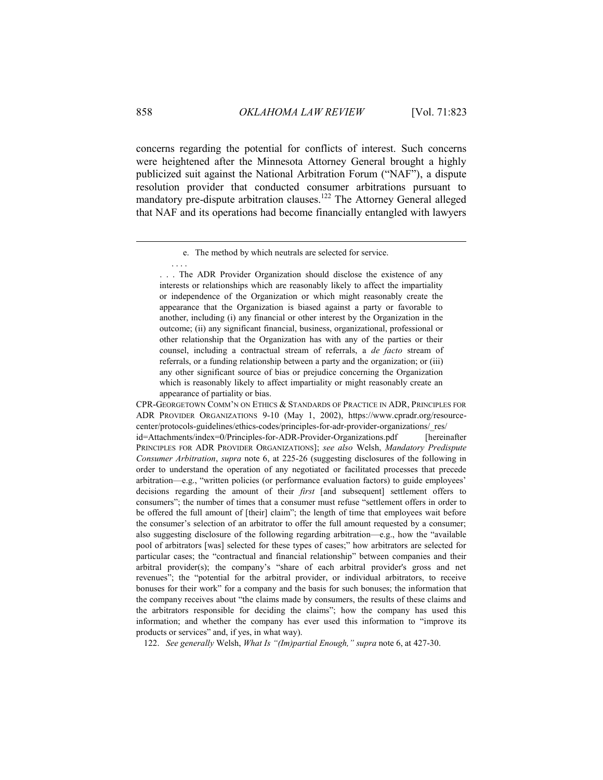concerns regarding the potential for conflicts of interest. Such concerns were heightened after the Minnesota Attorney General brought a highly publicized suit against the National Arbitration Forum ("NAF"), a dispute resolution provider that conducted consumer arbitrations pursuant to mandatory pre-dispute arbitration clauses.<sup>122</sup> The Attorney General alleged that NAF and its operations had become financially entangled with lawyers

122. *See generally* Welsh, *What Is "(Im)partial Enough," supra* note 6, at 427-30.

1

. . . .

e. The method by which neutrals are selected for service.

<sup>. . .</sup> The ADR Provider Organization should disclose the existence of any interests or relationships which are reasonably likely to affect the impartiality or independence of the Organization or which might reasonably create the appearance that the Organization is biased against a party or favorable to another, including (i) any financial or other interest by the Organization in the outcome; (ii) any significant financial, business, organizational, professional or other relationship that the Organization has with any of the parties or their counsel, including a contractual stream of referrals, a *de facto* stream of referrals, or a funding relationship between a party and the organization; or (iii) any other significant source of bias or prejudice concerning the Organization which is reasonably likely to affect impartiality or might reasonably create an appearance of partiality or bias.

CPR-GEORGETOWN COMM'N ON ETHICS & STANDARDS OF PRACTICE IN ADR, PRINCIPLES FOR ADR PROVIDER ORGANIZATIONS 9-10 (May 1, 2002), https://www.cpradr.org/resourcecenter/protocols-guidelines/ethics-codes/principles-for-adr-provider-organizations/\_res/ id=Attachments/index=0/Principles-for-ADR-Provider-Organizations.pdf [hereinafter PRINCIPLES FOR ADR PROVIDER ORGANIZATIONS]; *see also* Welsh, *Mandatory Predispute Consumer Arbitration*, *supra* note 6, at 225-26 (suggesting disclosures of the following in order to understand the operation of any negotiated or facilitated processes that precede arbitration—e.g., "written policies (or performance evaluation factors) to guide employees' decisions regarding the amount of their *first* [and subsequent] settlement offers to consumers"; the number of times that a consumer must refuse "settlement offers in order to be offered the full amount of [their] claim"; the length of time that employees wait before the consumer's selection of an arbitrator to offer the full amount requested by a consumer; also suggesting disclosure of the following regarding arbitration—e.g., how the "available pool of arbitrators [was] selected for these types of cases;" how arbitrators are selected for particular cases; the "contractual and financial relationship" between companies and their arbitral provider(s); the company's "share of each arbitral provider's gross and net revenues"; the "potential for the arbitral provider, or individual arbitrators, to receive bonuses for their work" for a company and the basis for such bonuses; the information that the company receives about "the claims made by consumers, the results of these claims and the arbitrators responsible for deciding the claims"; how the company has used this information; and whether the company has ever used this information to "improve its products or services" and, if yes, in what way).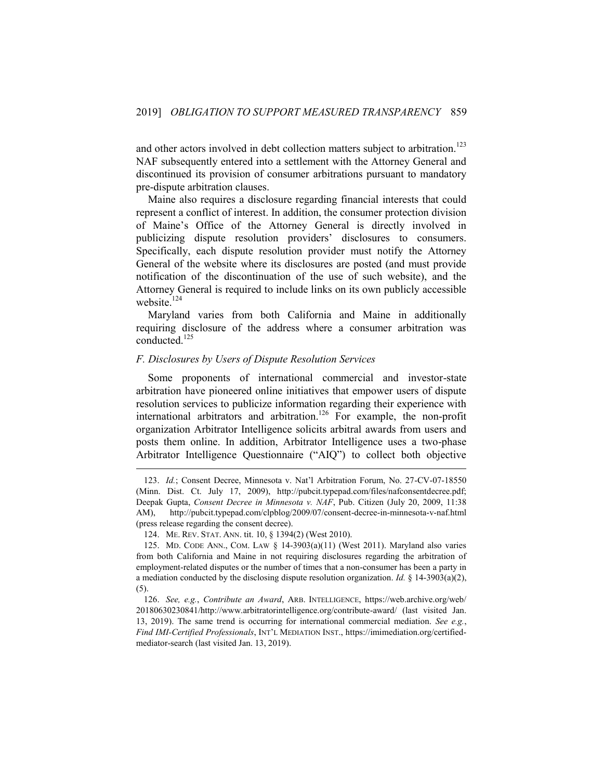and other actors involved in debt collection matters subject to arbitration.<sup>123</sup> NAF subsequently entered into a settlement with the Attorney General and discontinued its provision of consumer arbitrations pursuant to mandatory pre-dispute arbitration clauses.

Maine also requires a disclosure regarding financial interests that could represent a conflict of interest. In addition, the consumer protection division of Maine's Office of the Attorney General is directly involved in publicizing dispute resolution providers' disclosures to consumers. Specifically, each dispute resolution provider must notify the Attorney General of the website where its disclosures are posted (and must provide notification of the discontinuation of the use of such website), and the Attorney General is required to include links on its own publicly accessible website.<sup>124</sup>

Maryland varies from both California and Maine in additionally requiring disclosure of the address where a consumer arbitration was conducted.<sup>125</sup>

## <span id="page-37-0"></span>*F. Disclosures by Users of Dispute Resolution Services*

Some proponents of international commercial and investor-state arbitration have pioneered online initiatives that empower users of dispute resolution services to publicize information regarding their experience with international arbitrators and arbitration.<sup>126</sup> For example, the non-profit organization Arbitrator Intelligence solicits arbitral awards from users and posts them online. In addition, Arbitrator Intelligence uses a two-phase Arbitrator Intelligence Questionnaire ("AIQ") to collect both objective

<sup>123.</sup> *Id.*; Consent Decree, Minnesota v. Nat'l Arbitration Forum, No. 27-CV-07-18550 (Minn. Dist. Ct. July 17, 2009), http://pubcit.typepad.com/files/nafconsentdecree.pdf; Deepak Gupta, *Consent Decree in Minnesota v. NAF*, Pub. Citizen (July 20, 2009, 11:38 AM), http://pubcit.typepad.com/clpblog/2009/07/consent-decree-in-minnesota-v-naf.html (press release regarding the consent decree).

<sup>124.</sup> ME. REV. STAT. ANN. tit. 10, § 1394(2) (West 2010).

<sup>125.</sup> MD. CODE ANN., COM. LAW § 14-3903(a)(11) (West 2011). Maryland also varies from both California and Maine in not requiring disclosures regarding the arbitration of employment-related disputes or the number of times that a non-consumer has been a party in a mediation conducted by the disclosing dispute resolution organization. *Id.* § 14-3903(a)(2), (5).

<sup>126.</sup> *See, e.g.*, *Contribute an Award*, ARB. INTELLIGENCE, https://web.archive.org/web/ 20180630230841/http://www.arbitratorintelligence.org/contribute-award/ (last visited Jan. 13, 2019). The same trend is occurring for international commercial mediation. *See e.g.*, *Find IMI-Certified Professionals*, INT'L MEDIATION INST., https://imimediation.org/certifiedmediator-search (last visited Jan. 13, 2019).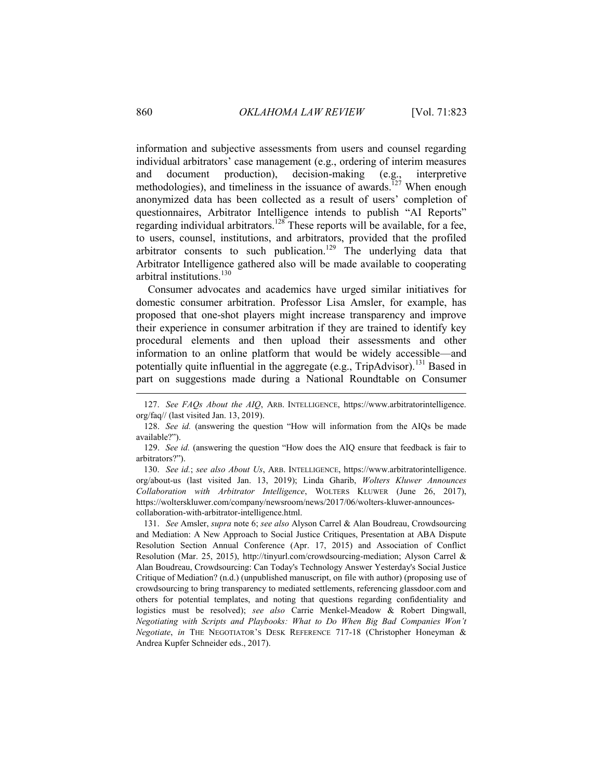information and subjective assessments from users and counsel regarding individual arbitrators' case management (e.g., ordering of interim measures and document production), decision-making (e.g., interpretive methodologies), and timeliness in the issuance of awards.<sup>127</sup> When enough anonymized data has been collected as a result of users' completion of questionnaires, Arbitrator Intelligence intends to publish "AI Reports" regarding individual arbitrators.<sup>128</sup> These reports will be available, for a fee, to users, counsel, institutions, and arbitrators, provided that the profiled arbitrator consents to such publication.<sup>129</sup> The underlying data that Arbitrator Intelligence gathered also will be made available to cooperating arbitral institutions.<sup>130</sup>

Consumer advocates and academics have urged similar initiatives for domestic consumer arbitration. Professor Lisa Amsler, for example, has proposed that one-shot players might increase transparency and improve their experience in consumer arbitration if they are trained to identify key procedural elements and then upload their assessments and other information to an online platform that would be widely accessible—and potentially quite influential in the aggregate (e.g.,  $TripAdvisor$ ).<sup>131</sup> Based in part on suggestions made during a National Roundtable on Consumer

129. *See id.* (answering the question "How does the AIQ ensure that feedback is fair to arbitrators?").

130. *See id.*; *see also About Us*, ARB. INTELLIGENCE, https://www.arbitratorintelligence. org/about-us (last visited Jan. 13, 2019); Linda Gharib, *Wolters Kluwer Announces Collaboration with Arbitrator Intelligence*, WOLTERS KLUWER (June 26, 2017), https://wolterskluwer.com/company/newsroom/news/2017/06/wolters-kluwer-announcescollaboration-with-arbitrator-intelligence.html.

131. *See* Amsler, *supra* note 6; *see also* Alyson Carrel & Alan Boudreau, Crowdsourcing and Mediation: A New Approach to Social Justice Critiques, Presentation at ABA Dispute Resolution Section Annual Conference (Apr. 17, 2015) and Association of Conflict Resolution (Mar. 25, 2015), http://tinyurl.com/crowdsourcing-mediation; Alyson Carrel & Alan Boudreau, Crowdsourcing: Can Today's Technology Answer Yesterday's Social Justice Critique of Mediation? (n.d.) (unpublished manuscript, on file with author) (proposing use of crowdsourcing to bring transparency to mediated settlements, referencing glassdoor.com and others for potential templates, and noting that questions regarding confidentiality and logistics must be resolved); *see also* Carrie Menkel-Meadow & Robert Dingwall, *Negotiating with Scripts and Playbooks: What to Do When Big Bad Companies Won't Negotiate*, *in* THE NEGOTIATOR'S DESK REFERENCE 717-18 (Christopher Honeyman & Andrea Kupfer Schneider eds., 2017).

<sup>127.</sup> *See FAQs About the AIQ*, ARB. INTELLIGENCE, https://www.arbitratorintelligence. org/faq// (last visited Jan. 13, 2019).

<sup>128.</sup> *See id.* (answering the question "How will information from the AIQs be made available?").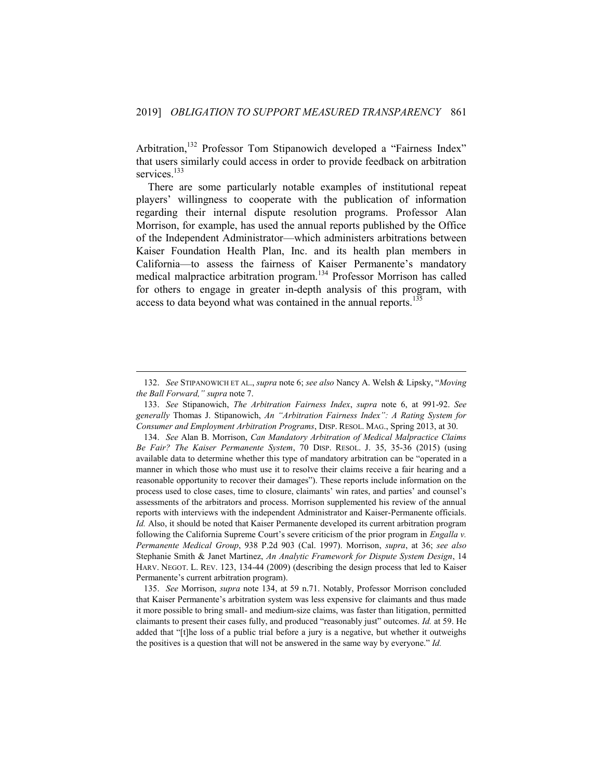Arbitration,<sup>132</sup> Professor Tom Stipanowich developed a "Fairness Index" that users similarly could access in order to provide feedback on arbitration services.<sup>133</sup>

There are some particularly notable examples of institutional repeat players' willingness to cooperate with the publication of information regarding their internal dispute resolution programs. Professor Alan Morrison, for example, has used the annual reports published by the Office of the Independent Administrator—which administers arbitrations between Kaiser Foundation Health Plan, Inc. and its health plan members in California—to assess the fairness of Kaiser Permanente's mandatory medical malpractice arbitration program.<sup>134</sup> Professor Morrison has called for others to engage in greater in-depth analysis of this program, with access to data beyond what was contained in the annual reports.<sup>13</sup>

<span id="page-39-0"></span><sup>132.</sup> *See* STIPANOWICH ET AL., *supra* note 6; *see also* Nancy A. Welsh & Lipsky, "*Moving the Ball Forward," supra* note 7.

<sup>133.</sup> *See* Stipanowich, *The Arbitration Fairness Index*, *supra* note 6, at 991-92. *See generally* Thomas J. Stipanowich, *An "Arbitration Fairness Index": A Rating System for Consumer and Employment Arbitration Programs*, DISP. RESOL. MAG., Spring 2013, at 30.

<sup>134.</sup> *See* Alan B. Morrison, *Can Mandatory Arbitration of Medical Malpractice Claims Be Fair? The Kaiser Permanente System*, 70 DISP. RESOL. J. 35, 35-36 (2015) (using available data to determine whether this type of mandatory arbitration can be "operated in a manner in which those who must use it to resolve their claims receive a fair hearing and a reasonable opportunity to recover their damages"). These reports include information on the process used to close cases, time to closure, claimants' win rates, and parties' and counsel's assessments of the arbitrators and process. Morrison supplemented his review of the annual reports with interviews with the independent Administrator and Kaiser-Permanente officials. *Id.* Also, it should be noted that Kaiser Permanente developed its current arbitration program following the California Supreme Court's severe criticism of the prior program in *Engalla v. Permanente Medical Group*, 938 P.2d 903 (Cal. 1997). Morrison, *supra*, at 36; *see also* Stephanie Smith & Janet Martinez, *An Analytic Framework for Dispute System Design*, 14 HARV. NEGOT. L. REV. 123, 134-44 (2009) (describing the design process that led to Kaiser Permanente's current arbitration program).

<sup>135.</sup> *See* Morrison, *supra* note 134, at 59 n.71. Notably, Professor Morrison concluded that Kaiser Permanente's arbitration system was less expensive for claimants and thus made it more possible to bring small- and medium-size claims, was faster than litigation, permitted claimants to present their cases fully, and produced "reasonably just" outcomes. *Id.* at 59. He added that "[t]he loss of a public trial before a jury is a negative, but whether it outweighs the positives is a question that will not be answered in the same way by everyone." *Id.*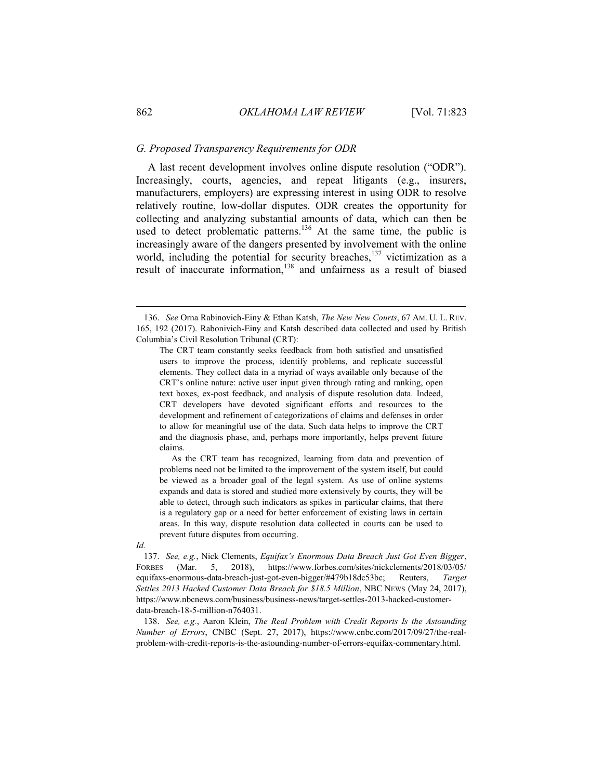#### *G. Proposed Transparency Requirements for ODR*

A last recent development involves online dispute resolution ("ODR"). Increasingly, courts, agencies, and repeat litigants (e.g., insurers, manufacturers, employers) are expressing interest in using ODR to resolve relatively routine, low-dollar disputes. ODR creates the opportunity for collecting and analyzing substantial amounts of data, which can then be used to detect problematic patterns.<sup>136</sup> At the same time, the public is increasingly aware of the dangers presented by involvement with the online world, including the potential for security breaches,  $137$  victimization as a result of inaccurate information,<sup>138</sup> and unfairness as a result of biased

As the CRT team has recognized, learning from data and prevention of problems need not be limited to the improvement of the system itself, but could be viewed as a broader goal of the legal system. As use of online systems expands and data is stored and studied more extensively by courts, they will be able to detect, through such indicators as spikes in particular claims, that there is a regulatory gap or a need for better enforcement of existing laws in certain areas. In this way, dispute resolution data collected in courts can be used to prevent future disputes from occurring.

*Id.*

137. *See, e.g.*, Nick Clements, *Equifax's Enormous Data Breach Just Got Even Bigger*, FORBES (Mar. 5, 2018), https://www.forbes.com/sites/nickclements/2018/03/05/ equifaxs-enormous-data-breach-just-got-even-bigger/#479b18dc53bc; Reuters, *Target Settles 2013 Hacked Customer Data Breach for \$18.5 Million*, NBC NEWS (May 24, 2017), https://www.nbcnews.com/business/business-news/target-settles-2013-hacked-customerdata-breach-18-5-million-n764031.

138. *See, e.g.*, Aaron Klein, *The Real Problem with Credit Reports Is the Astounding Number of Errors*, CNBC (Sept. 27, 2017), https://www.cnbc.com/2017/09/27/the-realproblem-with-credit-reports-is-the-astounding-number-of-errors-equifax-commentary.html.

<sup>136.</sup> *See* Orna Rabinovich-Einy & Ethan Katsh, *The New New Courts*, 67 AM. U. L. REV. 165, 192 (2017). Rabonivich-Einy and Katsh described data collected and used by British Columbia's Civil Resolution Tribunal (CRT):

The CRT team constantly seeks feedback from both satisfied and unsatisfied users to improve the process, identify problems, and replicate successful elements. They collect data in a myriad of ways available only because of the CRT's online nature: active user input given through rating and ranking, open text boxes, ex-post feedback, and analysis of dispute resolution data. Indeed, CRT developers have devoted significant efforts and resources to the development and refinement of categorizations of claims and defenses in order to allow for meaningful use of the data. Such data helps to improve the CRT and the diagnosis phase, and, perhaps more importantly, helps prevent future claims.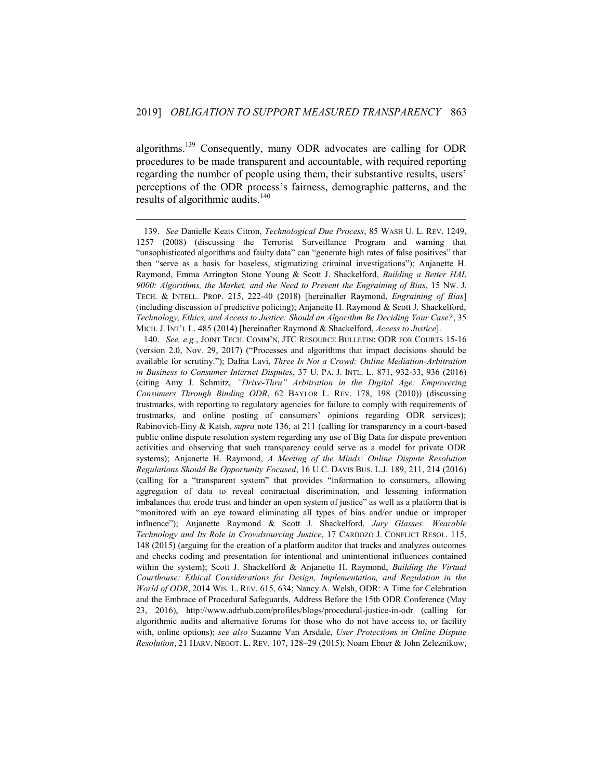algorithms.<sup>139</sup> Consequently, many ODR advocates are calling for ODR procedures to be made transparent and accountable, with required reporting regarding the number of people using them, their substantive results, users' perceptions of the ODR process's fairness, demographic patterns, and the results of algorithmic audits. $140$ 

<sup>139.</sup> *See* Danielle Keats Citron, *Technological Due Process*, 85 WASH U. L. REV. 1249, 1257 (2008) (discussing the Terrorist Surveillance Program and warning that "unsophisticated algorithms and faulty data" can "generate high rates of false positives" that then "serve as a basis for baseless, stigmatizing criminal investigations"); Anjanette H. Raymond, Emma Arrington Stone Young & Scott J. Shackelford, *Building a Better HAL 9000: Algorithms, the Market, and the Need to Prevent the Engraining of Bias*, 15 NW. J. TECH. & INTELL. PROP. 215, 222-40 (2018) [hereinafter Raymond, *Engraining of Bias*] (including discussion of predictive policing); Anjanette H. Raymond & Scott J. Shackelford, *Technology, Ethics, and Access to Justice: Should an Algorithm Be Deciding Your Case?*, 35 MICH. J. INT'L L. 485 (2014) [hereinafter Raymond & Shackelford, *Access to Justice*].

<sup>140.</sup> *See, e.g.*, JOINT TECH. COMM'N, JTC RESOURCE BULLETIN: ODR FOR COURTS 15-16 (version 2.0, Nov. 29, 2017) ("Processes and algorithms that impact decisions should be available for scrutiny."); Dafna Lavi, *Three Is Not a Crowd: Online Mediation-Arbitration in Business to Consumer Internet Disputes*, 37 U. PA. J. INTL. L. 871, 932-33, 936 (2016) (citing Amy J. Schmitz, *"Drive-Thru" Arbitration in the Digital Age: Empowering Consumers Through Binding ODR*, 62 BAYLOR L. REV. 178, 198 (2010)) (discussing trustmarks, with reporting to regulatory agencies for failure to comply with requirements of trustmarks, and online posting of consumers' opinions regarding ODR services); Rabinovich-Einy & Katsh, *supra* note 136, at 211 (calling for transparency in a court-based public online dispute resolution system regarding any use of Big Data for dispute prevention activities and observing that such transparency could serve as a model for private ODR systems); Anjanette H. Raymond, *A Meeting of the Minds: Online Dispute Resolution Regulations Should Be Opportunity Focused*, 16 U.C. DAVIS BUS. L.J. 189, 211, 214 (2016) (calling for a "transparent system" that provides "information to consumers, allowing aggregation of data to reveal contractual discrimination, and lessening information imbalances that erode trust and hinder an open system of justice" as well as a platform that is "monitored with an eye toward eliminating all types of bias and/or undue or improper influence"); Anjanette Raymond & Scott J. Shackelford, *Jury Glasses: Wearable Technology and Its Role in Crowdsourcing Justice*, 17 CARDOZO J. CONFLICT RESOL. 115, 148 (2015) (arguing for the creation of a platform auditor that tracks and analyzes outcomes and checks coding and presentation for intentional and unintentional influences contained within the system); Scott J. Shackelford & Anjanette H. Raymond, *Building the Virtual Courthouse: Ethical Considerations for Design, Implementation, and Regulation in the World of ODR*, 2014 WIS. L. REV. 615, 634; Nancy A. Welsh, ODR: A Time for Celebration and the Embrace of Procedural Safeguards, Address Before the 15th ODR Conference (May 23, 2016), http://www.adrhub.com/profiles/blogs/procedural-justice-in-odr (calling for algorithmic audits and alternative forums for those who do not have access to, or facility with, online options); *see also* Suzanne Van Arsdale, *User Protections in Online Dispute Resolution*, 21 HARV. NEGOT. L. REV. 107, 128–29 (2015); Noam Ebner & John Zeleznikow,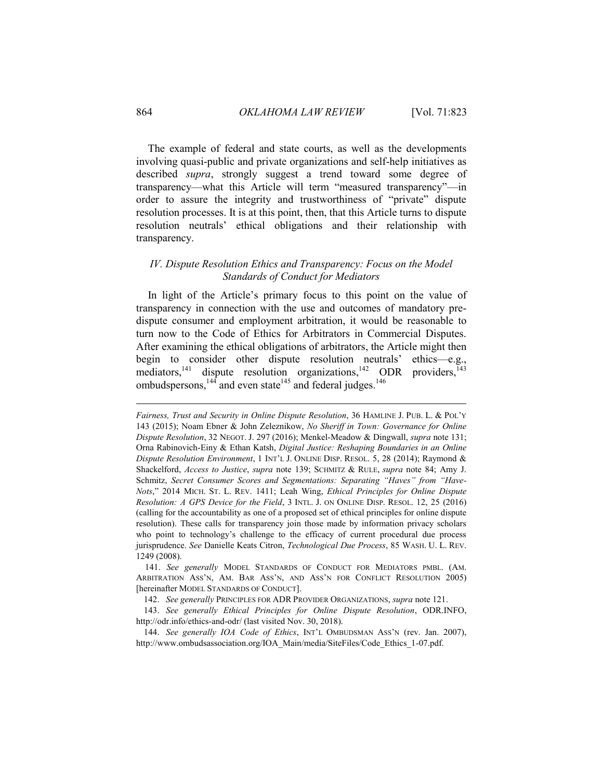The example of federal and state courts, as well as the developments involving quasi-public and private organizations and self-help initiatives as described *supra*, strongly suggest a trend toward some degree of transparency—what this Article will term "measured transparency"—in order to assure the integrity and trustworthiness of "private" dispute resolution processes. It is at this point, then, that this Article turns to dispute resolution neutrals' ethical obligations and their relationship with transparency.

# <span id="page-42-0"></span>*IV. Dispute Resolution Ethics and Transparency: Focus on the Model Standards of Conduct for Mediators*

In light of the Article's primary focus to this point on the value of transparency in connection with the use and outcomes of mandatory predispute consumer and employment arbitration, it would be reasonable to turn now to the Code of Ethics for Arbitrators in Commercial Disputes. After examining the ethical obligations of arbitrators, the Article might then begin to consider other dispute resolution neutrals' ethics—e.g., mediators, 141 <sup>141</sup> dispute resolution organizations,  $142$  ODR providers,  $143$ ombudspersons,  $^{144}$  and even state  $^{145}$  and federal judges.  $^{146}$ 

141. *See generally* MODEL STANDARDS OF CONDUCT FOR MEDIATORS PMBL. (AM. ARBITRATION ASS'N, AM. BAR ASS'N, AND ASS'N FOR CONFLICT RESOLUTION 2005) [hereinafter MODEL STANDARDS OF CONDUCT].

142. *See generally* PRINCIPLES FOR ADR PROVIDER ORGANIZATIONS, *supra* note 121.

143. *See generally Ethical Principles for Online Dispute Resolution*, ODR.INFO, http://odr.info/ethics-and-odr/ (last visited Nov. 30, 2018).

144. *See generally IOA Code of Ethics*, INT'L OMBUDSMAN ASS'N (rev. Jan. 2007), http://www.ombudsassociation.org/IOA\_Main/media/SiteFiles/Code\_Ethics\_1-07.pdf.

*Fairness, Trust and Security in Online Dispute Resolution*, 36 HAMLINE J. PUB. L. & POL'Y 143 (2015); Noam Ebner & John Zeleznikow, *No Sheriff in Town: Governance for Online Dispute Resolution*, 32 NEGOT. J. 297 (2016); Menkel-Meadow & Dingwall, *supra* note 131; Orna Rabinovich-Einy & Ethan Katsh, *Digital Justice: Reshaping Boundaries in an Online Dispute Resolution Environment*, 1 INT'L J. ONLINE DISP. RESOL. 5, 28 (2014); Raymond & Shackelford, *Access to Justice*, *supra* note 139; SCHMITZ & RULE, *supra* note 84; Amy J. Schmitz, *Secret Consumer Scores and Segmentations: Separating "Haves" from "Have-Nots*," 2014 MICH. ST. L. REV. 1411; Leah Wing, *Ethical Principles for Online Dispute Resolution: A GPS Device for the Field*, 3 INTL. J. ON ONLINE DISP. RESOL. 12, 25 (2016) (calling for the accountability as one of a proposed set of ethical principles for online dispute resolution). These calls for transparency join those made by information privacy scholars who point to technology's challenge to the efficacy of current procedural due process jurisprudence. *See* Danielle Keats Citron, *Technological Due Process*, 85 WASH. U. L. REV. 1249 (2008).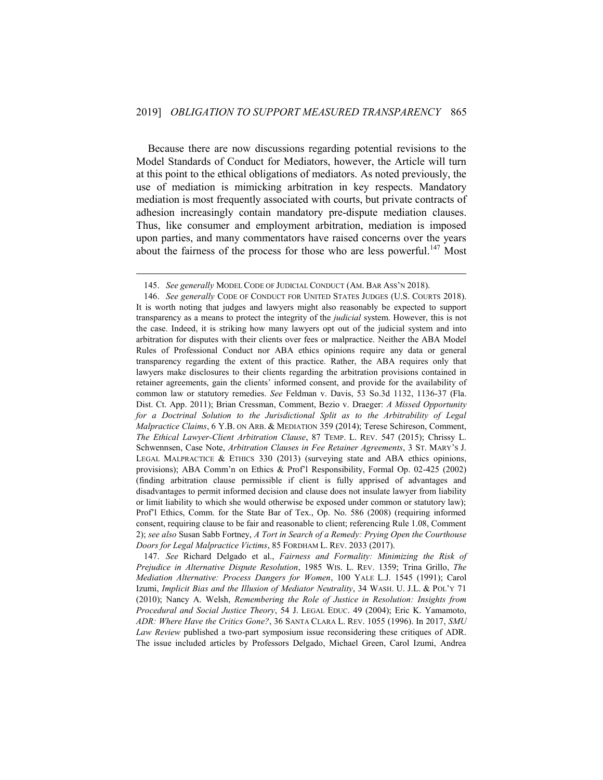Because there are now discussions regarding potential revisions to the Model Standards of Conduct for Mediators, however, the Article will turn at this point to the ethical obligations of mediators. As noted previously, the use of mediation is mimicking arbitration in key respects. Mandatory mediation is most frequently associated with courts, but private contracts of adhesion increasingly contain mandatory pre-dispute mediation clauses. Thus, like consumer and employment arbitration, mediation is imposed upon parties, and many commentators have raised concerns over the years about the fairness of the process for those who are less powerful.<sup>147</sup> Most

1

147. *See* Richard Delgado et al., *Fairness and Formality: Minimizing the Risk of Prejudice in Alternative Dispute Resolution*, 1985 WIS. L. REV. 1359; Trina Grillo, *The Mediation Alternative: Process Dangers for Women*, 100 YALE L.J. 1545 (1991); Carol Izumi, *Implicit Bias and the Illusion of Mediator Neutrality*, 34 WASH. U. J.L. & POL'Y 71 (2010); Nancy A. Welsh, *Remembering the Role of Justice in Resolution: Insights from Procedural and Social Justice Theory*, 54 J. LEGAL EDUC. 49 (2004); Eric K. Yamamoto, *ADR: Where Have the Critics Gone?*, 36 SANTA CLARA L. REV. 1055 (1996). In 2017, *SMU Law Review* published a two-part symposium issue reconsidering these critiques of ADR. The issue included articles by Professors Delgado, Michael Green, Carol Izumi, Andrea

<sup>145.</sup> *See generally* MODEL CODE OF JUDICIAL CONDUCT (AM. BAR ASS'N 2018).

<sup>146.</sup> *See generally* CODE OF CONDUCT FOR UNITED STATES JUDGES (U.S. COURTS 2018). It is worth noting that judges and lawyers might also reasonably be expected to support transparency as a means to protect the integrity of the *judicial* system. However, this is not the case. Indeed, it is striking how many lawyers opt out of the judicial system and into arbitration for disputes with their clients over fees or malpractice. Neither the ABA Model Rules of Professional Conduct nor ABA ethics opinions require any data or general transparency regarding the extent of this practice. Rather, the ABA requires only that lawyers make disclosures to their clients regarding the arbitration provisions contained in retainer agreements, gain the clients' informed consent, and provide for the availability of common law or statutory remedies. *See* Feldman v. Davis, 53 So.3d 1132, 1136-37 (Fla. Dist. Ct. App. 2011); Brian Cressman, Comment, Bezio v. Draeger: *A Missed Opportunity for a Doctrinal Solution to the Jurisdictional Split as to the Arbitrability of Legal Malpractice Claims*, 6 Y.B. ON ARB. & MEDIATION 359 (2014); Terese Schireson, Comment, *The Ethical Lawyer-Client Arbitration Clause*, 87 TEMP. L. REV. 547 (2015); Chrissy L. Schwennsen, Case Note, *Arbitration Clauses in Fee Retainer Agreements*, 3 ST. MARY'S J. LEGAL MALPRACTICE  $\&$  ETHICS 330 (2013) (surveying state and ABA ethics opinions, provisions); ABA Comm'n on Ethics & Prof'l Responsibility, Formal Op. 02-425 (2002) (finding arbitration clause permissible if client is fully apprised of advantages and disadvantages to permit informed decision and clause does not insulate lawyer from liability or limit liability to which she would otherwise be exposed under common or statutory law); Prof'l Ethics, Comm. for the State Bar of Tex., Op. No. 586 (2008) (requiring informed consent, requiring clause to be fair and reasonable to client; referencing Rule 1.08, Comment 2); *see also* Susan Sabb Fortney, *A Tort in Search of a Remedy: Prying Open the Courthouse Doors for Legal Malpractice Victims*, 85 FORDHAM L. REV. 2033 (2017).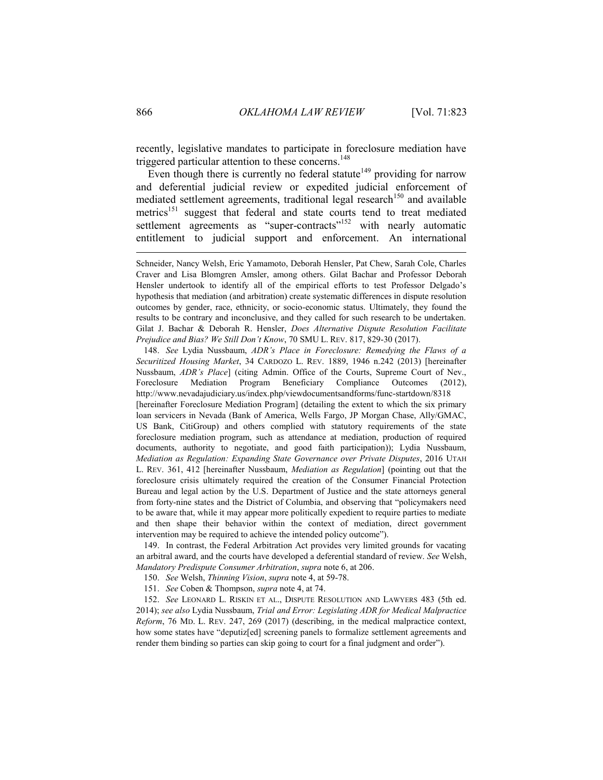recently, legislative mandates to participate in foreclosure mediation have triggered particular attention to these concerns.<sup>148</sup>

Even though there is currently no federal statute<sup>149</sup> providing for narrow and deferential judicial review or expedited judicial enforcement of mediated settlement agreements, traditional legal research<sup>150</sup> and available metrics<sup>151</sup> suggest that federal and state courts tend to treat mediated settlement agreements as "super-contracts"<sup>152</sup> with nearly automatic entitlement to judicial support and enforcement. An international

148. *See* Lydia Nussbaum, *ADR's Place in Foreclosure: Remedying the Flaws of a Securitized Housing Market*, 34 CARDOZO L. REV. 1889, 1946 n.242 (2013) [hereinafter Nussbaum, *ADR's Place*] (citing Admin. Office of the Courts, Supreme Court of Nev., Foreclosure Mediation Program Beneficiary Compliance Outcomes (2012), http://www.nevadajudiciary.us/index.php/viewdocumentsandforms/func-startdown/8318

[hereinafter Foreclosure Mediation Program] (detailing the extent to which the six primary loan servicers in Nevada (Bank of America, Wells Fargo, JP Morgan Chase, Ally/GMAC, US Bank, CitiGroup) and others complied with statutory requirements of the state foreclosure mediation program, such as attendance at mediation, production of required documents, authority to negotiate, and good faith participation)); Lydia Nussbaum, *Mediation as Regulation: Expanding State Governance over Private Disputes*, 2016 UTAH L. REV. 361, 412 [hereinafter Nussbaum, *Mediation as Regulation*] (pointing out that the foreclosure crisis ultimately required the creation of the Consumer Financial Protection Bureau and legal action by the U.S. Department of Justice and the state attorneys general from forty-nine states and the District of Columbia, and observing that "policymakers need to be aware that, while it may appear more politically expedient to require parties to mediate and then shape their behavior within the context of mediation, direct government intervention may be required to achieve the intended policy outcome").

149. In contrast, the Federal Arbitration Act provides very limited grounds for vacating an arbitral award, and the courts have developed a deferential standard of review. *See* Welsh, *Mandatory Predispute Consumer Arbitration*, *supra* note 6, at 206.

150. *See* Welsh, *Thinning Vision*, *supra* note 4, at 59-78.

151. *See* Coben & Thompson, *supra* note 4, at 74.

152. *See* LEONARD L. RISKIN ET AL., DISPUTE RESOLUTION AND LAWYERS 483 (5th ed. 2014); *see also* Lydia Nussbaum, *Trial and Error: Legislating ADR for Medical Malpractice Reform*, 76 MD. L. REV. 247, 269 (2017) (describing, in the medical malpractice context, how some states have "deputiz[ed] screening panels to formalize settlement agreements and render them binding so parties can skip going to court for a final judgment and order").

Schneider, Nancy Welsh, Eric Yamamoto, Deborah Hensler, Pat Chew, Sarah Cole, Charles Craver and Lisa Blomgren Amsler, among others. Gilat Bachar and Professor Deborah Hensler undertook to identify all of the empirical efforts to test Professor Delgado's hypothesis that mediation (and arbitration) create systematic differences in dispute resolution outcomes by gender, race, ethnicity, or socio-economic status. Ultimately, they found the results to be contrary and inconclusive, and they called for such research to be undertaken. Gilat J. Bachar & Deborah R. Hensler, *Does Alternative Dispute Resolution Facilitate Prejudice and Bias? We Still Don't Know*, 70 SMU L. REV. 817, 829-30 (2017).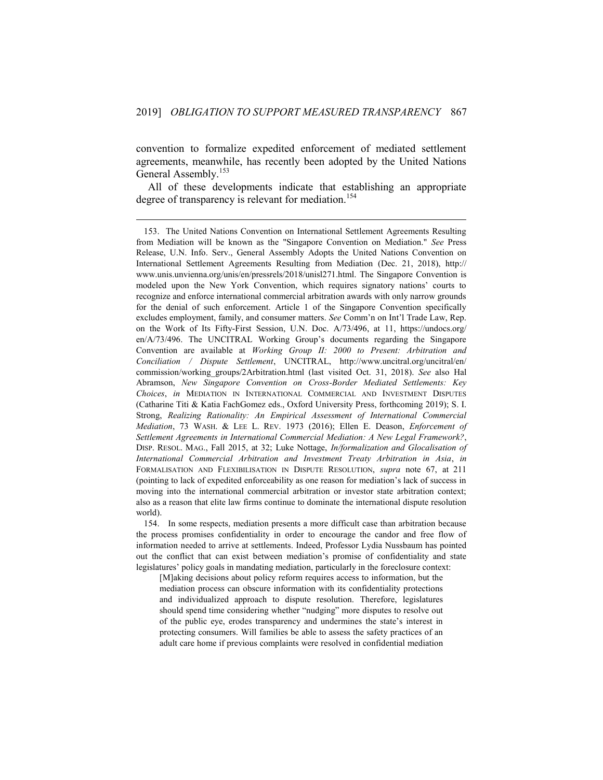convention to formalize expedited enforcement of mediated settlement agreements, meanwhile, has recently been adopted by the United Nations General Assembly.<sup>153</sup>

All of these developments indicate that establishing an appropriate degree of transparency is relevant for mediation.<sup>154</sup>

1

154. In some respects, mediation presents a more difficult case than arbitration because the process promises confidentiality in order to encourage the candor and free flow of information needed to arrive at settlements. Indeed, Professor Lydia Nussbaum has pointed out the conflict that can exist between mediation's promise of confidentiality and state legislatures' policy goals in mandating mediation, particularly in the foreclosure context:

[M]aking decisions about policy reform requires access to information, but the mediation process can obscure information with its confidentiality protections and individualized approach to dispute resolution. Therefore, legislatures should spend time considering whether "nudging" more disputes to resolve out of the public eye, erodes transparency and undermines the state's interest in protecting consumers. Will families be able to assess the safety practices of an adult care home if previous complaints were resolved in confidential mediation

<sup>153.</sup> The United Nations Convention on International Settlement Agreements Resulting from Mediation will be known as the "Singapore Convention on Mediation." *See* Press Release, U.N. Info. Serv., General Assembly Adopts the United Nations Convention on International Settlement Agreements Resulting from Mediation (Dec. 21, 2018), http:// www.unis.unvienna.org/unis/en/pressrels/2018/unisl271.html. The Singapore Convention is modeled upon the New York Convention, which requires signatory nations' courts to recognize and enforce international commercial arbitration awards with only narrow grounds for the denial of such enforcement. Article 1 of the Singapore Convention specifically excludes employment, family, and consumer matters. *See* Comm'n on Int'l Trade Law, Rep. on the Work of Its Fifty-First Session, U.N. Doc. A/73/496, at 11, https://undocs.org/ en/A/73/496. The UNCITRAL Working Group's documents regarding the Singapore Convention are available at *Working Group II: 2000 to Present: Arbitration and Conciliation / Dispute Settlement*, UNCITRAL, http://www.uncitral.org/uncitral/en/ commission/working\_groups/2Arbitration.html (last visited Oct. 31, 2018). *See* also Hal Abramson, *New Singapore Convention on Cross-Border Mediated Settlements: Key Choices*, *in* MEDIATION IN INTERNATIONAL COMMERCIAL AND INVESTMENT DISPUTES (Catharine Titi & Katia FachGomez eds., Oxford University Press, forthcoming 2019); S. I. Strong, *Realizing Rationality: An Empirical Assessment of International Commercial Mediation*, 73 WASH. & LEE L. REV. 1973 (2016); Ellen E. Deason, *Enforcement of Settlement Agreements in International Commercial Mediation: A New Legal Framework?*, DISP. RESOL. MAG., Fall 2015, at 32; Luke Nottage, *In/formalization and Glocalisation of International Commercial Arbitration and Investment Treaty Arbitration in Asia*, *in* FORMALISATION AND FLEXIBILISATION IN DISPUTE RESOLUTION, *supra* note 67, at 211 (pointing to lack of expedited enforceability as one reason for mediation's lack of success in moving into the international commercial arbitration or investor state arbitration context; also as a reason that elite law firms continue to dominate the international dispute resolution world).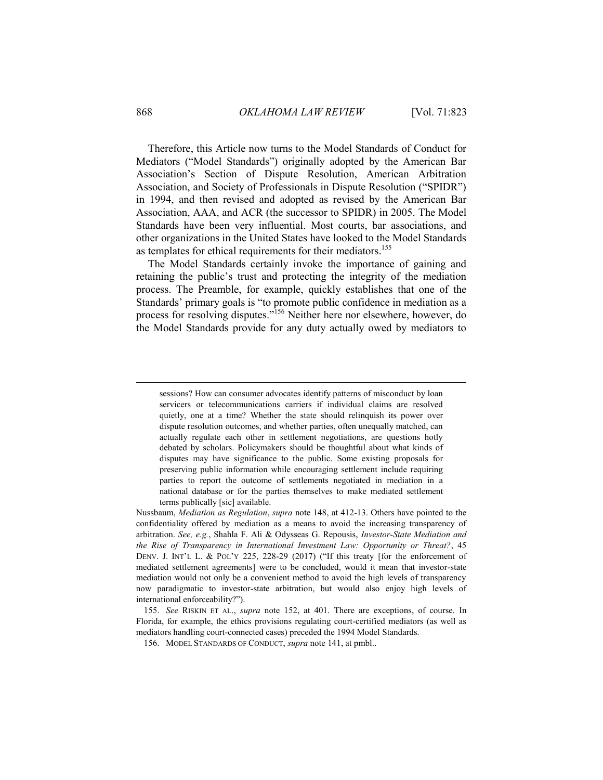Therefore, this Article now turns to the Model Standards of Conduct for Mediators ("Model Standards") originally adopted by the American Bar Association's Section of Dispute Resolution, American Arbitration Association, and Society of Professionals in Dispute Resolution ("SPIDR") in 1994, and then revised and adopted as revised by the American Bar Association, AAA, and ACR (the successor to SPIDR) in 2005. The Model Standards have been very influential. Most courts, bar associations, and other organizations in the United States have looked to the Model Standards as templates for ethical requirements for their mediators.<sup>155</sup>

The Model Standards certainly invoke the importance of gaining and retaining the public's trust and protecting the integrity of the mediation process. The Preamble, for example, quickly establishes that one of the Standards' primary goals is "to promote public confidence in mediation as a process for resolving disputes.<sup>7156</sup> Neither here nor elsewhere, however, do the Model Standards provide for any duty actually owed by mediators to

sessions? How can consumer advocates identify patterns of misconduct by loan servicers or telecommunications carriers if individual claims are resolved quietly, one at a time? Whether the state should relinquish its power over dispute resolution outcomes, and whether parties, often unequally matched, can actually regulate each other in settlement negotiations, are questions hotly debated by scholars. Policymakers should be thoughtful about what kinds of disputes may have significance to the public. Some existing proposals for preserving public information while encouraging settlement include requiring parties to report the outcome of settlements negotiated in mediation in a national database or for the parties themselves to make mediated settlement terms publically [sic] available.

Nussbaum, *Mediation as Regulation*, *supra* note 148, at 412-13. Others have pointed to the confidentiality offered by mediation as a means to avoid the increasing transparency of arbitration. *See, e.g.*, Shahla F. Ali & Odysseas G. Repousis, *Investor-State Mediation and the Rise of Transparency in International Investment Law: Opportunity or Threat?*, 45 DENV. J. INT'L L. & POL'Y 225, 228-29 (2017) ("If this treaty [for the enforcement of mediated settlement agreements] were to be concluded, would it mean that investor-state mediation would not only be a convenient method to avoid the high levels of transparency now paradigmatic to investor-state arbitration, but would also enjoy high levels of international enforceability?").

<sup>155.</sup> *See* RISKIN ET AL., *supra* note 152, at 401. There are exceptions, of course. In Florida, for example, the ethics provisions regulating court-certified mediators (as well as mediators handling court-connected cases) preceded the 1994 Model Standards.

<sup>156.</sup> MODEL STANDARDS OF CONDUCT, *supra* note 141, at pmbl..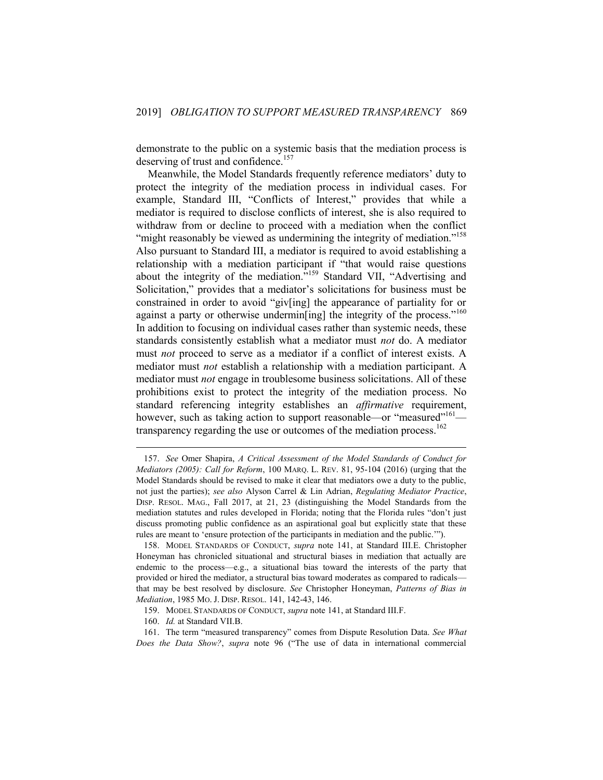demonstrate to the public on a systemic basis that the mediation process is deserving of trust and confidence.<sup>157</sup>

Meanwhile, the Model Standards frequently reference mediators' duty to protect the integrity of the mediation process in individual cases. For example, Standard III, "Conflicts of Interest," provides that while a mediator is required to disclose conflicts of interest, she is also required to withdraw from or decline to proceed with a mediation when the conflict "might reasonably be viewed as undermining the integrity of mediation."<sup>158</sup> Also pursuant to Standard III, a mediator is required to avoid establishing a relationship with a mediation participant if "that would raise questions about the integrity of the mediation."<sup>159</sup> Standard VII, "Advertising and Solicitation," provides that a mediator's solicitations for business must be constrained in order to avoid "giv[ing] the appearance of partiality for or against a party or otherwise undermine ingl the integrity of the process.<sup> $160$ </sup> In addition to focusing on individual cases rather than systemic needs, these standards consistently establish what a mediator must *not* do. A mediator must *not* proceed to serve as a mediator if a conflict of interest exists. A mediator must *not* establish a relationship with a mediation participant. A mediator must *not* engage in troublesome business solicitations. All of these prohibitions exist to protect the integrity of the mediation process. No standard referencing integrity establishes an *affirmative* requirement, however, such as taking action to support reasonable—or "measured"<sup>161</sup> transparency regarding the use or outcomes of the mediation process.<sup>162</sup>

<sup>157.</sup> *See* Omer Shapira, *A Critical Assessment of the Model Standards of Conduct for Mediators (2005): Call for Reform*, 100 MARQ. L. REV. 81, 95-104 (2016) (urging that the Model Standards should be revised to make it clear that mediators owe a duty to the public, not just the parties); *see also* Alyson Carrel & Lin Adrian, *Regulating Mediator Practice*, DISP. RESOL. MAG., Fall 2017, at 21, 23 (distinguishing the Model Standards from the mediation statutes and rules developed in Florida; noting that the Florida rules "don't just discuss promoting public confidence as an aspirational goal but explicitly state that these rules are meant to 'ensure protection of the participants in mediation and the public.'").

<sup>158.</sup> MODEL STANDARDS OF CONDUCT, *supra* note 141, at Standard III.E. Christopher Honeyman has chronicled situational and structural biases in mediation that actually are endemic to the process—e.g., a situational bias toward the interests of the party that provided or hired the mediator, a structural bias toward moderates as compared to radicals that may be best resolved by disclosure. *See* Christopher Honeyman, *Patterns of Bias in Mediation*, 1985 MO. J. DISP. RESOL. 141, 142-43, 146.

<sup>159.</sup> MODEL STANDARDS OF CONDUCT, *supra* note 141, at Standard III.F.

<sup>160.</sup> *Id.* at Standard VII.B.

<sup>161.</sup> The term "measured transparency" comes from Dispute Resolution Data. *See What Does the Data Show?*, *supra* note 96 ("The use of data in international commercial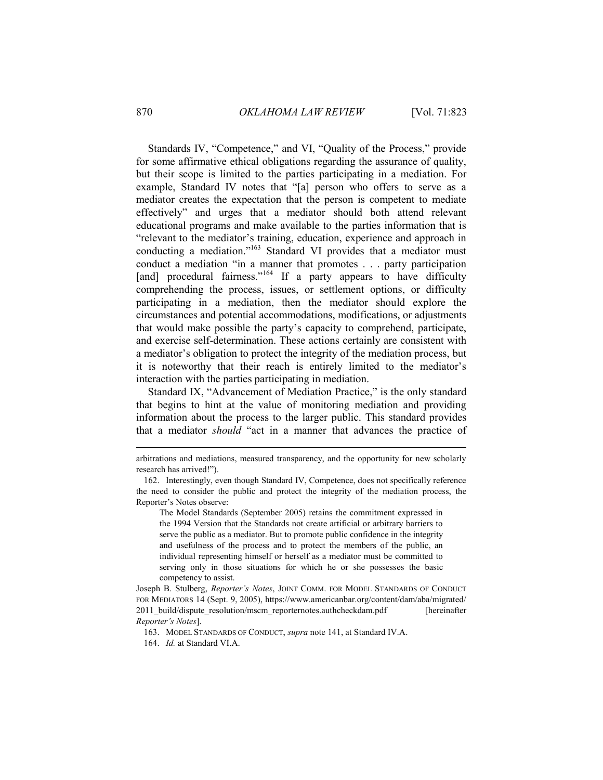Standards IV, "Competence," and VI, "Quality of the Process," provide for some affirmative ethical obligations regarding the assurance of quality, but their scope is limited to the parties participating in a mediation. For example, Standard IV notes that "[a] person who offers to serve as a mediator creates the expectation that the person is competent to mediate effectively" and urges that a mediator should both attend relevant educational programs and make available to the parties information that is "relevant to the mediator's training, education, experience and approach in conducting a mediation."<sup>163</sup> Standard VI provides that a mediator must conduct a mediation "in a manner that promotes . . . party participation [and] procedural fairness." $164$  If a party appears to have difficulty comprehending the process, issues, or settlement options, or difficulty participating in a mediation, then the mediator should explore the circumstances and potential accommodations, modifications, or adjustments that would make possible the party's capacity to comprehend, participate, and exercise self-determination. These actions certainly are consistent with a mediator's obligation to protect the integrity of the mediation process, but it is noteworthy that their reach is entirely limited to the mediator's interaction with the parties participating in mediation.

Standard IX, "Advancement of Mediation Practice," is the only standard that begins to hint at the value of monitoring mediation and providing information about the process to the larger public. This standard provides that a mediator *should* "act in a manner that advances the practice of

The Model Standards (September 2005) retains the commitment expressed in the 1994 Version that the Standards not create artificial or arbitrary barriers to serve the public as a mediator. But to promote public confidence in the integrity and usefulness of the process and to protect the members of the public, an individual representing himself or herself as a mediator must be committed to serving only in those situations for which he or she possesses the basic competency to assist.

Joseph B. Stulberg, *Reporter's Notes*, JOINT COMM. FOR MODEL STANDARDS OF CONDUCT FOR MEDIATORS 14 (Sept. 9, 2005), https://www.americanbar.org/content/dam/aba/migrated/ 2011 build/dispute resolution/mscm\_reporternotes.authcheckdam.pdf [hereinafter *Reporter's Notes*].

163. MODEL STANDARDS OF CONDUCT, *supra* note 141, at Standard IV.A.

arbitrations and mediations, measured transparency, and the opportunity for new scholarly research has arrived!").

<sup>162.</sup> Interestingly, even though Standard IV, Competence, does not specifically reference the need to consider the public and protect the integrity of the mediation process, the Reporter's Notes observe:

<sup>164.</sup> *Id.* at Standard VI.A.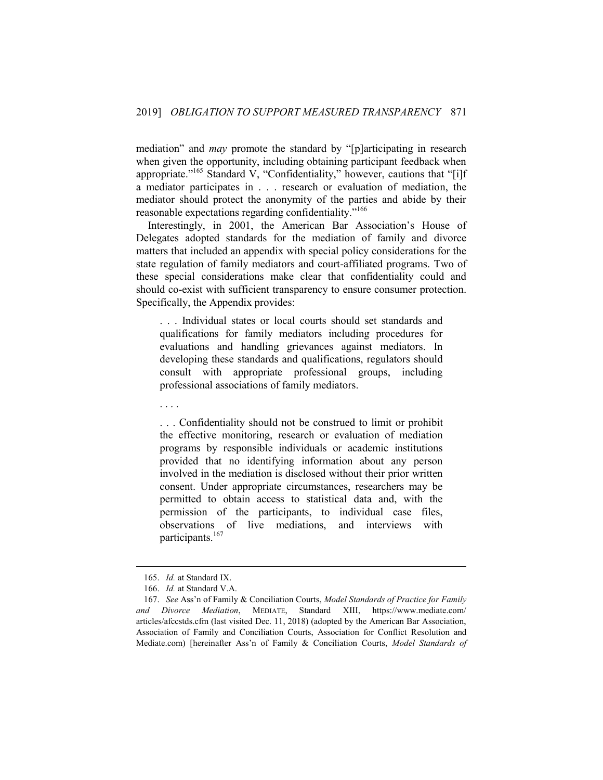mediation" and *may* promote the standard by "[p]articipating in research when given the opportunity, including obtaining participant feedback when appropriate."<sup>165</sup> Standard V, "Confidentiality," however, cautions that "[i]f a mediator participates in . . . research or evaluation of mediation, the mediator should protect the anonymity of the parties and abide by their reasonable expectations regarding confidentiality."<sup>166</sup>

Interestingly, in 2001, the American Bar Association's House of Delegates adopted standards for the mediation of family and divorce matters that included an appendix with special policy considerations for the state regulation of family mediators and court-affiliated programs. Two of these special considerations make clear that confidentiality could and should co-exist with sufficient transparency to ensure consumer protection. Specifically, the Appendix provides:

. . . Individual states or local courts should set standards and qualifications for family mediators including procedures for evaluations and handling grievances against mediators. In developing these standards and qualifications, regulators should consult with appropriate professional groups, including professional associations of family mediators.

. . . Confidentiality should not be construed to limit or prohibit the effective monitoring, research or evaluation of mediation programs by responsible individuals or academic institutions provided that no identifying information about any person involved in the mediation is disclosed without their prior written consent. Under appropriate circumstances, researchers may be permitted to obtain access to statistical data and, with the permission of the participants, to individual case files, observations of live mediations, and interviews with participants.<sup>167</sup>

1

. . . .

<sup>165.</sup> *Id.* at Standard IX.

<sup>166.</sup> *Id.* at Standard V.A.

<sup>167.</sup> *See* Ass'n of Family & Conciliation Courts, *Model Standards of Practice for Family and Divorce Mediation*, MEDIATE, Standard XIII, https://www.mediate.com/ articles/afccstds.cfm (last visited Dec. 11, 2018) (adopted by the American Bar Association, Association of Family and Conciliation Courts, Association for Conflict Resolution and Mediate.com) [hereinafter Ass'n of Family & Conciliation Courts, *Model Standards of*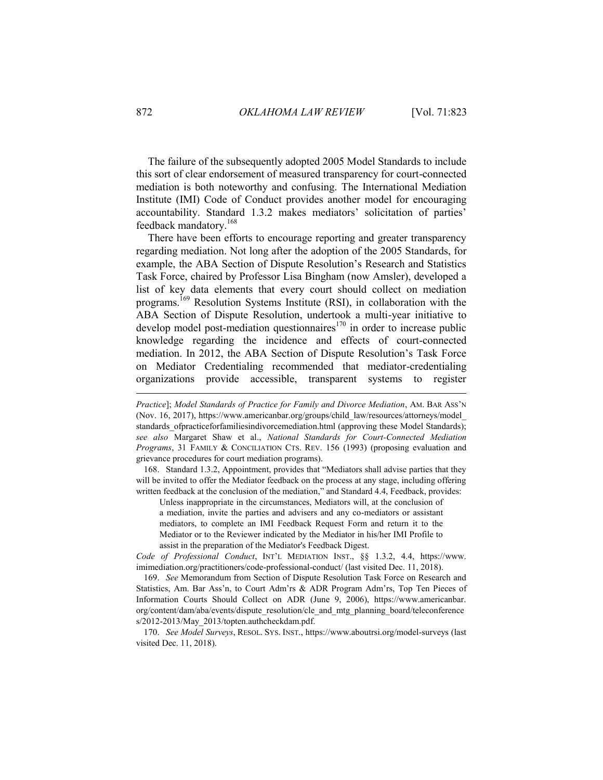The failure of the subsequently adopted 2005 Model Standards to include this sort of clear endorsement of measured transparency for court-connected mediation is both noteworthy and confusing. The International Mediation Institute (IMI) Code of Conduct provides another model for encouraging accountability. Standard 1.3.2 makes mediators' solicitation of parties' feedback mandatory.<sup>168</sup>

There have been efforts to encourage reporting and greater transparency regarding mediation. Not long after the adoption of the 2005 Standards, for example, the ABA Section of Dispute Resolution's Research and Statistics Task Force, chaired by Professor Lisa Bingham (now Amsler), developed a list of key data elements that every court should collect on mediation programs.<sup>169</sup> Resolution Systems Institute (RSI), in collaboration with the ABA Section of Dispute Resolution, undertook a multi-year initiative to develop model post-mediation questionnaires<sup>170</sup> in order to increase public knowledge regarding the incidence and effects of court-connected mediation. In 2012, the ABA Section of Dispute Resolution's Task Force on Mediator Credentialing recommended that mediator-credentialing organizations provide accessible, transparent systems to register

168. Standard 1.3.2, Appointment, provides that "Mediators shall advise parties that they will be invited to offer the Mediator feedback on the process at any stage, including offering written feedback at the conclusion of the mediation," and Standard 4.4, Feedback, provides:

Unless inappropriate in the circumstances, Mediators will, at the conclusion of a mediation, invite the parties and advisers and any co-mediators or assistant mediators, to complete an IMI Feedback Request Form and return it to the Mediator or to the Reviewer indicated by the Mediator in his/her IMI Profile to assist in the preparation of the Mediator's Feedback Digest.

*Code of Professional Conduct*, INT'L MEDIATION INST., §§ 1.3.2, 4.4, https://www. imimediation.org/practitioners/code-professional-conduct/ (last visited Dec. 11, 2018).

169. *See* Memorandum from Section of Dispute Resolution Task Force on Research and Statistics, Am. Bar Ass'n, to Court Adm'rs & ADR Program Adm'rs, Top Ten Pieces of Information Courts Should Collect on ADR (June 9, 2006), https://www.americanbar. org/content/dam/aba/events/dispute\_resolution/cle\_and\_mtg\_planning\_board/teleconference s/2012-2013/May\_2013/topten.authcheckdam.pdf.

170. *See Model Surveys*, RESOL. SYS. INST., https://www.aboutrsi.org/model-surveys (last visited Dec. 11, 2018).

*Practice*]; *Model Standards of Practice for Family and Divorce Mediation*, AM. BAR ASS'N (Nov. 16, 2017), https://www.americanbar.org/groups/child\_law/resources/attorneys/model\_ standards ofpracticeforfamiliesindivorcemediation.html (approving these Model Standards); *see also* Margaret Shaw et al., *National Standards for Court-Connected Mediation Programs*, 31 FAMILY & CONCILIATION CTS. REV. 156 (1993) (proposing evaluation and grievance procedures for court mediation programs).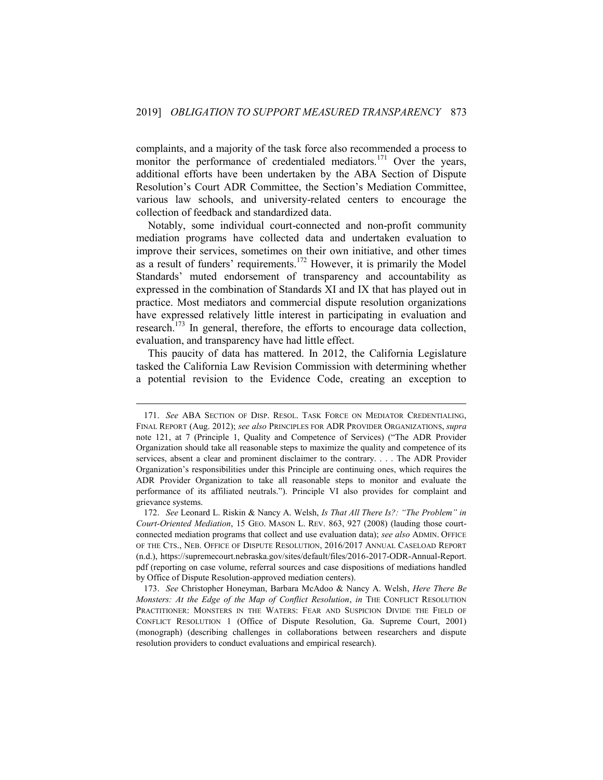complaints, and a majority of the task force also recommended a process to monitor the performance of credentialed mediators.<sup>171</sup> Over the years, additional efforts have been undertaken by the ABA Section of Dispute Resolution's Court ADR Committee, the Section's Mediation Committee, various law schools, and university-related centers to encourage the collection of feedback and standardized data.

Notably, some individual court-connected and non-profit community mediation programs have collected data and undertaken evaluation to improve their services, sometimes on their own initiative, and other times as a result of funders' requirements.<sup>172</sup> However, it is primarily the Model Standards' muted endorsement of transparency and accountability as expressed in the combination of Standards XI and IX that has played out in practice. Most mediators and commercial dispute resolution organizations have expressed relatively little interest in participating in evaluation and research.<sup>173</sup> In general, therefore, the efforts to encourage data collection, evaluation, and transparency have had little effect.

This paucity of data has mattered. In 2012, the California Legislature tasked the California Law Revision Commission with determining whether a potential revision to the Evidence Code, creating an exception to

<sup>171.</sup> *See* ABA SECTION OF DISP. RESOL. TASK FORCE ON MEDIATOR CREDENTIALING, FINAL REPORT (Aug. 2012); *see also* PRINCIPLES FOR ADR PROVIDER ORGANIZATIONS, *supra* note 121, at 7 (Principle 1, Quality and Competence of Services) ("The ADR Provider Organization should take all reasonable steps to maximize the quality and competence of its services, absent a clear and prominent disclaimer to the contrary. . . . The ADR Provider Organization's responsibilities under this Principle are continuing ones, which requires the ADR Provider Organization to take all reasonable steps to monitor and evaluate the performance of its affiliated neutrals."). Principle VI also provides for complaint and grievance systems.

<sup>172.</sup> *See* Leonard L. Riskin & Nancy A. Welsh, *Is That All There Is?: "The Problem" in Court-Oriented Mediation*, 15 GEO. MASON L. REV. 863, 927 (2008) (lauding those courtconnected mediation programs that collect and use evaluation data); *see also* ADMIN. OFFICE OF THE CTS., NEB. OFFICE OF DISPUTE RESOLUTION, 2016/2017 ANNUAL CASELOAD REPORT (n.d.), https://supremecourt.nebraska.gov/sites/default/files/2016-2017-ODR-Annual-Report. pdf (reporting on case volume, referral sources and case dispositions of mediations handled by Office of Dispute Resolution-approved mediation centers).

<sup>173.</sup> *See* Christopher Honeyman, Barbara McAdoo & Nancy A. Welsh, *Here There Be Monsters: At the Edge of the Map of Conflict Resolution*, *in* THE CONFLICT RESOLUTION PRACTITIONER: MONSTERS IN THE WATERS: FEAR AND SUSPICION DIVIDE THE FIELD OF CONFLICT RESOLUTION 1 (Office of Dispute Resolution, Ga. Supreme Court, 2001) (monograph) (describing challenges in collaborations between researchers and dispute resolution providers to conduct evaluations and empirical research).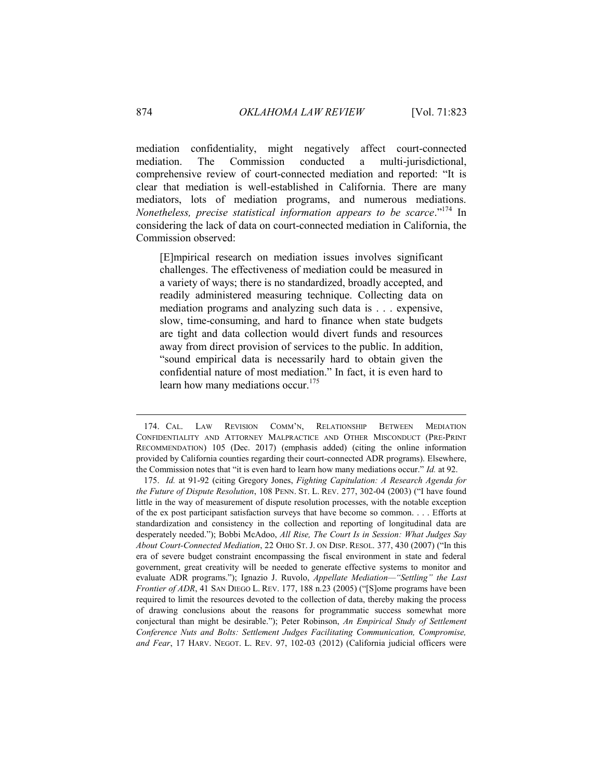mediation confidentiality, might negatively affect court-connected mediation. The Commission conducted a multi-jurisdictional, comprehensive review of court-connected mediation and reported: "It is clear that mediation is well-established in California. There are many mediators, lots of mediation programs, and numerous mediations. *Nonetheless, precise statistical information appears to be scarce*."<sup>174</sup> In considering the lack of data on court-connected mediation in California, the Commission observed:

[E]mpirical research on mediation issues involves significant challenges. The effectiveness of mediation could be measured in a variety of ways; there is no standardized, broadly accepted, and readily administered measuring technique. Collecting data on mediation programs and analyzing such data is . . . expensive, slow, time-consuming, and hard to finance when state budgets are tight and data collection would divert funds and resources away from direct provision of services to the public. In addition, "sound empirical data is necessarily hard to obtain given the confidential nature of most mediation." In fact, it is even hard to learn how many mediations occur.<sup>175</sup>

<sup>174.</sup> CAL. LAW REVISION COMM'N, RELATIONSHIP BETWEEN MEDIATION CONFIDENTIALITY AND ATTORNEY MALPRACTICE AND OTHER MISCONDUCT (PRE-PRINT RECOMMENDATION) 105 (Dec. 2017) (emphasis added) (citing the online information provided by California counties regarding their court-connected ADR programs). Elsewhere, the Commission notes that "it is even hard to learn how many mediations occur." *Id.* at 92.

<sup>175.</sup> *Id.* at 91-92 (citing Gregory Jones, *Fighting Capitulation: A Research Agenda for the Future of Dispute Resolution*, 108 PENN. ST. L. REV. 277, 302-04 (2003) ("I have found little in the way of measurement of dispute resolution processes, with the notable exception of the ex post participant satisfaction surveys that have become so common. . . . Efforts at standardization and consistency in the collection and reporting of longitudinal data are desperately needed."); Bobbi McAdoo, *All Rise, The Court Is in Session: What Judges Say About Court-Connected Mediation*, 22 OHIO ST. J. ON DISP. RESOL. 377, 430 (2007) ("In this era of severe budget constraint encompassing the fiscal environment in state and federal government, great creativity will be needed to generate effective systems to monitor and evaluate ADR programs."); Ignazio J. Ruvolo, *Appellate Mediation—"Settling" the Last Frontier of ADR*, 41 SAN DIEGO L. REV. 177, 188 n.23 (2005) ("[S]ome programs have been required to limit the resources devoted to the collection of data, thereby making the process of drawing conclusions about the reasons for programmatic success somewhat more conjectural than might be desirable."); Peter Robinson, *An Empirical Study of Settlement Conference Nuts and Bolts: Settlement Judges Facilitating Communication, Compromise, and Fear*, 17 HARV. NEGOT. L. REV. 97, 102-03 (2012) (California judicial officers were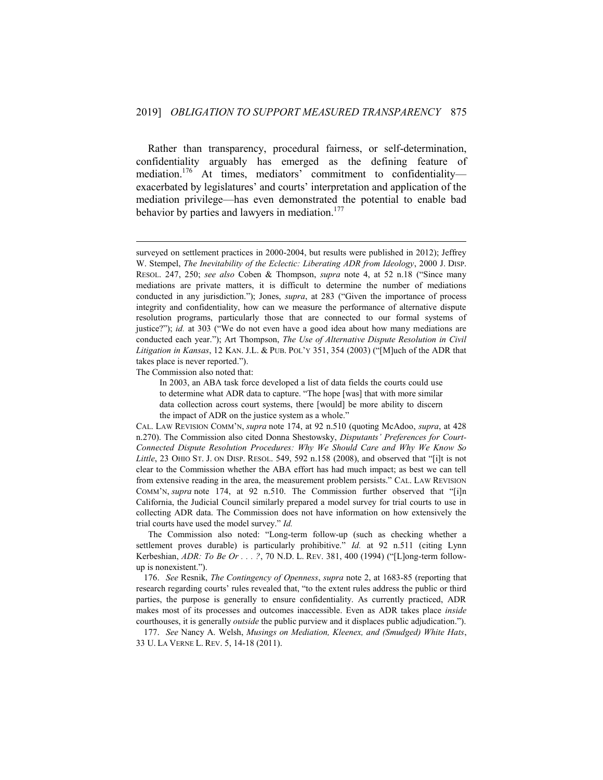Rather than transparency, procedural fairness, or self-determination, confidentiality arguably has emerged as the defining feature of mediation.<sup>176</sup> At times, mediators' commitment to confidentialityexacerbated by legislatures' and courts' interpretation and application of the mediation privilege—has even demonstrated the potential to enable bad behavior by parties and lawyers in mediation. $177$ 

The Commission also noted that:

1

The Commission also noted: "Long-term follow-up (such as checking whether a settlement proves durable) is particularly prohibitive.<sup>"</sup> *Id.* at 92 n.511 (citing Lynn Kerbeshian, *ADR: To Be Or . . . ?*, 70 N.D. L. REV. 381, 400 (1994) ("[L]ong-term followup is nonexistent.").

176. *See* Resnik, *The Contingency of Openness*, *supra* note 2, at 1683-85 (reporting that research regarding courts' rules revealed that, "to the extent rules address the public or third parties, the purpose is generally to ensure confidentiality. As currently practiced, ADR makes most of its processes and outcomes inaccessible. Even as ADR takes place *inside* courthouses, it is generally *outside* the public purview and it displaces public adjudication.").

177. *See* Nancy A. Welsh, *Musings on Mediation, Kleenex, and (Smudged) White Hats*, 33 U. LA VERNE L. REV. 5, 14-18 (2011).

surveyed on settlement practices in 2000-2004, but results were published in 2012); Jeffrey W. Stempel, *The Inevitability of the Eclectic: Liberating ADR from Ideology*, 2000 J. DISP. RESOL. 247, 250; *see also* Coben & Thompson, *supra* note 4, at 52 n.18 ("Since many mediations are private matters, it is difficult to determine the number of mediations conducted in any jurisdiction."); Jones, *supra*, at 283 ("Given the importance of process integrity and confidentiality, how can we measure the performance of alternative dispute resolution programs, particularly those that are connected to our formal systems of justice?"); *id.* at 303 ("We do not even have a good idea about how many mediations are conducted each year."); Art Thompson, *The Use of Alternative Dispute Resolution in Civil Litigation in Kansas*, 12 KAN. J.L. & PUB. POL'Y 351, 354 (2003) ("[M]uch of the ADR that takes place is never reported.").

In 2003, an ABA task force developed a list of data fields the courts could use to determine what ADR data to capture. "The hope [was] that with more similar data collection across court systems, there [would] be more ability to discern the impact of ADR on the justice system as a whole."

CAL. LAW REVISION COMM'N, *supra* note 174, at 92 n.510 (quoting McAdoo, *supra*, at 428 n.270). The Commission also cited Donna Shestowsky, *Disputants' Preferences for Court-Connected Dispute Resolution Procedures: Why We Should Care and Why We Know So Little*, 23 OHIO ST. J. ON DISP. RESOL. 549, 592 n.158 (2008), and observed that "[i]t is not clear to the Commission whether the ABA effort has had much impact; as best we can tell from extensive reading in the area, the measurement problem persists." CAL. LAW REVISION COMM'N, *supra* note 174, at 92 n.510. The Commission further observed that "[i]n California, the Judicial Council similarly prepared a model survey for trial courts to use in collecting ADR data. The Commission does not have information on how extensively the trial courts have used the model survey." *Id.*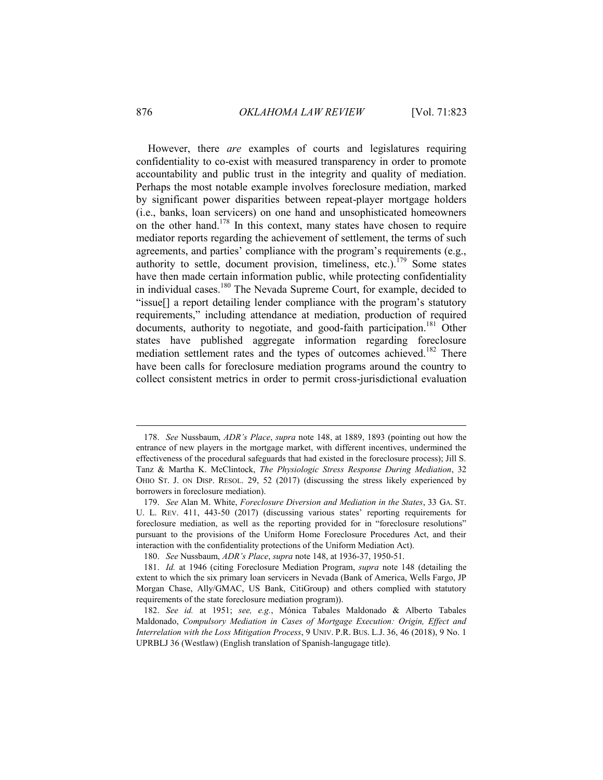However, there *are* examples of courts and legislatures requiring confidentiality to co-exist with measured transparency in order to promote accountability and public trust in the integrity and quality of mediation. Perhaps the most notable example involves foreclosure mediation, marked by significant power disparities between repeat-player mortgage holders (i.e., banks, loan servicers) on one hand and unsophisticated homeowners on the other hand.<sup>178</sup> In this context, many states have chosen to require mediator reports regarding the achievement of settlement, the terms of such agreements, and parties' compliance with the program's requirements (e.g., authority to settle, document provision, timeliness, etc.).<sup>179</sup> Some states have then made certain information public, while protecting confidentiality in individual cases.<sup>180</sup> The Nevada Supreme Court, for example, decided to "issue[] a report detailing lender compliance with the program's statutory requirements," including attendance at mediation, production of required documents, authority to negotiate, and good-faith participation.<sup>181</sup> Other states have published aggregate information regarding foreclosure mediation settlement rates and the types of outcomes achieved.<sup>182</sup> There have been calls for foreclosure mediation programs around the country to collect consistent metrics in order to permit cross-jurisdictional evaluation

<sup>178.</sup> *See* Nussbaum, *ADR's Place*, *supra* note 148, at 1889, 1893 (pointing out how the entrance of new players in the mortgage market, with different incentives, undermined the effectiveness of the procedural safeguards that had existed in the foreclosure process); Jill S. Tanz & Martha K. McClintock, *The Physiologic Stress Response During Mediation*, 32 OHIO ST. J. ON DISP. RESOL. 29, 52 (2017) (discussing the stress likely experienced by borrowers in foreclosure mediation).

<sup>179.</sup> *See* Alan M. White, *Foreclosure Diversion and Mediation in the States*, 33 GA. ST. U. L. REV. 411, 443-50 (2017) (discussing various states' reporting requirements for foreclosure mediation, as well as the reporting provided for in "foreclosure resolutions" pursuant to the provisions of the Uniform Home Foreclosure Procedures Act, and their interaction with the confidentiality protections of the Uniform Mediation Act).

<sup>180.</sup> *See* Nussbaum, *ADR's Place*, *supra* note 148, at 1936-37, 1950-51.

<sup>181.</sup> *Id.* at 1946 (citing Foreclosure Mediation Program, *supra* note 148 (detailing the extent to which the six primary loan servicers in Nevada (Bank of America, Wells Fargo, JP Morgan Chase, Ally/GMAC, US Bank, CitiGroup) and others complied with statutory requirements of the state foreclosure mediation program)).

<sup>182.</sup> *See id.* at 1951; *see, e.g.*, Mónica Tabales Maldonado & Alberto Tabales Maldonado, *Compulsory Mediation in Cases of Mortgage Execution: Origin, Effect and Interrelation with the Loss Mitigation Process*, 9 UNIV. P.R. BUS. L.J. 36, 46 (2018), 9 No. 1 UPRBLJ 36 (Westlaw) (English translation of Spanish-langugage title).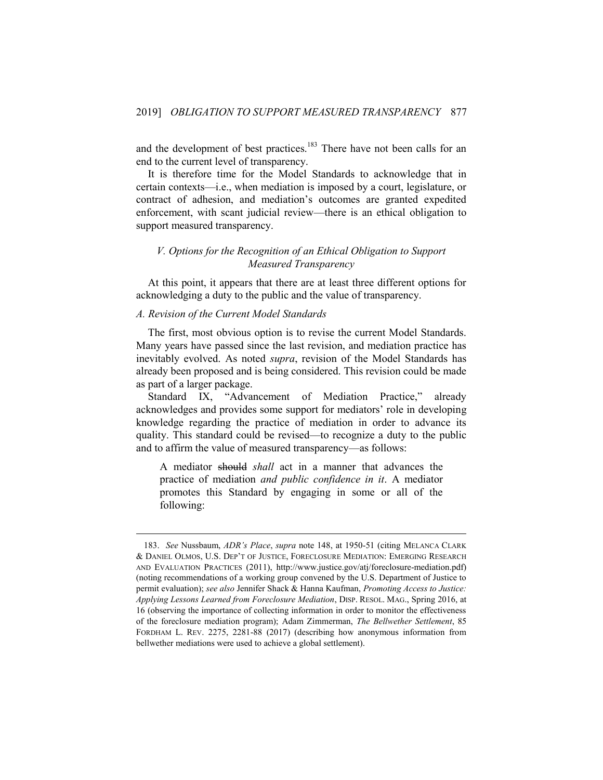and the development of best practices.<sup>183</sup> There have not been calls for an end to the current level of transparency.

It is therefore time for the Model Standards to acknowledge that in certain contexts—i.e., when mediation is imposed by a court, legislature, or contract of adhesion, and mediation's outcomes are granted expedited enforcement, with scant judicial review—there is an ethical obligation to support measured transparency.

# <span id="page-55-1"></span><span id="page-55-0"></span>*V. Options for the Recognition of an Ethical Obligation to Support Measured Transparency*

At this point, it appears that there are at least three different options for acknowledging a duty to the public and the value of transparency.

# *A. Revision of the Current Model Standards*

1

The first, most obvious option is to revise the current Model Standards. Many years have passed since the last revision, and mediation practice has inevitably evolved. As noted *supra*, revision of the Model Standards has already been proposed and is being considered. This revision could be made as part of a larger package.

Standard IX, "Advancement of Mediation Practice," already acknowledges and provides some support for mediators' role in developing knowledge regarding the practice of mediation in order to advance its quality. This standard could be revised—to recognize a duty to the public and to affirm the value of measured transparency—as follows:

A mediator should *shall* act in a manner that advances the practice of mediation *and public confidence in it*. A mediator promotes this Standard by engaging in some or all of the following:

<sup>183.</sup> *See* Nussbaum, *ADR's Place*, *supra* note 148, at 1950-51 (citing MELANCA CLARK & DANIEL OLMOS, U.S. DEP'T OF JUSTICE, FORECLOSURE MEDIATION: EMERGING RESEARCH AND EVALUATION PRACTICES (2011), http://www.justice.gov/atj/foreclosure-mediation.pdf) (noting recommendations of a working group convened by the U.S. Department of Justice to permit evaluation); *see also* Jennifer Shack & Hanna Kaufman, *Promoting Access to Justice: Applying Lessons Learned from Foreclosure Mediation*, DISP. RESOL. MAG., Spring 2016, at 16 (observing the importance of collecting information in order to monitor the effectiveness of the foreclosure mediation program); Adam Zimmerman, *The Bellwether Settlement*, 85 FORDHAM L. REV. 2275, 2281-88 (2017) (describing how anonymous information from bellwether mediations were used to achieve a global settlement).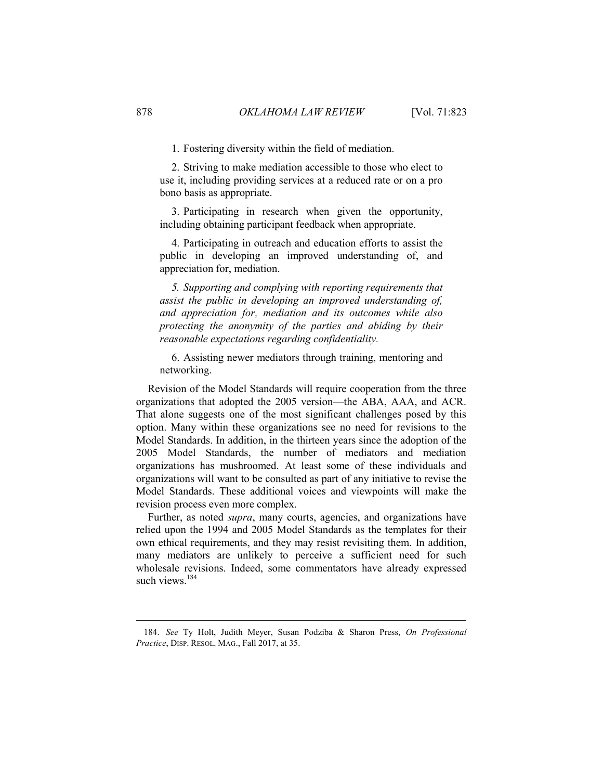1. Fostering diversity within the field of mediation.

2. Striving to make mediation accessible to those who elect to use it, including providing services at a reduced rate or on a pro bono basis as appropriate.

3. Participating in research when given the opportunity, including obtaining participant feedback when appropriate.

4. Participating in outreach and education efforts to assist the public in developing an improved understanding of, and appreciation for, mediation.

*5. Supporting and complying with reporting requirements that assist the public in developing an improved understanding of, and appreciation for, mediation and its outcomes while also protecting the anonymity of the parties and abiding by their reasonable expectations regarding confidentiality.* 

6. Assisting newer mediators through training, mentoring and networking.

Revision of the Model Standards will require cooperation from the three organizations that adopted the 2005 version—the ABA, AAA, and ACR. That alone suggests one of the most significant challenges posed by this option. Many within these organizations see no need for revisions to the Model Standards. In addition, in the thirteen years since the adoption of the 2005 Model Standards, the number of mediators and mediation organizations has mushroomed. At least some of these individuals and organizations will want to be consulted as part of any initiative to revise the Model Standards. These additional voices and viewpoints will make the revision process even more complex.

Further, as noted *supra*, many courts, agencies, and organizations have relied upon the 1994 and 2005 Model Standards as the templates for their own ethical requirements, and they may resist revisiting them. In addition, many mediators are unlikely to perceive a sufficient need for such wholesale revisions. Indeed, some commentators have already expressed such views $184$ 

<sup>184.</sup> *See* Ty Holt, Judith Meyer, Susan Podziba & Sharon Press, *On Professional Practice*, DISP. RESOL. MAG., Fall 2017, at 35.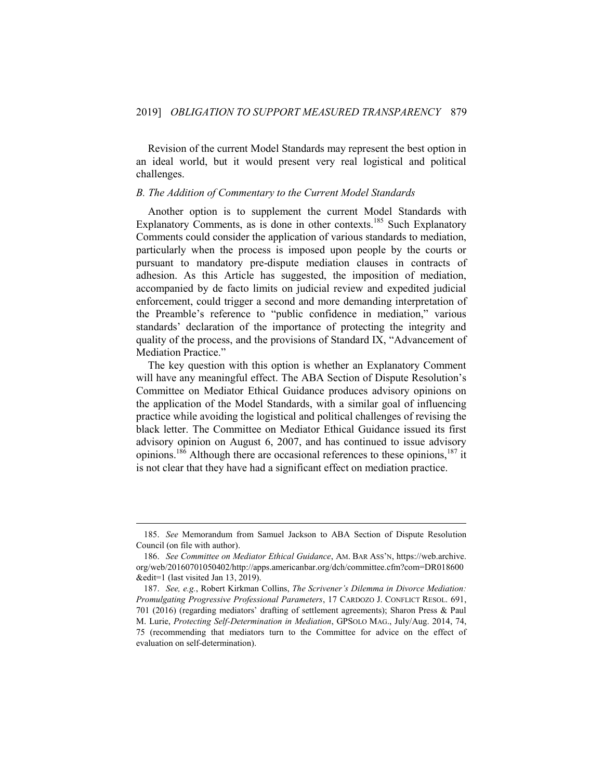Revision of the current Model Standards may represent the best option in an ideal world, but it would present very real logistical and political challenges.

### <span id="page-57-0"></span>*B. The Addition of Commentary to the Current Model Standards*

Another option is to supplement the current Model Standards with Explanatory Comments, as is done in other contexts.<sup>185</sup> Such Explanatory Comments could consider the application of various standards to mediation, particularly when the process is imposed upon people by the courts or pursuant to mandatory pre-dispute mediation clauses in contracts of adhesion. As this Article has suggested, the imposition of mediation, accompanied by de facto limits on judicial review and expedited judicial enforcement, could trigger a second and more demanding interpretation of the Preamble's reference to "public confidence in mediation," various standards' declaration of the importance of protecting the integrity and quality of the process, and the provisions of Standard IX, "Advancement of Mediation Practice."

The key question with this option is whether an Explanatory Comment will have any meaningful effect. The ABA Section of Dispute Resolution's Committee on Mediator Ethical Guidance produces advisory opinions on the application of the Model Standards, with a similar goal of influencing practice while avoiding the logistical and political challenges of revising the black letter. The Committee on Mediator Ethical Guidance issued its first advisory opinion on August 6, 2007, and has continued to issue advisory opinions.<sup>186</sup> Although there are occasional references to these opinions,<sup>187</sup> it is not clear that they have had a significant effect on mediation practice.

<span id="page-57-1"></span><sup>185.</sup> *See* Memorandum from Samuel Jackson to ABA Section of Dispute Resolution Council (on file with author).

<sup>186.</sup> *See Committee on Mediator Ethical Guidance*, AM. BAR ASS'N, https://web.archive. org/web/20160701050402/http://apps.americanbar.org/dch/committee.cfm?com=DR018600 &edit=1 (last visited Jan 13, 2019).

<sup>187.</sup> *See, e.g.*, Robert Kirkman Collins, *The Scrivener's Dilemma in Divorce Mediation: Promulgating Progressive Professional Parameters*, 17 CARDOZO J. CONFLICT RESOL. 691, 701 (2016) (regarding mediators' drafting of settlement agreements); Sharon Press & Paul M. Lurie, *Protecting Self-Determination in Mediation*, GPSOLO MAG., July/Aug. 2014, 74, 75 (recommending that mediators turn to the Committee for advice on the effect of evaluation on self-determination).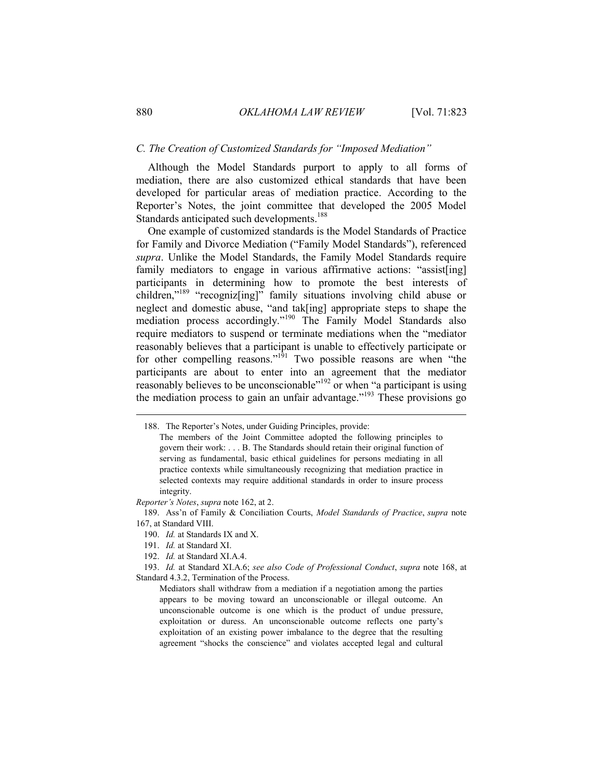#### *C. The Creation of Customized Standards for "Imposed Mediation"*

Although the Model Standards purport to apply to all forms of mediation, there are also customized ethical standards that have been developed for particular areas of mediation practice. According to the Reporter's Notes, the joint committee that developed the 2005 Model Standards anticipated such developments.<sup>188</sup>

One example of customized standards is the Model Standards of Practice for Family and Divorce Mediation ("Family Model Standards"), referenced *supra*. Unlike the Model Standards, the Family Model Standards require family mediators to engage in various affirmative actions: "assist[ing] participants in determining how to promote the best interests of children,"<sup>189</sup> "recogniz[ing]" family situations involving child abuse or neglect and domestic abuse, "and tak[ing] appropriate steps to shape the mediation process accordingly."<sup>190</sup> The Family Model Standards also require mediators to suspend or terminate mediations when the "mediator reasonably believes that a participant is unable to effectively participate or for other compelling reasons."<sup>191</sup> Two possible reasons are when "the participants are about to enter into an agreement that the mediator reasonably believes to be unconscionable<sup> $n_{192}$ </sup> or when "a participant is using the mediation process to gain an unfair advantage.<sup> $193$ </sup> These provisions go

*Reporter's Notes*, *supra* note 162, at 2.

190. *Id.* at Standards IX and X.

191. *Id.* at Standard XI.

192. *Id.* at Standard XI.A.4.

193. *Id.* at Standard XI.A.6; *see also Code of Professional Conduct*, *supra* note 168, at Standard 4.3.2, Termination of the Process.

Mediators shall withdraw from a mediation if a negotiation among the parties appears to be moving toward an unconscionable or illegal outcome. An unconscionable outcome is one which is the product of undue pressure, exploitation or duress. An unconscionable outcome reflects one party's exploitation of an existing power imbalance to the degree that the resulting agreement "shocks the conscience" and violates accepted legal and cultural

<sup>188.</sup> The Reporter's Notes, under Guiding Principles, provide:

The members of the Joint Committee adopted the following principles to govern their work: . . . B. The Standards should retain their original function of serving as fundamental, basic ethical guidelines for persons mediating in all practice contexts while simultaneously recognizing that mediation practice in selected contexts may require additional standards in order to insure process integrity.

<sup>189.</sup> Ass'n of Family & Conciliation Courts, *Model Standards of Practice*, *supra* note 167, at Standard VIII.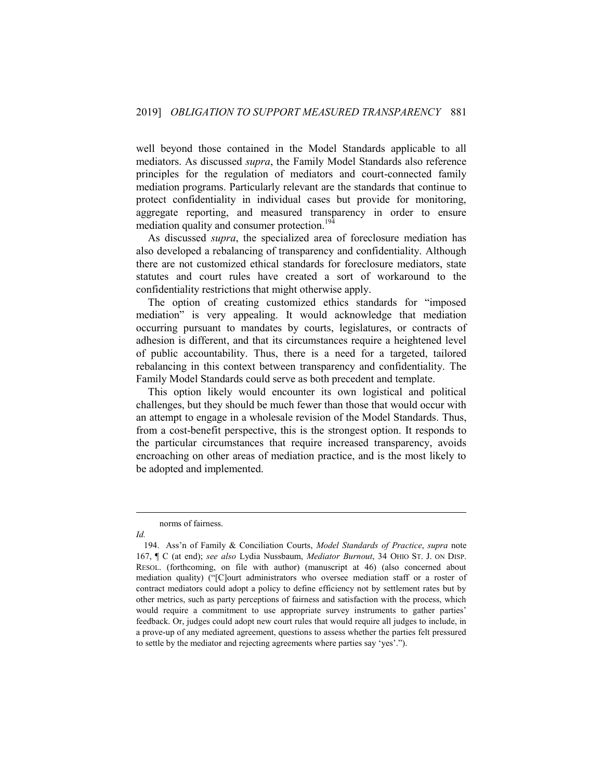well beyond those contained in the Model Standards applicable to all mediators. As discussed *supra*, the Family Model Standards also reference principles for the regulation of mediators and court-connected family mediation programs. Particularly relevant are the standards that continue to protect confidentiality in individual cases but provide for monitoring, aggregate reporting, and measured transparency in order to ensure mediation quality and consumer protection.<sup>194</sup>

As discussed *supra*, the specialized area of foreclosure mediation has also developed a rebalancing of transparency and confidentiality. Although there are not customized ethical standards for foreclosure mediators, state statutes and court rules have created a sort of workaround to the confidentiality restrictions that might otherwise apply.

The option of creating customized ethics standards for "imposed mediation" is very appealing. It would acknowledge that mediation occurring pursuant to mandates by courts, legislatures, or contracts of adhesion is different, and that its circumstances require a heightened level of public accountability. Thus, there is a need for a targeted, tailored rebalancing in this context between transparency and confidentiality. The Family Model Standards could serve as both precedent and template.

This option likely would encounter its own logistical and political challenges, but they should be much fewer than those that would occur with an attempt to engage in a wholesale revision of the Model Standards. Thus, from a cost-benefit perspective, this is the strongest option. It responds to the particular circumstances that require increased transparency, avoids encroaching on other areas of mediation practice, and is the most likely to be adopted and implemented.

<span id="page-59-0"></span>norms of fairness.

*Id.*

<sup>194.</sup> Ass'n of Family & Conciliation Courts, *Model Standards of Practice*, *supra* note 167, ¶ C (at end); *see also* Lydia Nussbaum, *Mediator Burnout*, 34 OHIO ST. J. ON DISP. RESOL. (forthcoming, on file with author) (manuscript at 46) (also concerned about mediation quality) ("[C]ourt administrators who oversee mediation staff or a roster of contract mediators could adopt a policy to define efficiency not by settlement rates but by other metrics, such as party perceptions of fairness and satisfaction with the process, which would require a commitment to use appropriate survey instruments to gather parties' feedback. Or, judges could adopt new court rules that would require all judges to include, in a prove-up of any mediated agreement, questions to assess whether the parties felt pressured to settle by the mediator and rejecting agreements where parties say 'yes'.").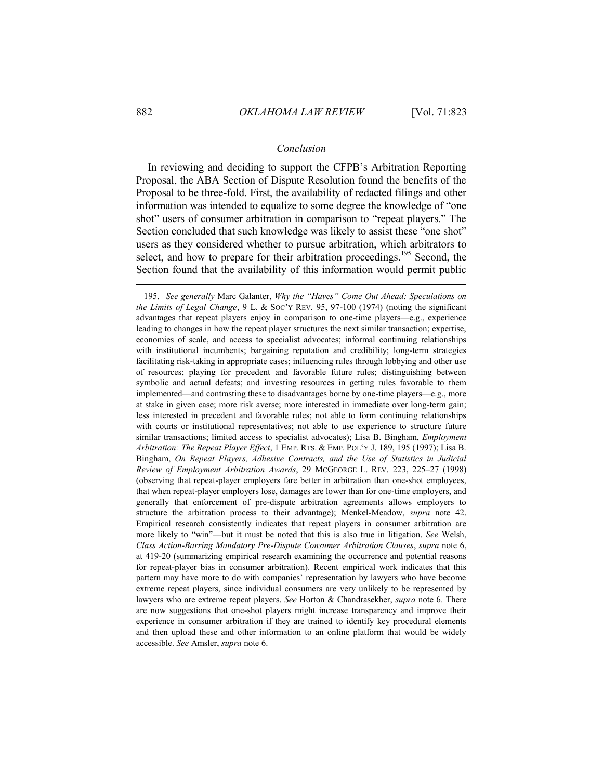### *Conclusion*

In reviewing and deciding to support the CFPB's Arbitration Reporting Proposal, the ABA Section of Dispute Resolution found the benefits of the Proposal to be three-fold. First, the availability of redacted filings and other information was intended to equalize to some degree the knowledge of "one shot" users of consumer arbitration in comparison to "repeat players." The Section concluded that such knowledge was likely to assist these "one shot" users as they considered whether to pursue arbitration, which arbitrators to select, and how to prepare for their arbitration proceedings.<sup>195</sup> Second, the Section found that the availability of this information would permit public

<sup>195.</sup> *See generally* Marc Galanter, *Why the "Haves" Come Out Ahead: Speculations on the Limits of Legal Change*, 9 L. & SOC'Y REV. 95, 97-100 (1974) (noting the significant advantages that repeat players enjoy in comparison to one-time players—e.g., experience leading to changes in how the repeat player structures the next similar transaction; expertise, economies of scale, and access to specialist advocates; informal continuing relationships with institutional incumbents; bargaining reputation and credibility; long-term strategies facilitating risk-taking in appropriate cases; influencing rules through lobbying and other use of resources; playing for precedent and favorable future rules; distinguishing between symbolic and actual defeats; and investing resources in getting rules favorable to them implemented—and contrasting these to disadvantages borne by one-time players—e.g., more at stake in given case; more risk averse; more interested in immediate over long-term gain; less interested in precedent and favorable rules; not able to form continuing relationships with courts or institutional representatives; not able to use experience to structure future similar transactions; limited access to specialist advocates); Lisa B. Bingham, *Employment Arbitration: The Repeat Player Effect*, 1 EMP. RTS. & EMP. POL'Y J. 189, 195 (1997); Lisa B. Bingham, *On Repeat Players, Adhesive Contracts, and the Use of Statistics in Judicial Review of Employment Arbitration Awards*, 29 MCGEORGE L. REV. 223, 225–27 (1998) (observing that repeat-player employers fare better in arbitration than one-shot employees, that when repeat-player employers lose, damages are lower than for one-time employers, and generally that enforcement of pre-dispute arbitration agreements allows employers to structure the arbitration process to their advantage); Menkel-Meadow, *supra* note 42. Empirical research consistently indicates that repeat players in consumer arbitration are more likely to "win"—but it must be noted that this is also true in litigation. *See* Welsh, *Class Action-Barring Mandatory Pre-Dispute Consumer Arbitration Clauses*, *supra* note 6, at 419-20 (summarizing empirical research examining the occurrence and potential reasons for repeat-player bias in consumer arbitration). Recent empirical work indicates that this pattern may have more to do with companies' representation by lawyers who have become extreme repeat players, since individual consumers are very unlikely to be represented by lawyers who are extreme repeat players. *See* Horton & Chandrasekher, *supra* note 6. There are now suggestions that one-shot players might increase transparency and improve their experience in consumer arbitration if they are trained to identify key procedural elements and then upload these and other information to an online platform that would be widely accessible. *See* Amsler, *supra* note 6.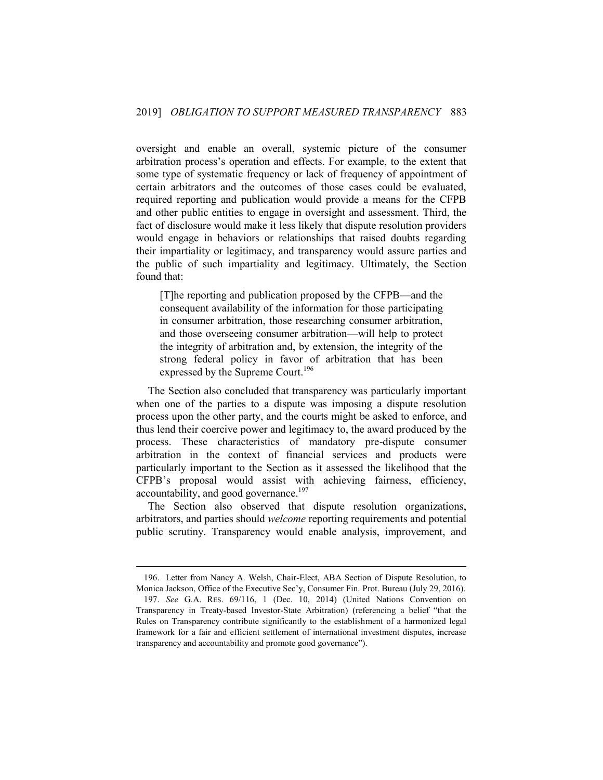oversight and enable an overall, systemic picture of the consumer arbitration process's operation and effects. For example, to the extent that some type of systematic frequency or lack of frequency of appointment of certain arbitrators and the outcomes of those cases could be evaluated, required reporting and publication would provide a means for the CFPB and other public entities to engage in oversight and assessment. Third, the fact of disclosure would make it less likely that dispute resolution providers would engage in behaviors or relationships that raised doubts regarding their impartiality or legitimacy, and transparency would assure parties and the public of such impartiality and legitimacy. Ultimately, the Section found that:

[T]he reporting and publication proposed by the CFPB—and the consequent availability of the information for those participating in consumer arbitration, those researching consumer arbitration, and those overseeing consumer arbitration—will help to protect the integrity of arbitration and, by extension, the integrity of the strong federal policy in favor of arbitration that has been expressed by the Supreme Court.<sup>196</sup>

The Section also concluded that transparency was particularly important when one of the parties to a dispute was imposing a dispute resolution process upon the other party, and the courts might be asked to enforce, and thus lend their coercive power and legitimacy to, the award produced by the process. These characteristics of mandatory pre-dispute consumer arbitration in the context of financial services and products were particularly important to the Section as it assessed the likelihood that the CFPB's proposal would assist with achieving fairness, efficiency, accountability, and good governance.<sup>197</sup>

The Section also observed that dispute resolution organizations, arbitrators, and parties should *welcome* reporting requirements and potential public scrutiny. Transparency would enable analysis, improvement, and

<sup>196.</sup> Letter from Nancy A. Welsh, Chair-Elect, ABA Section of Dispute Resolution, to Monica Jackson, Office of the Executive Sec'y, Consumer Fin. Prot. Bureau (July 29, 2016).

<sup>197.</sup> *See* G.A. RES. 69/116, 1 (Dec. 10, 2014) (United Nations Convention on Transparency in Treaty-based Investor-State Arbitration) (referencing a belief "that the Rules on Transparency contribute significantly to the establishment of a harmonized legal framework for a fair and efficient settlement of international investment disputes, increase transparency and accountability and promote good governance").